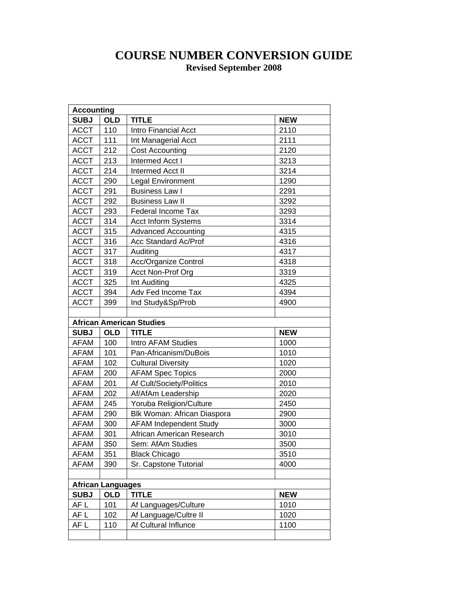## **COURSE NUMBER CONVERSION GUIDE Revised September 2008**

| <b>Accounting</b>        |            |                                 |            |  |
|--------------------------|------------|---------------------------------|------------|--|
| <b>SUBJ</b>              | <b>OLD</b> | <b>TITLE</b>                    | <b>NEW</b> |  |
| <b>ACCT</b>              | 110        | Intro Financial Acct            | 2110       |  |
| <b>ACCT</b>              | 111        | Int Managerial Acct             | 2111       |  |
| <b>ACCT</b>              | 212        | <b>Cost Accounting</b>          | 2120       |  |
| <b>ACCT</b>              | 213        | Intermed Acct I                 | 3213       |  |
| <b>ACCT</b>              | 214        | Intermed Acct II                | 3214       |  |
| <b>ACCT</b>              | 290        | <b>Legal Environment</b>        | 1290       |  |
| <b>ACCT</b>              | 291        | <b>Business Law I</b>           | 2291       |  |
| <b>ACCT</b>              | 292        | <b>Business Law II</b>          | 3292       |  |
| <b>ACCT</b>              | 293        | Federal Income Tax              | 3293       |  |
| <b>ACCT</b>              | 314        | <b>Acct Inform Systems</b>      | 3314       |  |
| <b>ACCT</b>              | 315        | <b>Advanced Accounting</b>      | 4315       |  |
| <b>ACCT</b>              | 316        | Acc Standard Ac/Prof            | 4316       |  |
| <b>ACCT</b>              | 317        | Auditing                        | 4317       |  |
| <b>ACCT</b>              | 318        | Acc/Organize Control            | 4318       |  |
| <b>ACCT</b>              | 319        | Acct Non-Prof Org               | 3319       |  |
| <b>ACCT</b>              | 325        | Int Auditing                    | 4325       |  |
| <b>ACCT</b>              | 394        | Adv Fed Income Tax              | 4394       |  |
| <b>ACCT</b>              | 399        | Ind Study&Sp/Prob               | 4900       |  |
|                          |            |                                 |            |  |
|                          |            | <b>African American Studies</b> |            |  |
| <b>SUBJ</b>              | <b>OLD</b> | <b>TITLE</b>                    | <b>NEW</b> |  |
| <b>AFAM</b>              | 100        | <b>Intro AFAM Studies</b>       | 1000       |  |
| <b>AFAM</b>              | 101        | Pan-Africanism/DuBois           | 1010       |  |
| <b>AFAM</b>              | 102        | <b>Cultural Diversity</b>       | 1020       |  |
| AFAM                     | 200        | <b>AFAM Spec Topics</b>         | 2000       |  |
| <b>AFAM</b>              | 201        | Af Cult/Society/Politics        | 2010       |  |
| <b>AFAM</b>              | 202        | Af/AfAm Leadership              | 2020       |  |
| <b>AFAM</b>              | 245        | Yoruba Religion/Culture         | 2450       |  |
| <b>AFAM</b>              | 290        | Blk Woman: African Diaspora     | 2900       |  |
| <b>AFAM</b>              | 300        | <b>AFAM Independent Study</b>   | 3000       |  |
| <b>AFAM</b>              | 301        | African American Research       | 3010       |  |
| AFAM                     | 350        | Sem: AfAm Studies               | 3500       |  |
| <b>AFAM</b>              | 351        | <b>Black Chicago</b>            | 3510       |  |
| AFAM                     | 390        | Sr. Capstone Tutorial           | 4000       |  |
|                          |            |                                 |            |  |
| <b>African Languages</b> |            |                                 |            |  |
| <b>SUBJ</b>              | <b>OLD</b> | <b>TITLE</b>                    | <b>NEW</b> |  |
| AF L                     | 101        | Af Languages/Culture            | 1010       |  |
| AF L                     | 102        | Af Language/Cultre II           | 1020       |  |
| AF L                     | 110        | Af Cultural Influnce            | 1100       |  |
|                          |            |                                 |            |  |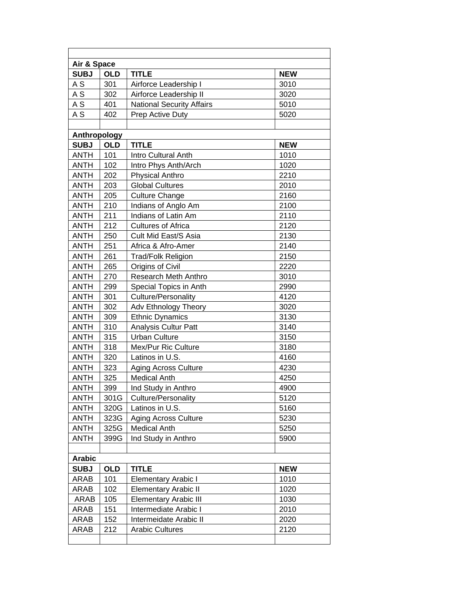| <b>SUBJ</b>    | <b>OLD</b>   | <b>TITLE</b>                     | <b>NEW</b> |
|----------------|--------------|----------------------------------|------------|
| A S            | 301          | Airforce Leadership I            | 3010       |
| A <sub>S</sub> | 302          | Airforce Leadership II           | 3020       |
| A S            | 401          | <b>National Security Affairs</b> | 5010       |
| A <sub>S</sub> | 402          | Prep Active Duty                 | 5020       |
|                |              |                                  |            |
|                | Anthropology |                                  |            |
| <b>SUBJ</b>    | <b>OLD</b>   | <b>TITLE</b>                     | <b>NEW</b> |
| <b>ANTH</b>    | 101          | Intro Cultural Anth              | 1010       |
| <b>ANTH</b>    | 102          | Intro Phys Anth/Arch             | 1020       |
| <b>ANTH</b>    | 202          | Physical Anthro                  | 2210       |
| <b>ANTH</b>    | 203          | <b>Global Cultures</b>           | 2010       |
| <b>ANTH</b>    | 205          | <b>Culture Change</b>            | 2160       |
| <b>ANTH</b>    | 210          | Indians of Anglo Am              | 2100       |
| <b>ANTH</b>    | 211          | Indians of Latin Am              | 2110       |
| <b>ANTH</b>    | 212          | <b>Cultures of Africa</b>        | 2120       |
| <b>ANTH</b>    | 250          | Cult Mid East/S Asia             | 2130       |
| <b>ANTH</b>    | 251          | Africa & Afro-Amer               | 2140       |
| <b>ANTH</b>    | 261          | <b>Trad/Folk Religion</b>        | 2150       |
| <b>ANTH</b>    | 265          | Origins of Civil                 | 2220       |
| <b>ANTH</b>    | 270          | Research Meth Anthro             | 3010       |
| <b>ANTH</b>    | 299          | Special Topics in Anth           | 2990       |
| <b>ANTH</b>    | 301          | Culture/Personality              | 4120       |
| <b>ANTH</b>    | 302          | Adv Ethnology Theory             | 3020       |
| <b>ANTH</b>    | 309          | <b>Ethnic Dynamics</b>           | 3130       |
| <b>ANTH</b>    | 310          | <b>Analysis Cultur Patt</b>      | 3140       |
| <b>ANTH</b>    | 315          | <b>Urban Culture</b>             | 3150       |
| <b>ANTH</b>    | 318          | Mex/Pur Ric Culture              | 3180       |
| <b>ANTH</b>    | 320          | Latinos in U.S.                  | 4160       |
| <b>ANTH</b>    | 323          | <b>Aging Across Culture</b>      | 4230       |
| <b>ANTH</b>    | 325          | <b>Medical Anth</b>              | 4250       |
| ANTH           | 399          | Ind Study in Anthro              | 4900       |
| <b>ANTH</b>    | 301G         | <b>Culture/Personality</b>       | 5120       |
| <b>ANTH</b>    | 320G         | Latinos in U.S.                  | 5160       |
| <b>ANTH</b>    | 323G         | <b>Aging Across Culture</b>      | 5230       |
| <b>ANTH</b>    | 325G         | Medical Anth                     | 5250       |
| <b>ANTH</b>    | 399G         | Ind Study in Anthro              | 5900       |
|                |              |                                  |            |
| <b>Arabic</b>  |              |                                  |            |
| <b>SUBJ</b>    | <b>OLD</b>   | <b>TITLE</b>                     | <b>NEW</b> |
| ARAB           | 101          | Elementary Arabic I              | 1010       |
| ARAB           | 102          | <b>Elementary Arabic II</b>      | 1020       |
| <b>ARAB</b>    | 105          | <b>Elementary Arabic III</b>     | 1030       |
| ARAB           | 151          | Intermediate Arabic I            | 2010       |
| ARAB           | 152          | Intermeidate Arabic II           | 2020       |
| <b>ARAB</b>    | 212          | <b>Arabic Cultures</b>           | 2120       |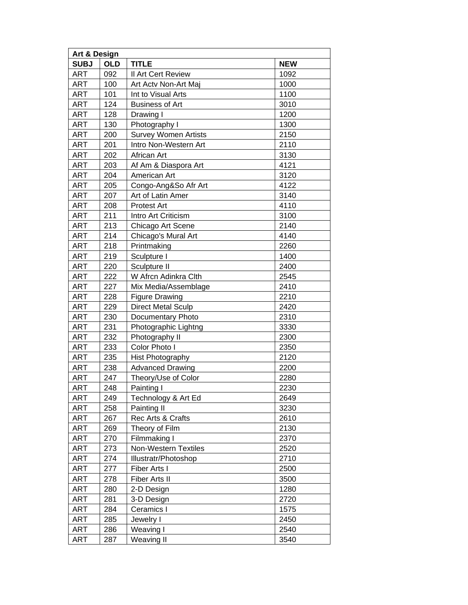| <b>Art &amp; Design</b> |            |                             |            |  |
|-------------------------|------------|-----------------------------|------------|--|
| <b>SUBJ</b>             | <b>OLD</b> | <b>TITLE</b>                | <b>NEW</b> |  |
| <b>ART</b>              | 092        | Il Art Cert Review          | 1092       |  |
| <b>ART</b>              | 100        | Art Actv Non-Art Maj        | 1000       |  |
| <b>ART</b>              | 101        | Int to Visual Arts          | 1100       |  |
| <b>ART</b>              | 124        | <b>Business of Art</b>      | 3010       |  |
| <b>ART</b>              | 128        | Drawing I                   | 1200       |  |
| <b>ART</b>              | 130        | Photography I               | 1300       |  |
| <b>ART</b>              | 200        | <b>Survey Women Artists</b> | 2150       |  |
| <b>ART</b>              | 201        | Intro Non-Western Art       | 2110       |  |
| <b>ART</b>              | 202        | African Art                 | 3130       |  |
| <b>ART</b>              | 203        | Af Am & Diaspora Art        | 4121       |  |
| <b>ART</b>              | 204        | American Art                | 3120       |  |
| <b>ART</b>              | 205        | Congo-Ang&So Afr Art        | 4122       |  |
| <b>ART</b>              | 207        | Art of Latin Amer           | 3140       |  |
| <b>ART</b>              | 208        | <b>Protest Art</b>          | 4110       |  |
| <b>ART</b>              | 211        | Intro Art Criticism         | 3100       |  |
| <b>ART</b>              | 213        | Chicago Art Scene           | 2140       |  |
| <b>ART</b>              | 214        | Chicago's Mural Art         | 4140       |  |
| <b>ART</b>              | 218        | Printmaking                 | 2260       |  |
| <b>ART</b>              | 219        | Sculpture I                 | 1400       |  |
| <b>ART</b>              | 220        | Sculpture II                | 2400       |  |
| <b>ART</b>              | 222        | W Afrcn Adinkra Clth        | 2545       |  |
| <b>ART</b>              | 227        | Mix Media/Assemblage        | 2410       |  |
| <b>ART</b>              | 228        | <b>Figure Drawing</b>       | 2210       |  |
| <b>ART</b>              | 229        | <b>Direct Metal Sculp</b>   | 2420       |  |
| <b>ART</b>              | 230        | Documentary Photo           | 2310       |  |
| <b>ART</b>              | 231        | Photographic Lightng        | 3330       |  |
| <b>ART</b>              | 232        | Photography II              | 2300       |  |
| <b>ART</b>              | 233        | Color Photo I               | 2350       |  |
| <b>ART</b>              | 235        | Hist Photography            | 2120       |  |
| <b>ART</b>              | 238        | <b>Advanced Drawing</b>     | 2200       |  |
| <b>ART</b>              | 247        | Theory/Use of Color         | 2280       |  |
| <b>ART</b>              | 248        | Painting I                  | 2230       |  |
| <b>ART</b>              | 249        | Technology & Art Ed         | 2649       |  |
| <b>ART</b>              | 258        | Painting II                 | 3230       |  |
| <b>ART</b>              | 267        | Rec Arts & Crafts           | 2610       |  |
| ART                     | 269        | Theory of Film              | 2130       |  |
| <b>ART</b>              | 270        | Filmmaking I                | 2370       |  |
| ART                     | 273        | Non-Western Textiles        | 2520       |  |
| <b>ART</b>              | 274        | Illustratr/Photoshop        | 2710       |  |
| ART                     | 277        | Fiber Arts I                | 2500       |  |
| <b>ART</b>              | 278        | Fiber Arts II               | 3500       |  |
| <b>ART</b>              | 280        | 2-D Design                  | 1280       |  |
| <b>ART</b>              | 281        | 3-D Design                  | 2720       |  |
| <b>ART</b>              | 284        | Ceramics I                  | 1575       |  |
| ART                     | 285        | Jewelry I                   | 2450       |  |
| <b>ART</b>              | 286        | Weaving I                   | 2540       |  |
| <b>ART</b>              | 287        | Weaving II                  | 3540       |  |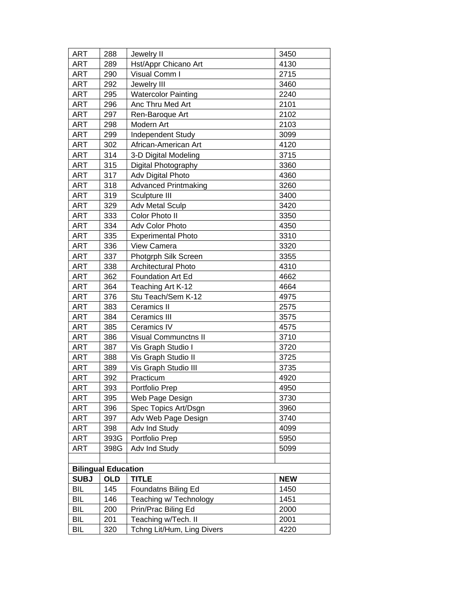| <b>ART</b>  | 288                        | Jewelry II                  | 3450       |
|-------------|----------------------------|-----------------------------|------------|
| <b>ART</b>  | 289                        | Hst/Appr Chicano Art        | 4130       |
| <b>ART</b>  | 290                        | Visual Comm I               | 2715       |
| <b>ART</b>  | 292                        | Jewelry III                 | 3460       |
| <b>ART</b>  | 295                        | <b>Watercolor Painting</b>  | 2240       |
| <b>ART</b>  | 296                        | Anc Thru Med Art            | 2101       |
| <b>ART</b>  | 297                        | Ren-Baroque Art             | 2102       |
| <b>ART</b>  | 298                        | Modern Art                  | 2103       |
| <b>ART</b>  | 299                        | <b>Independent Study</b>    | 3099       |
| <b>ART</b>  | 302                        | African-American Art        | 4120       |
| <b>ART</b>  | 314                        | 3-D Digital Modeling        | 3715       |
| <b>ART</b>  | 315                        | Digital Photography         | 3360       |
| <b>ART</b>  | 317                        | Adv Digital Photo           | 4360       |
| <b>ART</b>  | 318                        | <b>Advanced Printmaking</b> | 3260       |
| <b>ART</b>  | 319                        | Sculpture III               | 3400       |
| <b>ART</b>  | 329                        | <b>Adv Metal Sculp</b>      | 3420       |
| <b>ART</b>  | 333                        | Color Photo II              | 3350       |
| <b>ART</b>  | 334                        | Adv Color Photo             | 4350       |
| <b>ART</b>  | 335                        | <b>Experimental Photo</b>   | 3310       |
| <b>ART</b>  | 336                        | View Camera                 | 3320       |
| <b>ART</b>  | 337                        | Photgrph Silk Screen        | 3355       |
| ART         | 338                        | Architectural Photo         | 4310       |
| <b>ART</b>  | 362                        | <b>Foundation Art Ed</b>    | 4662       |
| <b>ART</b>  | 364                        | Teaching Art K-12           | 4664       |
| <b>ART</b>  | 376                        | Stu Teach/Sem K-12          | 4975       |
| <b>ART</b>  | 383                        | Ceramics II                 | 2575       |
| <b>ART</b>  | 384                        | Ceramics III                | 3575       |
| <b>ART</b>  | 385                        | Ceramics IV                 | 4575       |
| <b>ART</b>  | 386                        | <b>Visual Communctns II</b> | 3710       |
| <b>ART</b>  | 387                        | Vis Graph Studio I          | 3720       |
| <b>ART</b>  | 388                        | Vis Graph Studio II         | 3725       |
| <b>ART</b>  | 389                        | Vis Graph Studio III        | 3735       |
| <b>ART</b>  | 392                        | Practicum                   | 4920       |
| ART         | 393                        | Portfolio Prep              | 4950       |
| <b>ART</b>  | 395                        | Web Page Design             | 3730       |
| ART         | 396                        | Spec Topics Art/Dsgn        | 3960       |
| ART         | 397                        | Adv Web Page Design         | 3740       |
| <b>ART</b>  | 398                        | Adv Ind Study               | 4099       |
| <b>ART</b>  | 393G                       | Portfolio Prep              | 5950       |
| <b>ART</b>  | 398G                       | Adv Ind Study               | 5099       |
|             |                            |                             |            |
|             | <b>Bilingual Education</b> |                             |            |
| <b>SUBJ</b> | <b>OLD</b>                 | <b>TITLE</b>                | <b>NEW</b> |
| <b>BIL</b>  | 145                        | Foundatns Biling Ed         | 1450       |
| <b>BIL</b>  | 146                        | Teaching w/ Technology      | 1451       |
| <b>BIL</b>  | 200                        | Prin/Prac Biling Ed         | 2000       |
| <b>BIL</b>  | 201                        | Teaching w/Tech. II         | 2001       |
| <b>BIL</b>  | 320                        | Tchng Lit/Hum, Ling Divers  | 4220       |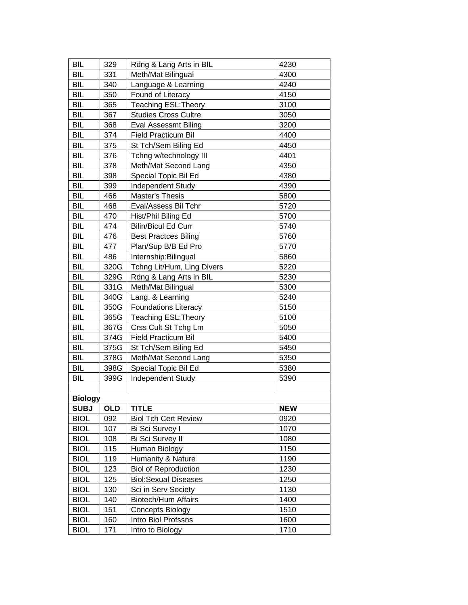| <b>BIL</b>     | 329        | Rdng & Lang Arts in BIL     | 4230       |
|----------------|------------|-----------------------------|------------|
| <b>BIL</b>     | 331        | Meth/Mat Bilingual          | 4300       |
| <b>BIL</b>     | 340        | Language & Learning         | 4240       |
| <b>BIL</b>     | 350        | Found of Literacy           | 4150       |
| <b>BIL</b>     | 365        | Teaching ESL: Theory        | 3100       |
| <b>BIL</b>     | 367        | <b>Studies Cross Cultre</b> | 3050       |
| <b>BIL</b>     | 368        | <b>Eval Assessmt Biling</b> | 3200       |
| <b>BIL</b>     | 374        | <b>Field Practicum Bil</b>  | 4400       |
| <b>BIL</b>     | 375        | St Tch/Sem Biling Ed        | 4450       |
| <b>BIL</b>     | 376        | Tchng w/technology III      | 4401       |
| <b>BIL</b>     | 378        | Meth/Mat Second Lang        | 4350       |
| <b>BIL</b>     | 398        | Special Topic Bil Ed        | 4380       |
| <b>BIL</b>     | 399        | Independent Study           | 4390       |
| <b>BIL</b>     | 466        | Master's Thesis             | 5800       |
| <b>BIL</b>     | 468        | Eval/Assess Bil Tchr        | 5720       |
| <b>BIL</b>     | 470        | Hist/Phil Biling Ed         | 5700       |
| <b>BIL</b>     | 474        | <b>Bilin/Bicul Ed Curr</b>  | 5740       |
| <b>BIL</b>     | 476        | <b>Best Practces Biling</b> | 5760       |
| <b>BIL</b>     | 477        | Plan/Sup B/B Ed Pro         | 5770       |
| <b>BIL</b>     | 486        | Internship: Bilingual       | 5860       |
| <b>BIL</b>     | 320G       | Tchng Lit/Hum, Ling Divers  | 5220       |
| <b>BIL</b>     | 329G       | Rdng & Lang Arts in BIL     | 5230       |
| <b>BIL</b>     | 331G       | Meth/Mat Bilingual          | 5300       |
| <b>BIL</b>     | 340G       | Lang. & Learning            | 5240       |
| <b>BIL</b>     | 350G       | <b>Foundations Literacy</b> | 5150       |
| <b>BIL</b>     | 365G       | Teaching ESL: Theory        | 5100       |
| <b>BIL</b>     | 367G       | Crss Cult St Tchg Lm        | 5050       |
| <b>BIL</b>     | 374G       | <b>Field Practicum Bil</b>  | 5400       |
| <b>BIL</b>     | 375G       | St Tch/Sem Biling Ed        | 5450       |
| <b>BIL</b>     | 378G       | Meth/Mat Second Lang        | 5350       |
| <b>BIL</b>     | 398G       | Special Topic Bil Ed        | 5380       |
| <b>BIL</b>     | 399G       | <b>Independent Study</b>    | 5390       |
|                |            |                             |            |
| <b>Biology</b> |            |                             |            |
| <b>SUBJ</b>    | <b>OLD</b> | <b>TITLE</b>                | <b>NEW</b> |
| <b>BIOL</b>    | 092        | <b>Biol Tch Cert Review</b> | 0920       |
| <b>BIOL</b>    | 107        | Bi Sci Survey I             | 1070       |
| <b>BIOL</b>    | 108        | Bi Sci Survey II            | 1080       |
| <b>BIOL</b>    | 115        | Human Biology               | 1150       |
| <b>BIOL</b>    | 119        | Humanity & Nature           | 1190       |
| <b>BIOL</b>    | 123        | <b>Biol of Reproduction</b> | 1230       |
| <b>BIOL</b>    | 125        | <b>Biol:Sexual Diseases</b> | 1250       |
| <b>BIOL</b>    | 130        | Sci in Serv Society         | 1130       |
| <b>BIOL</b>    | 140        | <b>Biotech/Hum Affairs</b>  | 1400       |
| <b>BIOL</b>    | 151        | <b>Concepts Biology</b>     | 1510       |
| <b>BIOL</b>    | 160        | Intro Biol Profssns         | 1600       |
| <b>BIOL</b>    | 171        | Intro to Biology            | 1710       |
|                |            |                             |            |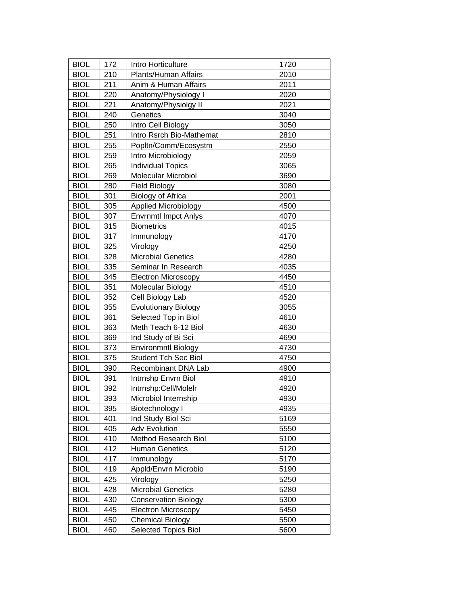| <b>BIOL</b> | 172 | Intro Horticulture          | 1720 |
|-------------|-----|-----------------------------|------|
| <b>BIOL</b> | 210 | Plants/Human Affairs        | 2010 |
| <b>BIOL</b> | 211 | Anim & Human Affairs        | 2011 |
| <b>BIOL</b> | 220 | Anatomy/Physiology I        | 2020 |
| <b>BIOL</b> | 221 | Anatomy/Physiolgy II        | 2021 |
| <b>BIOL</b> | 240 | Genetics                    | 3040 |
| <b>BIOL</b> | 250 | Intro Cell Biology          | 3050 |
| <b>BIOL</b> | 251 | Intro Rsrch Bio-Mathemat    | 2810 |
| <b>BIOL</b> | 255 | Popltn/Comm/Ecosystm        | 2550 |
| <b>BIOL</b> | 259 | Intro Microbiology          | 2059 |
| <b>BIOL</b> | 265 | <b>Individual Topics</b>    | 3065 |
| <b>BIOL</b> | 269 | <b>Molecular Microbiol</b>  | 3690 |
| <b>BIOL</b> | 280 | <b>Field Biology</b>        | 3080 |
| <b>BIOL</b> | 301 | <b>Biology of Africa</b>    | 2001 |
| <b>BIOL</b> | 305 | <b>Applied Microbiology</b> | 4500 |
| <b>BIOL</b> | 307 | <b>Envrnmtl Impct Anlys</b> | 4070 |
| <b>BIOL</b> | 315 | <b>Biometrics</b>           | 4015 |
| <b>BIOL</b> | 317 | Immunology                  | 4170 |
| <b>BIOL</b> | 325 | Virology                    | 4250 |
| <b>BIOL</b> | 328 | <b>Microbial Genetics</b>   | 4280 |
| <b>BIOL</b> | 335 | Seminar In Research         | 4035 |
| <b>BIOL</b> | 345 | <b>Electron Microscopy</b>  | 4450 |
| <b>BIOL</b> | 351 | Molecular Biology           | 4510 |
| <b>BIOL</b> | 352 | Cell Biology Lab            | 4520 |
| <b>BIOL</b> | 355 | <b>Evolutionary Biology</b> | 3055 |
| <b>BIOL</b> | 361 | Selected Top in Biol        | 4610 |
| <b>BIOL</b> | 363 | Meth Teach 6-12 Biol        | 4630 |
| <b>BIOL</b> | 369 | Ind Study of Bi Sci         | 4690 |
| <b>BIOL</b> | 373 | <b>Environmntl Biology</b>  | 4730 |
| <b>BIOL</b> | 375 | <b>Student Tch Sec Biol</b> | 4750 |
| <b>BIOL</b> | 390 | Recombinant DNA Lab         | 4900 |
| <b>BIOL</b> | 391 | Intrnshp Envrn Biol         | 4910 |
| <b>BIOL</b> | 392 | Intrnshp:Cell/Molelr        | 4920 |
| <b>BIOL</b> | 393 | Microbiol Internship        | 4930 |
| <b>BIOL</b> | 395 | Biotechnology I             | 4935 |
| <b>BIOL</b> | 401 | Ind Study Biol Sci          | 5169 |
| <b>BIOL</b> | 405 | <b>Adv Evolution</b>        | 5550 |
| <b>BIOL</b> | 410 | Method Research Biol        | 5100 |
| <b>BIOL</b> | 412 | <b>Human Genetics</b>       | 5120 |
| <b>BIOL</b> | 417 | Immunology                  | 5170 |
| <b>BIOL</b> | 419 | Appld/Envrn Microbio        | 5190 |
| <b>BIOL</b> | 425 | Virology                    | 5250 |
| <b>BIOL</b> | 428 | <b>Microbial Genetics</b>   | 5280 |
| <b>BIOL</b> | 430 | <b>Conservation Biology</b> | 5300 |
| <b>BIOL</b> | 445 | <b>Electron Microscopy</b>  | 5450 |
| <b>BIOL</b> | 450 | <b>Chemical Biology</b>     | 5500 |
| <b>BIOL</b> | 460 | <b>Selected Topics Biol</b> | 5600 |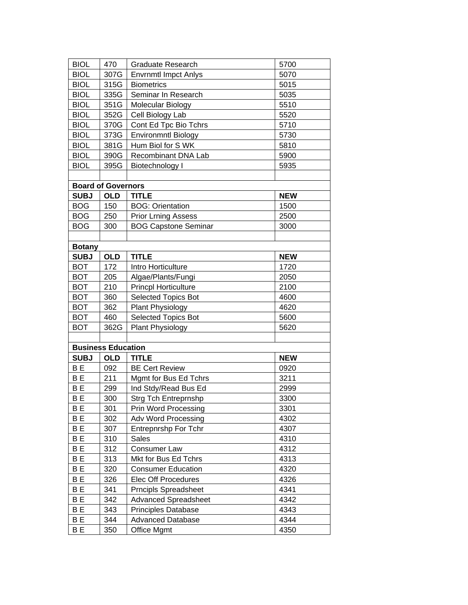| <b>BIOL</b>    | 470                       | <b>Graduate Research</b>    | 5700       |
|----------------|---------------------------|-----------------------------|------------|
| <b>BIOL</b>    | 307G                      | <b>Envrnmtl Impct Anlys</b> | 5070       |
| <b>BIOL</b>    | 315G                      | <b>Biometrics</b>           | 5015       |
| <b>BIOL</b>    | 335G                      | Seminar In Research         | 5035       |
| <b>BIOL</b>    | 351G                      | Molecular Biology           | 5510       |
| <b>BIOL</b>    | 352G                      | Cell Biology Lab            | 5520       |
| <b>BIOL</b>    | 370G                      | Cont Ed Tpc Bio Tchrs       | 5710       |
| <b>BIOL</b>    | 373G                      | <b>Environmntl Biology</b>  | 5730       |
| <b>BIOL</b>    | 381G                      | Hum Biol for S WK           | 5810       |
| <b>BIOL</b>    | 390G                      | Recombinant DNA Lab         | 5900       |
| <b>BIOL</b>    | 395G                      | Biotechnology I             | 5935       |
|                |                           |                             |            |
|                | <b>Board of Governors</b> |                             |            |
| <b>SUBJ</b>    | <b>OLD</b>                | <b>TITLE</b>                | <b>NEW</b> |
| <b>BOG</b>     | 150                       | <b>BOG: Orientation</b>     | 1500       |
| <b>BOG</b>     | 250                       | <b>Prior Lrning Assess</b>  | 2500       |
| <b>BOG</b>     | 300                       | <b>BOG Capstone Seminar</b> | 3000       |
|                |                           |                             |            |
| <b>Botany</b>  |                           |                             |            |
| <b>SUBJ</b>    | <b>OLD</b>                | <b>TITLE</b>                | <b>NEW</b> |
| <b>BOT</b>     | 172                       | Intro Horticulture          | 1720       |
| <b>BOT</b>     | 205                       | Algae/Plants/Fungi          | 2050       |
| <b>BOT</b>     | 210                       | <b>Princpl Horticulture</b> | 2100       |
| <b>BOT</b>     | 360                       | <b>Selected Topics Bot</b>  | 4600       |
| <b>BOT</b>     | 362                       | <b>Plant Physiology</b>     | 4620       |
| <b>BOT</b>     | 460                       | Selected Topics Bot         | 5600       |
| <b>BOT</b>     | 362G                      | <b>Plant Physiology</b>     | 5620       |
|                |                           |                             |            |
|                | <b>Business Education</b> |                             |            |
| <b>SUBJ</b>    | <b>OLD</b>                | <b>TITLE</b>                | <b>NEW</b> |
| B <sub>E</sub> | 092                       | <b>BE Cert Review</b>       | 0920       |
| B <sub>E</sub> | 211                       | Mgmt for Bus Ed Tchrs       | 3211       |
| B <sub>E</sub> | 299                       | Ind Stdy/Read Bus Ed        | 2999       |
| ΒE             | 300                       | Strg Tch Entreprnshp        | 3300       |
| B E            | 301                       | <b>Prin Word Processing</b> | 3301       |
| <b>BE</b>      | 302                       | <b>Adv Word Processing</b>  | 4302       |
| ΒE             | 307                       | Entrepnrshp For Tchr        | 4307       |
| ΒE             | 310                       | <b>Sales</b>                | 4310       |
| B <sub>E</sub> | 312                       | Consumer Law                | 4312       |
| B E            | 313                       | Mkt for Bus Ed Tchrs        | 4313       |
| B E            | 320                       | <b>Consumer Education</b>   | 4320       |
| B E            | 326                       | <b>Elec Off Procedures</b>  | 4326       |
| B <sub>E</sub> | 341                       | <b>Prncipls Spreadsheet</b> | 4341       |
| B E            | 342                       | <b>Advanced Spreadsheet</b> | 4342       |
| B E            | 343                       | <b>Principles Database</b>  | 4343       |
| B E            | 344                       | <b>Advanced Database</b>    | 4344       |
| ΒE             | 350                       | Office Mgmt                 | 4350       |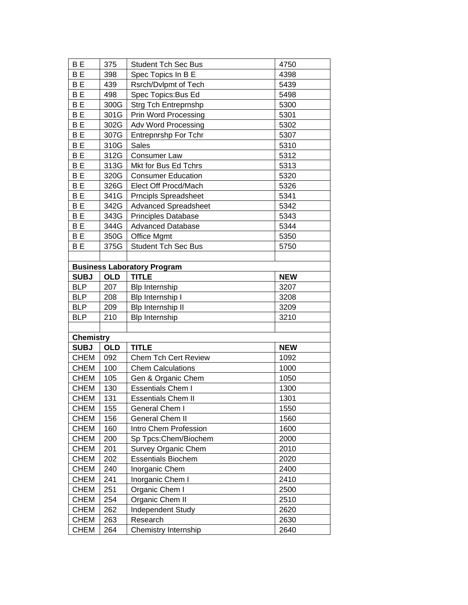| B E<br>B <sub>E</sub> | 375<br>398 | <b>Student Tch Sec Bus</b>                                 | 4750<br>4398 |
|-----------------------|------------|------------------------------------------------------------|--------------|
| B E                   | 439        | Spec Topics In B E<br>Rsrch/Dvlpmt of Tech                 | 5439         |
| B E                   | 498        | Spec Topics: Bus Ed                                        | 5498         |
| B E                   |            |                                                            | 5300         |
| B <sub>E</sub>        | 300G       | <b>Strg Tch Entreprnshp</b><br><b>Prin Word Processing</b> |              |
| B <sub>E</sub>        | 301G       |                                                            | 5301         |
| B E                   | 302G       | Adv Word Processing                                        | 5302         |
|                       | 307G       | Entrepnrshp For Tchr                                       | 5307         |
| B <sub>E</sub>        | 310G       | <b>Sales</b>                                               | 5310         |
| B <sub>E</sub>        | 312G       | <b>Consumer Law</b>                                        | 5312         |
| <b>BE</b>             | 313G       | Mkt for Bus Ed Tchrs                                       | 5313         |
| B <sub>E</sub>        | 320G       | <b>Consumer Education</b>                                  | 5320         |
| B <sub>E</sub>        | 326G       | Elect Off Procd/Mach                                       | 5326         |
| B E                   | 341G       | <b>Prncipls Spreadsheet</b>                                | 5341         |
| B <sub>E</sub>        | 342G       | <b>Advanced Spreadsheet</b>                                | 5342         |
| B <sub>E</sub>        | 343G       | <b>Principles Database</b>                                 | 5343         |
| B <sub>E</sub>        | 344G       | <b>Advanced Database</b>                                   | 5344         |
| B <sub>E</sub>        | 350G       | Office Mgmt                                                | 5350         |
| B E                   | 375G       | <b>Student Tch Sec Bus</b>                                 | 5750         |
|                       |            |                                                            |              |
|                       |            | <b>Business Laboratory Program</b>                         |              |
| <b>SUBJ</b>           | <b>OLD</b> | <b>TITLE</b>                                               | <b>NEW</b>   |
| <b>BLP</b>            | 207        | <b>Blp Internship</b>                                      | 3207         |
| <b>BLP</b>            | 208        | Blp Internship I                                           | 3208         |
| <b>BLP</b>            | 209        | Blp Internship II                                          | 3209         |
| <b>BLP</b>            | 210        | <b>Blp Internship</b>                                      | 3210         |
|                       |            |                                                            |              |
| <b>Chemistry</b>      |            |                                                            |              |
| <b>SUBJ</b>           | <b>OLD</b> | <b>TITLE</b>                                               | <b>NEW</b>   |
| <b>CHEM</b>           | 092        | <b>Chem Tch Cert Review</b>                                | 1092         |
| <b>CHEM</b>           | 100        | <b>Chem Calculations</b>                                   | 1000         |
| <b>CHEM</b>           | 105        | Gen & Organic Chem                                         | 1050         |
| <b>CHEM</b>           | 130        | <b>Essentials Chem I</b>                                   | 1300         |
| CHEM                  | 131        | <b>Essentials Chem II</b>                                  | 1301         |
| <b>CHEM</b>           | 155        | General Chem I                                             | 1550         |
| <b>CHEM</b>           | 156        | <b>General Chem II</b>                                     | 1560         |
| <b>CHEM</b>           | 160        | Intro Chem Profession                                      | 1600         |
| <b>CHEM</b>           | 200        | Sp Tpcs: Chem/Biochem                                      | 2000         |
| <b>CHEM</b>           | 201        | <b>Survey Organic Chem</b>                                 | 2010         |
| <b>CHEM</b>           | 202        | <b>Essentials Biochem</b>                                  | 2020         |
| <b>CHEM</b>           | 240        | Inorganic Chem                                             | 2400         |
| <b>CHEM</b>           | 241        | Inorganic Chem I                                           | 2410         |
| <b>CHEM</b>           | 251        | Organic Chem I                                             | 2500         |
| <b>CHEM</b>           | 254        | Organic Chem II                                            | 2510         |
| <b>CHEM</b>           | 262        | <b>Independent Study</b>                                   | 2620         |
| <b>CHEM</b>           |            |                                                            |              |
|                       |            |                                                            |              |
| <b>CHEM</b>           | 263<br>264 | Research<br>Chemistry Internship                           | 2630<br>2640 |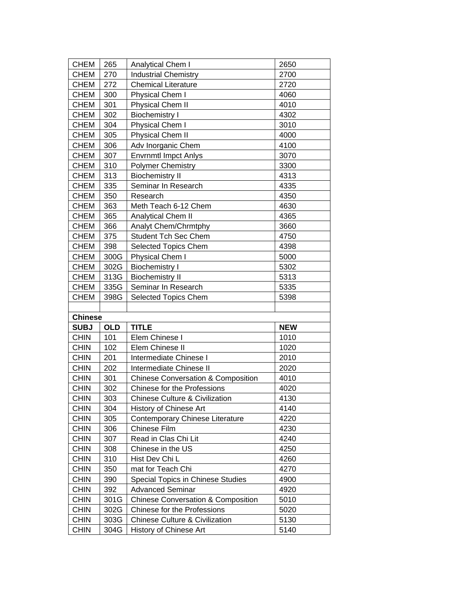| <b>CHEM</b>    | 265        | Analytical Chem I                             | 2650       |
|----------------|------------|-----------------------------------------------|------------|
| <b>CHEM</b>    | 270        | <b>Industrial Chemistry</b>                   | 2700       |
| <b>CHEM</b>    | 272        | <b>Chemical Literature</b>                    | 2720       |
| <b>CHEM</b>    | 300        | Physical Chem I                               | 4060       |
| <b>CHEM</b>    | 301        | Physical Chem II                              | 4010       |
| <b>CHEM</b>    | 302        | <b>Biochemistry I</b>                         | 4302       |
| <b>CHEM</b>    | 304        | Physical Chem I                               | 3010       |
| <b>CHEM</b>    | 305        | Physical Chem II                              | 4000       |
| <b>CHEM</b>    | 306        | Adv Inorganic Chem                            | 4100       |
| <b>CHEM</b>    | 307        | <b>Envrnmtl Impct Anlys</b>                   | 3070       |
| <b>CHEM</b>    | 310        | <b>Polymer Chemistry</b>                      | 3300       |
| <b>CHEM</b>    | 313        | <b>Biochemistry II</b>                        | 4313       |
| <b>CHEM</b>    | 335        | Seminar In Research                           | 4335       |
| <b>CHEM</b>    | 350        | Research                                      | 4350       |
| <b>CHEM</b>    | 363        | Meth Teach 6-12 Chem                          | 4630       |
| <b>CHEM</b>    | 365        | <b>Analytical Chem II</b>                     | 4365       |
| <b>CHEM</b>    | 366        | Analyt Chem/Chrmtphy                          | 3660       |
| <b>CHEM</b>    | 375        | <b>Student Tch Sec Chem</b>                   | 4750       |
| <b>CHEM</b>    | 398        | <b>Selected Topics Chem</b>                   | 4398       |
| <b>CHEM</b>    | 300G       | Physical Chem I                               | 5000       |
| <b>CHEM</b>    | 302G       | <b>Biochemistry I</b>                         | 5302       |
| <b>CHEM</b>    | 313G       | <b>Biochemistry II</b>                        | 5313       |
| <b>CHEM</b>    | 335G       | Seminar In Research                           | 5335       |
| <b>CHEM</b>    | 398G       | <b>Selected Topics Chem</b>                   | 5398       |
|                |            |                                               |            |
| <b>Chinese</b> |            |                                               |            |
| <b>SUBJ</b>    | <b>OLD</b> | <b>TITLE</b>                                  | <b>NEW</b> |
| <b>CHIN</b>    | 101        | Elem Chinese I                                | 1010       |
| <b>CHIN</b>    | 102        | Elem Chinese II                               | 1020       |
| <b>CHIN</b>    | 201        | Intermediate Chinese I                        | 2010       |
| <b>CHIN</b>    | 202        | Intermediate Chinese II                       | 2020       |
| <b>CHIN</b>    | 301        | <b>Chinese Conversation &amp; Composition</b> | 4010       |
| <b>CHIN</b>    | 302        | Chinese for the Professions                   | 4020       |
| <b>CHIN</b>    | 303        | <b>Chinese Culture &amp; Civilization</b>     | 4130       |
| <b>CHIN</b>    | 304        | History of Chinese Art                        | 4140       |
| <b>CHIN</b>    | 305        | Contemporary Chinese Literature               | 4220       |
| <b>CHIN</b>    | 306        | Chinese Film                                  | 4230       |
| <b>CHIN</b>    | 307        | Read in Clas Chi Lit                          | 4240       |
| <b>CHIN</b>    | 308        | Chinese in the US                             | 4250       |
| <b>CHIN</b>    |            |                                               |            |
|                | 310        | Hist Dev Chi L                                | 4260       |
| <b>CHIN</b>    | 350        | mat for Teach Chi                             | 4270       |
| <b>CHIN</b>    | 390        | <b>Special Topics in Chinese Studies</b>      | 4900       |
| <b>CHIN</b>    | 392        | <b>Advanced Seminar</b>                       | 4920       |
| <b>CHIN</b>    | 301G       | <b>Chinese Conversation &amp; Composition</b> | 5010       |
| <b>CHIN</b>    | 302G       | Chinese for the Professions                   | 5020       |
| <b>CHIN</b>    | 303G       | <b>Chinese Culture &amp; Civilization</b>     | 5130       |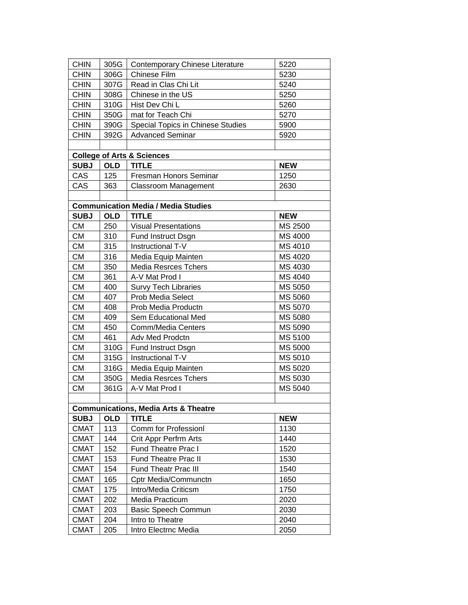| <b>CHIN</b> | 305G       | Contemporary Chinese Literature                 | 5220       |
|-------------|------------|-------------------------------------------------|------------|
| <b>CHIN</b> | 306G       | Chinese Film                                    | 5230       |
| <b>CHIN</b> | 307G       | Read in Clas Chi Lit                            | 5240       |
| <b>CHIN</b> | 308G       | Chinese in the US                               | 5250       |
| <b>CHIN</b> | 310G       | Hist Dev Chi L                                  | 5260       |
| <b>CHIN</b> | 350G       | mat for Teach Chi                               | 5270       |
| <b>CHIN</b> | 390G       | Special Topics in Chinese Studies               | 5900       |
| <b>CHIN</b> | 392G       | <b>Advanced Seminar</b>                         | 5920       |
|             |            |                                                 |            |
|             |            | <b>College of Arts &amp; Sciences</b>           |            |
| <b>SUBJ</b> | <b>OLD</b> | <b>TITLE</b>                                    | <b>NEW</b> |
| CAS         | 125        | Fresman Honors Seminar                          | 1250       |
| CAS         | 363        | <b>Classroom Management</b>                     | 2630       |
|             |            |                                                 |            |
|             |            | <b>Communication Media / Media Studies</b>      |            |
| <b>SUBJ</b> | <b>OLD</b> | <b>TITLE</b>                                    | <b>NEW</b> |
| <b>CM</b>   | 250        | <b>Visual Presentations</b>                     | MS 2500    |
| <b>CM</b>   | 310        | Fund Instruct Dsgn                              | MS 4000    |
| <b>CM</b>   | 315        | Instructional T-V                               | MS 4010    |
| <b>CM</b>   | 316        | Media Equip Mainten                             | MS 4020    |
| <b>CM</b>   | 350        | <b>Media Resrces Tchers</b>                     | MS 4030    |
| <b>CM</b>   | 361        | A-V Mat Prod I                                  | MS 4040    |
| <b>CM</b>   | 400        | <b>Survy Tech Libraries</b>                     | MS 5050    |
| <b>CM</b>   | 407        | Prob Media Select                               | MS 5060    |
| <b>CM</b>   | 408        | Prob Media Productn                             | MS 5070    |
| <b>CM</b>   | 409        | Sem Educational Med                             | MS 5080    |
| <b>CM</b>   | 450        | Comm/Media Centers                              | MS 5090    |
| <b>CM</b>   | 461        | Adv Med Prodctn                                 | MS 5100    |
| <b>CM</b>   | 310G       | Fund Instruct Dsgn                              | MS 5000    |
| <b>CM</b>   | 315G       | Instructional T-V                               | MS 5010    |
| <b>CM</b>   | 316G       | Media Equip Mainten                             | MS 5020    |
| <b>CM</b>   | 350G       | <b>Media Resrces Tchers</b>                     | MS 5030    |
| <b>CM</b>   | 361G       | A-V Mat Prod I                                  | MS 5040    |
|             |            |                                                 |            |
|             |            | <b>Communications, Media Arts &amp; Theatre</b> |            |
| <b>SUBJ</b> | <b>OLD</b> | <b>TITLE</b>                                    | <b>NEW</b> |
| <b>CMAT</b> | 113        | Comm for Professionl                            | 1130       |
| <b>CMAT</b> | 144        | Crit Appr Perfrm Arts                           | 1440       |
| <b>CMAT</b> | 152        | Fund Theatre Prac I                             | 1520       |
| <b>CMAT</b> | 153        | Fund Theatre Prac II                            | 1530       |
| <b>CMAT</b> | 154        | Fund Theatr Prac III                            | 1540       |
| <b>CMAT</b> | 165        | Cptr Media/Communctn                            | 1650       |
| <b>CMAT</b> | 175        | Intro/Media Criticsm                            | 1750       |
| <b>CMAT</b> | 202        | Media Practicum                                 | 2020       |
| <b>CMAT</b> | 203        | Basic Speech Commun                             | 2030       |
| <b>CMAT</b> | 204        | Intro to Theatre                                | 2040       |
| <b>CMAT</b> | 205        | Intro Electrnc Media                            | 2050       |
|             |            |                                                 |            |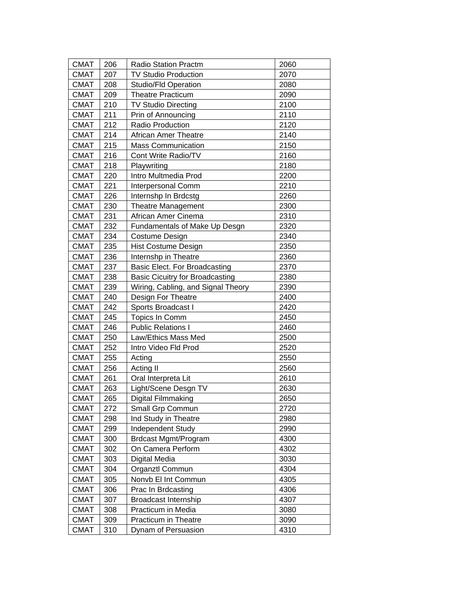| <b>CMAT</b> | 206 | Radio Station Practm                   | 2060 |
|-------------|-----|----------------------------------------|------|
| <b>CMAT</b> | 207 | TV Studio Production                   | 2070 |
| <b>CMAT</b> | 208 | Studio/Fld Operation                   | 2080 |
| <b>CMAT</b> | 209 | <b>Theatre Practicum</b>               | 2090 |
| <b>CMAT</b> | 210 | <b>TV Studio Directing</b>             | 2100 |
| <b>CMAT</b> | 211 | Prin of Announcing                     | 2110 |
| <b>CMAT</b> | 212 | Radio Production                       | 2120 |
| <b>CMAT</b> | 214 | African Amer Theatre                   | 2140 |
| <b>CMAT</b> | 215 | <b>Mass Communication</b>              | 2150 |
| <b>CMAT</b> | 216 | Cont Write Radio/TV                    | 2160 |
| <b>CMAT</b> | 218 | Playwriting                            | 2180 |
| <b>CMAT</b> | 220 | Intro Multmedia Prod                   | 2200 |
| <b>CMAT</b> | 221 | <b>Interpersonal Comm</b>              | 2210 |
| <b>CMAT</b> | 226 | Internshp In Brdcstg                   | 2260 |
| <b>CMAT</b> | 230 | <b>Theatre Management</b>              | 2300 |
| <b>CMAT</b> | 231 | African Amer Cinema                    | 2310 |
| <b>CMAT</b> | 232 | Fundamentals of Make Up Desgn          | 2320 |
| <b>CMAT</b> | 234 | Costume Design                         | 2340 |
| <b>CMAT</b> | 235 | Hist Costume Design                    | 2350 |
| <b>CMAT</b> | 236 | Internshp in Theatre                   | 2360 |
| <b>CMAT</b> | 237 | <b>Basic Elect. For Broadcasting</b>   | 2370 |
| <b>CMAT</b> | 238 | <b>Basic Cicuitry for Broadcasting</b> | 2380 |
| <b>CMAT</b> | 239 | Wiring, Cabling, and Signal Theory     | 2390 |
| <b>CMAT</b> | 240 | Design For Theatre                     | 2400 |
| <b>CMAT</b> | 242 | Sports Broadcast I                     | 2420 |
| <b>CMAT</b> | 245 | Topics In Comm                         | 2450 |
| <b>CMAT</b> | 246 | <b>Public Relations I</b>              | 2460 |
| <b>CMAT</b> | 250 | Law/Ethics Mass Med                    | 2500 |
| <b>CMAT</b> | 252 | Intro Video Fld Prod                   | 2520 |
| <b>CMAT</b> | 255 | Acting                                 | 2550 |
| <b>CMAT</b> | 256 | Acting II                              | 2560 |
| <b>CMAT</b> | 261 | Oral Interpreta Lit                    | 2610 |
| <b>CMAT</b> | 263 | Light/Scene Desgn TV                   | 2630 |
| <b>CMAT</b> | 265 | Digital Filmmaking                     | 2650 |
| <b>CMAT</b> | 272 | Small Grp Commun                       | 2720 |
| <b>CMAT</b> | 298 | Ind Study in Theatre                   | 2980 |
| <b>CMAT</b> | 299 | Independent Study                      | 2990 |
| <b>CMAT</b> | 300 | Brdcast Mgmt/Program                   | 4300 |
| <b>CMAT</b> | 302 | On Camera Perform                      | 4302 |
| <b>CMAT</b> | 303 | Digital Media                          | 3030 |
| <b>CMAT</b> | 304 | Organztl Commun                        | 4304 |
| <b>CMAT</b> | 305 | Nonvb El Int Commun                    | 4305 |
| <b>CMAT</b> | 306 | Prac In Brdcasting                     | 4306 |
| <b>CMAT</b> | 307 | Broadcast Internship                   | 4307 |
| <b>CMAT</b> | 308 | Practicum in Media                     | 3080 |
| <b>CMAT</b> | 309 | Practicum in Theatre                   | 3090 |
| <b>CMAT</b> | 310 | Dynam of Persuasion                    | 4310 |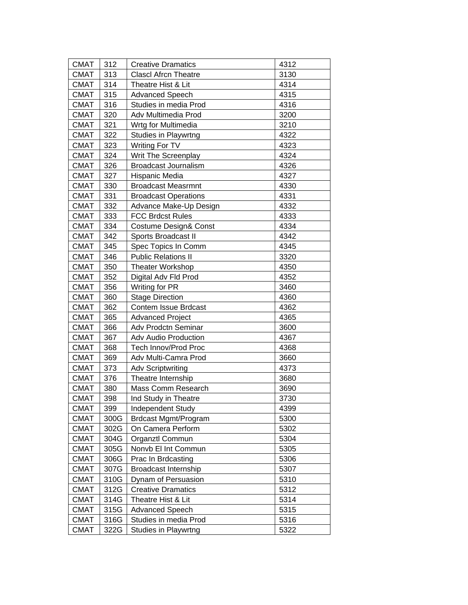| <b>CMAT</b> | 312  | <b>Creative Dramatics</b>        | 4312 |
|-------------|------|----------------------------------|------|
| <b>CMAT</b> | 313  | <b>Clascl Afrcn Theatre</b>      | 3130 |
| <b>CMAT</b> | 314  | Theatre Hist & Lit               | 4314 |
| <b>CMAT</b> | 315  | <b>Advanced Speech</b>           | 4315 |
| <b>CMAT</b> | 316  | Studies in media Prod            | 4316 |
| <b>CMAT</b> | 320  | Adv Multimedia Prod              | 3200 |
| <b>CMAT</b> | 321  | Wrtg for Multimedia              | 3210 |
| <b>CMAT</b> | 322  | <b>Studies in Playwrtng</b>      | 4322 |
| <b>CMAT</b> | 323  | Writing For TV                   | 4323 |
| <b>CMAT</b> | 324  | Writ The Screenplay              | 4324 |
| <b>CMAT</b> | 326  | <b>Broadcast Journalism</b>      | 4326 |
| <b>CMAT</b> | 327  | Hispanic Media                   | 4327 |
| <b>CMAT</b> | 330  | <b>Broadcast Measrmnt</b>        | 4330 |
| <b>CMAT</b> | 331  | <b>Broadcast Operations</b>      | 4331 |
| <b>CMAT</b> | 332  | Advance Make-Up Design           | 4332 |
| <b>CMAT</b> | 333  | <b>FCC Brdcst Rules</b>          | 4333 |
| <b>CMAT</b> | 334  | <b>Costume Design&amp; Const</b> | 4334 |
| <b>CMAT</b> | 342  | Sports Broadcast II              | 4342 |
| <b>CMAT</b> | 345  | Spec Topics In Comm              | 4345 |
| <b>CMAT</b> | 346  | <b>Public Relations II</b>       | 3320 |
| <b>CMAT</b> | 350  | Theater Workshop                 | 4350 |
| <b>CMAT</b> | 352  | Digital Adv Fld Prod             | 4352 |
| <b>CMAT</b> | 356  | Writing for PR                   | 3460 |
| <b>CMAT</b> | 360  | <b>Stage Direction</b>           | 4360 |
| <b>CMAT</b> | 362  | Contem Issue Brdcast             | 4362 |
| <b>CMAT</b> | 365  | <b>Advanced Project</b>          | 4365 |
| <b>CMAT</b> | 366  | Adv Prodctn Seminar              | 3600 |
| <b>CMAT</b> | 367  | Adv Audio Production             | 4367 |
| <b>CMAT</b> | 368  | Tech Innov/Prod Proc             | 4368 |
| <b>CMAT</b> | 369  | Adv Multi-Camra Prod             | 3660 |
| <b>CMAT</b> | 373  | <b>Adv Scriptwriting</b>         | 4373 |
| <b>CMAT</b> | 376  | Theatre Internship               | 3680 |
| <b>CMAT</b> | 380  | Mass Comm Research               | 3690 |
| <b>CMAT</b> | 398  | Ind Study in Theatre             | 3730 |
| <b>CMAT</b> | 399  | Independent Study                | 4399 |
| <b>CMAT</b> | 300G | <b>Brdcast Mgmt/Program</b>      | 5300 |
| <b>CMAT</b> | 302G | On Camera Perform                | 5302 |
| CMAT        | 304G | Organztl Commun                  | 5304 |
| <b>CMAT</b> | 305G | Nonvb El Int Commun              | 5305 |
| <b>CMAT</b> | 306G | Prac In Brdcasting               | 5306 |
| <b>CMAT</b> | 307G | <b>Broadcast Internship</b>      | 5307 |
| <b>CMAT</b> | 310G | Dynam of Persuasion              | 5310 |
| <b>CMAT</b> | 312G | <b>Creative Dramatics</b>        | 5312 |
| <b>CMAT</b> | 314G | Theatre Hist & Lit               | 5314 |
| <b>CMAT</b> | 315G | <b>Advanced Speech</b>           | 5315 |
| <b>CMAT</b> | 316G | Studies in media Prod            | 5316 |
| <b>CMAT</b> | 322G | <b>Studies in Playwrtng</b>      | 5322 |
|             |      |                                  |      |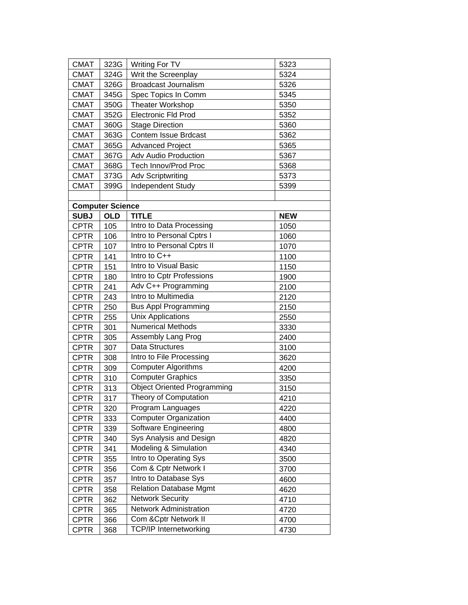| <b>CMAT</b> | 323G                    | Writing For TV                     | 5323       |
|-------------|-------------------------|------------------------------------|------------|
| <b>CMAT</b> | 324G                    | Writ the Screenplay                | 5324       |
| <b>CMAT</b> | 326G                    | <b>Broadcast Journalism</b>        | 5326       |
| <b>CMAT</b> | 345G                    | Spec Topics In Comm                | 5345       |
| <b>CMAT</b> | 350G                    | Theater Workshop                   | 5350       |
| <b>CMAT</b> | 352G                    | <b>Electronic Fld Prod</b>         | 5352       |
| <b>CMAT</b> | 360G                    | <b>Stage Direction</b>             | 5360       |
| <b>CMAT</b> | 363G                    | Contem Issue Brdcast               | 5362       |
| <b>CMAT</b> | 365G                    | <b>Advanced Project</b>            | 5365       |
| <b>CMAT</b> | 367G                    | <b>Adv Audio Production</b>        | 5367       |
| <b>CMAT</b> | 368G                    | <b>Tech Innov/Prod Proc</b>        | 5368       |
| <b>CMAT</b> | 373G                    | <b>Adv Scriptwriting</b>           | 5373       |
| <b>CMAT</b> | 399G                    | Independent Study                  | 5399       |
|             |                         |                                    |            |
|             | <b>Computer Science</b> |                                    |            |
| <b>SUBJ</b> | <b>OLD</b>              | <b>TITLE</b>                       | <b>NEW</b> |
| <b>CPTR</b> | 105                     | Intro to Data Processing           | 1050       |
| <b>CPTR</b> | 106                     | Intro to Personal Cptrs I          | 1060       |
| <b>CPTR</b> | 107                     | Intro to Personal Cptrs II         | 1070       |
| <b>CPTR</b> | 141                     | Intro to C++                       | 1100       |
| <b>CPTR</b> | 151                     | Intro to Visual Basic              | 1150       |
| <b>CPTR</b> | 180                     | Intro to Cptr Professions          | 1900       |
| <b>CPTR</b> | 241                     | Adv C++ Programming                | 2100       |
| <b>CPTR</b> | 243                     | Intro to Multimedia                | 2120       |
| <b>CPTR</b> | 250                     | <b>Bus Appl Programming</b>        | 2150       |
| <b>CPTR</b> | 255                     | <b>Unix Applications</b>           | 2550       |
| <b>CPTR</b> | 301                     | <b>Numerical Methods</b>           | 3330       |
| <b>CPTR</b> | 305                     | Assembly Lang Prog                 | 2400       |
| <b>CPTR</b> | 307                     | Data Structures                    | 3100       |
| <b>CPTR</b> | 308                     | Intro to File Processing           | 3620       |
| <b>CPTR</b> | 309                     | Computer Algorithms                | 4200       |
| <b>CPTR</b> | 310                     | Computer Graphics                  | 3350       |
| <b>CPTR</b> | 313                     | <b>Object Oriented Programming</b> | 3150       |
| <b>CPTR</b> | 317                     | Theory of Computation              | 4210       |
| <b>CPTR</b> | 320                     | Program Languages                  | 4220       |
| <b>CPTR</b> | 333                     | <b>Computer Organization</b>       | 4400       |
| <b>CPTR</b> | 339                     | Software Engineering               | 4800       |
| <b>CPTR</b> | 340                     | <b>Sys Analysis and Design</b>     | 4820       |
| <b>CPTR</b> | 341                     | Modeling & Simulation              | 4340       |
| <b>CPTR</b> | 355                     | Intro to Operating Sys             | 3500       |
| <b>CPTR</b> | 356                     | Com & Cptr Network I               | 3700       |
| <b>CPTR</b> | 357                     | Intro to Database Sys              | 4600       |
| <b>CPTR</b> | 358                     | <b>Relation Database Mgmt</b>      | 4620       |
| <b>CPTR</b> | 362                     | <b>Network Security</b>            | 4710       |
| <b>CPTR</b> | 365                     | <b>Network Administration</b>      | 4720       |
| <b>CPTR</b> | 366                     | Com & Cptr Network II              | 4700       |
| <b>CPTR</b> | 368                     | <b>TCP/IP Internetworking</b>      | 4730       |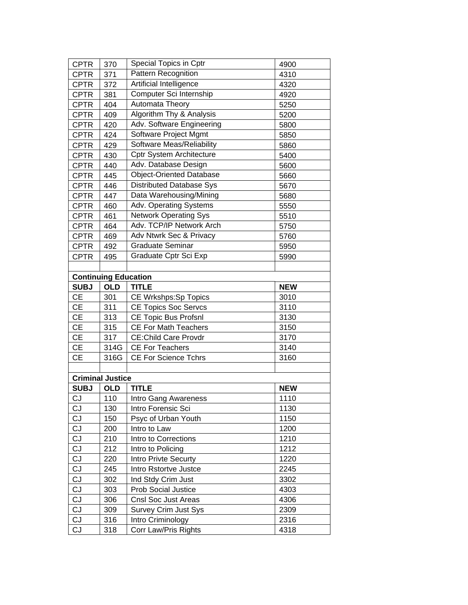| <b>CPTR</b> | 370                         | Special Topics in Cptr          | 4900       |
|-------------|-----------------------------|---------------------------------|------------|
| <b>CPTR</b> | 371                         | <b>Pattern Recognition</b>      | 4310       |
| <b>CPTR</b> | 372                         | Artificial Intelligence         | 4320       |
| <b>CPTR</b> | 381                         | Computer Sci Internship         | 4920       |
| <b>CPTR</b> | 404                         | Automata Theory                 | 5250       |
| <b>CPTR</b> | 409                         | Algorithm Thy & Analysis        | 5200       |
| <b>CPTR</b> | 420                         | Adv. Software Engineering       | 5800       |
| <b>CPTR</b> | 424                         | Software Project Mgmt           | 5850       |
| <b>CPTR</b> | 429                         | Software Meas/Reliability       | 5860       |
| <b>CPTR</b> | 430                         | <b>Cptr System Architecture</b> | 5400       |
| <b>CPTR</b> | 440                         | Adv. Database Design            | 5600       |
| <b>CPTR</b> | 445                         | <b>Object-Oriented Database</b> | 5660       |
| <b>CPTR</b> | 446                         | <b>Distributed Database Sys</b> | 5670       |
| <b>CPTR</b> | 447                         | Data Warehousing/Mining         | 5680       |
| <b>CPTR</b> | 460                         | Adv. Operating Systems          | 5550       |
| <b>CPTR</b> | 461                         | <b>Network Operating Sys</b>    | 5510       |
| <b>CPTR</b> | 464                         | Adv. TCP/IP Network Arch        | 5750       |
| <b>CPTR</b> | 469                         | Adv Ntwrk Sec & Privacy         | 5760       |
| <b>CPTR</b> | 492                         | <b>Graduate Seminar</b>         | 5950       |
| <b>CPTR</b> | 495                         | Graduate Cptr Sci Exp           | 5990       |
|             |                             |                                 |            |
|             | <b>Continuing Education</b> |                                 |            |
| <b>SUBJ</b> | <b>OLD</b>                  | <b>TITLE</b>                    | <b>NEW</b> |
| <b>CE</b>   | 301                         | <b>CE Wrkshps:Sp Topics</b>     | 3010       |
| <b>CE</b>   | 311                         | <b>CE Topics Soc Servcs</b>     | 3110       |
| <b>CE</b>   | 313                         | <b>CE Topic Bus Profsnl</b>     | 3130       |
| СE          | 315                         | <b>CE For Math Teachers</b>     | 3150       |
| <b>CE</b>   | 317                         | <b>CE:Child Care Provdr</b>     | 3170       |
| <b>CE</b>   | 314G                        | <b>CE For Teachers</b>          | 3140       |
| <b>CE</b>   | 316G                        | <b>CE For Science Tchrs</b>     | 3160       |
|             |                             |                                 |            |
|             | <b>Criminal Justice</b>     |                                 |            |
| <b>SUBJ</b> | <b>OLD</b>                  | <b>TITLE</b>                    | <b>NEW</b> |
| CJ          | 110                         | Intro Gang Awareness            | 1110       |
| CJ          | 130                         | Intro Forensic Sci              | 1130       |
| CJ          | 150                         | Psyc of Urban Youth             | 1150       |
| CJ          | 200                         | Intro to Law                    | 1200       |
| CJ          | 210                         | Intro to Corrections            | 1210       |
| CJ          | 212                         | Intro to Policing               | 1212       |
| CJ          | 220                         | Intro Privte Securty            | 1220       |
| CJ          | 245                         | Intro Rstortve Justce           | 2245       |
| CJ          | 302                         | Ind Stdy Crim Just              | 3302       |
| CJ          | 303                         | <b>Prob Social Justice</b>      | 4303       |
| CJ          | 306                         | Cnsl Soc Just Areas             | 4306       |
| CJ          |                             |                                 |            |
|             | 309                         | <b>Survey Crim Just Sys</b>     | 2309       |
| CJ          | 316                         | Intro Criminology               | 2316       |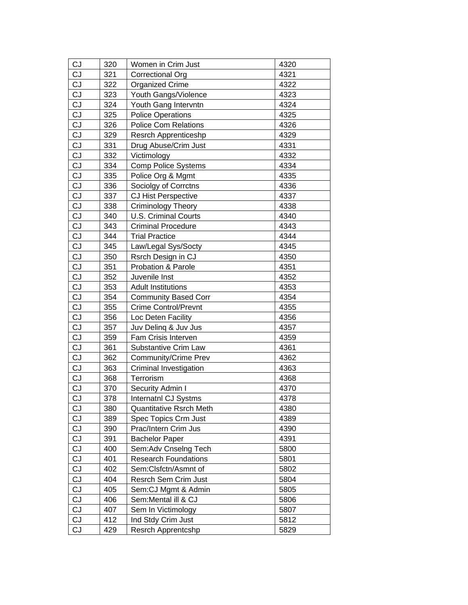| CJ | 320 | Women in Crim Just             | 4320 |
|----|-----|--------------------------------|------|
| CJ | 321 | Correctional Org               | 4321 |
| CJ | 322 | <b>Organized Crime</b>         | 4322 |
| CJ | 323 | Youth Gangs/Violence           | 4323 |
| CJ | 324 | Youth Gang Intervntn           | 4324 |
| CJ | 325 | <b>Police Operations</b>       | 4325 |
| CJ | 326 | <b>Police Com Relations</b>    | 4326 |
| CJ | 329 | Resrch Apprenticeshp           | 4329 |
| CJ | 331 | Drug Abuse/Crim Just           | 4331 |
| CJ | 332 | Victimology                    | 4332 |
| CJ | 334 | <b>Comp Police Systems</b>     | 4334 |
| CJ | 335 | Police Org & Mgmt              | 4335 |
| CJ | 336 | Sociolgy of Corrctns           | 4336 |
| CJ | 337 | <b>CJ Hist Perspective</b>     | 4337 |
| CJ | 338 | Criminology Theory             | 4338 |
| CJ | 340 | U.S. Criminal Courts           | 4340 |
| CJ | 343 | <b>Criminal Procedure</b>      | 4343 |
| CJ | 344 | <b>Trial Practice</b>          | 4344 |
| CJ | 345 | Law/Legal Sys/Socty            | 4345 |
| CJ | 350 | Rsrch Design in CJ             | 4350 |
| CJ | 351 | Probation & Parole             | 4351 |
| CJ | 352 | Juvenile Inst                  | 4352 |
| CJ | 353 | <b>Adult Institutions</b>      | 4353 |
| CJ | 354 | <b>Community Based Corr</b>    | 4354 |
| CJ | 355 | <b>Crime Control/Prevnt</b>    | 4355 |
| CJ | 356 | Loc Deten Facility             | 4356 |
| CJ | 357 | Juv Deling & Juv Jus           | 4357 |
| CJ | 359 | Fam Crisis Interven            | 4359 |
| CJ | 361 | Substantive Crim Law           | 4361 |
| CJ | 362 | <b>Community/Crime Prev</b>    | 4362 |
| CJ | 363 | Criminal Investigation         | 4363 |
| CJ | 368 | Terrorism                      | 4368 |
| CJ | 370 | Security Admin I               | 4370 |
| CJ | 378 | Internatnl CJ Systms           | 4378 |
| CJ | 380 | <b>Quantitative Rsrch Meth</b> | 4380 |
| CJ | 389 | Spec Topics Crm Just           | 4389 |
| CJ | 390 | Prac/Intern Crim Jus           | 4390 |
| CJ | 391 | <b>Bachelor Paper</b>          | 4391 |
| CJ | 400 | Sem:Adv Cnselng Tech           | 5800 |
| CJ | 401 | <b>Research Foundations</b>    | 5801 |
| CJ | 402 | Sem:Clsfctn/Asmnt of           | 5802 |
| CJ | 404 | Resrch Sem Crim Just           | 5804 |
| CJ | 405 | Sem: CJ Mgmt & Admin           | 5805 |
| CJ | 406 | Sem:Mental ill & CJ            | 5806 |
| CJ | 407 | Sem In Victimology             | 5807 |
| CJ | 412 | Ind Stdy Crim Just             | 5812 |
| CJ | 429 | Resrch Apprentcshp             | 5829 |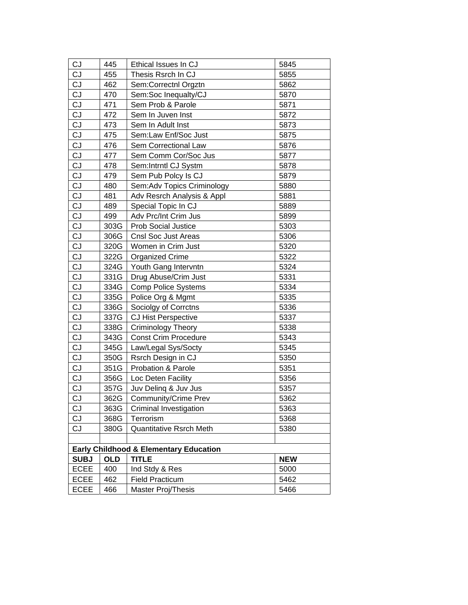| CJ             | 445        | Ethical Issues In CJ                              | 5845       |
|----------------|------------|---------------------------------------------------|------------|
| CJ             | 455        | Thesis Rsrch In CJ                                | 5855       |
| CJ             | 462        | Sem:Correctnl Orgztn                              | 5862       |
| CJ             | 470        | Sem:Soc Inequalty/CJ                              | 5870       |
| CJ             | 471        | Sem Prob & Parole                                 | 5871       |
| CJ             | 472        | Sem In Juven Inst                                 | 5872       |
| CJ             | 473        | Sem In Adult Inst                                 | 5873       |
| CJ             | 475        | Sem:Law Enf/Soc Just                              | 5875       |
| CJ             | 476        | Sem Correctional Law                              | 5876       |
| CJ             | 477        | Sem Comm Cor/Soc Jus                              | 5877       |
| CJ             | 478        | Sem:Intrntl CJ Systm                              | 5878       |
| CJ             | 479        | Sem Pub Polcy Is CJ                               | 5879       |
| CJ             | 480        | Sem:Adv Topics Criminology                        | 5880       |
| CJ             | 481        | Adv Resrch Analysis & Appl                        | 5881       |
| CJ             | 489        | Special Topic In CJ                               | 5889       |
| CJ             | 499        | Adv Prc/Int Crim Jus                              | 5899       |
| CJ             | 303G       | Prob Social Justice                               | 5303       |
| CJ             | 306G       | <b>Cnsl Soc Just Areas</b>                        | 5306       |
| CJ             | 320G       | Women in Crim Just                                | 5320       |
| CJ             | 322G       | <b>Organized Crime</b>                            | 5322       |
| CJ             | 324G       | Youth Gang Intervntn                              | 5324       |
| CJ             | 331G       | Drug Abuse/Crim Just                              | 5331       |
| CJ             | 334G       | <b>Comp Police Systems</b>                        | 5334       |
| CJ             | 335G       | Police Org & Mgmt                                 | 5335       |
| CJ             | 336G       | Sociolgy of Corrctns                              | 5336       |
| CJ             | 337G       | CJ Hist Perspective                               | 5337       |
| CJ             | 338G       | Criminology Theory                                | 5338       |
| CJ             | 343G       | <b>Const Crim Procedure</b>                       | 5343       |
| CJ             | 345G       | Law/Legal Sys/Socty                               | 5345       |
| CJ             | 350G       | Rsrch Design in CJ                                | 5350       |
| CJ             | 351G       | Probation & Parole                                | 5351       |
| $\overline{c}$ | 356G       | Loc Deten Facility                                | 5356       |
| CJ             | 357G       | Juv Deling & Juv Jus                              | 5357       |
| CJ             | 362G       | <b>Community/Crime Prev</b>                       | 5362       |
| CJ             | 363G       | Criminal Investigation                            | 5363       |
| CJ             | 368G       | Terrorism                                         | 5368       |
| CJ             | 380G       | <b>Quantitative Rsrch Meth</b>                    | 5380       |
|                |            |                                                   |            |
|                |            | <b>Early Childhood &amp; Elementary Education</b> |            |
| <b>SUBJ</b>    | <b>OLD</b> | <b>TITLE</b>                                      | <b>NEW</b> |
| <b>ECEE</b>    | 400        | Ind Stdy & Res                                    | 5000       |
| <b>ECEE</b>    | 462        | <b>Field Practicum</b>                            | 5462       |
| <b>ECEE</b>    | 466        | <b>Master Proj/Thesis</b>                         | 5466       |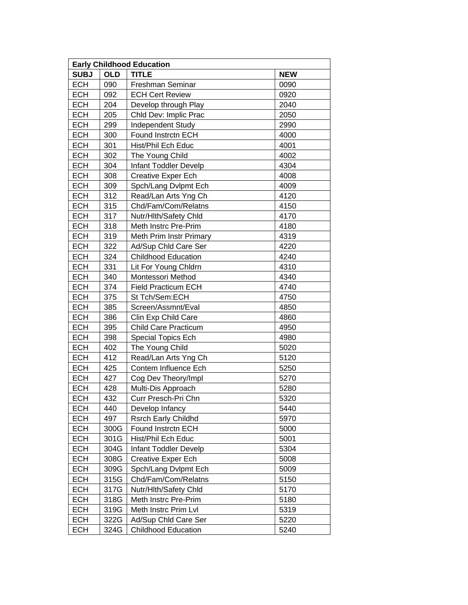| <b>Early Childhood Education</b> |            |                              |            |  |
|----------------------------------|------------|------------------------------|------------|--|
| <b>SUBJ</b>                      | <b>OLD</b> | <b>TITLE</b>                 | <b>NEW</b> |  |
| <b>ECH</b>                       | 090        | Freshman Seminar             | 0090       |  |
| <b>ECH</b>                       | 092        | <b>ECH Cert Review</b>       | 0920       |  |
| <b>ECH</b>                       | 204        | Develop through Play         | 2040       |  |
| <b>ECH</b>                       | 205        | Chld Dev: Implic Prac        | 2050       |  |
| <b>ECH</b>                       | 299        | Independent Study            | 2990       |  |
| <b>ECH</b>                       | 300        | Found Instrctn ECH           | 4000       |  |
| <b>ECH</b>                       | 301        | Hist/Phil Ech Educ           | 4001       |  |
| <b>ECH</b>                       | 302        | The Young Child              | 4002       |  |
| <b>ECH</b>                       | 304        | Infant Toddler Develp        | 4304       |  |
| <b>ECH</b>                       | 308        | <b>Creative Exper Ech</b>    | 4008       |  |
| <b>ECH</b>                       | 309        | Spch/Lang Dvlpmt Ech         | 4009       |  |
| <b>ECH</b>                       | 312        | Read/Lan Arts Yng Ch         | 4120       |  |
| <b>ECH</b>                       | 315        | Chd/Fam/Com/Relatns          | 4150       |  |
| <b>ECH</b>                       | 317        | Nutr/Hlth/Safety Chld        | 4170       |  |
| <b>ECH</b>                       | 318        | Meth Instrc Pre-Prim         | 4180       |  |
| <b>ECH</b>                       | 319        | Meth Prim Instr Primary      | 4319       |  |
| <b>ECH</b>                       | 322        | Ad/Sup Chld Care Ser         | 4220       |  |
| <b>ECH</b>                       | 324        | <b>Childhood Education</b>   | 4240       |  |
| <b>ECH</b>                       | 331        | Lit For Young Chldrn         | 4310       |  |
| <b>ECH</b>                       | 340        | Montessori Method            | 4340       |  |
| <b>ECH</b>                       | 374        | <b>Field Practicum ECH</b>   | 4740       |  |
| <b>ECH</b>                       | 375        | St Tch/Sem:ECH               | 4750       |  |
| <b>ECH</b>                       | 385        | Screen/Assmnt/Eval           | 4850       |  |
| <b>ECH</b>                       | 386        | Clin Exp Child Care          | 4860       |  |
| <b>ECH</b>                       | 395        | <b>Child Care Practicum</b>  | 4950       |  |
| <b>ECH</b>                       | 398        | <b>Special Topics Ech</b>    | 4980       |  |
| <b>ECH</b>                       | 402        | The Young Child              | 5020       |  |
| <b>ECH</b>                       | 412        | Read/Lan Arts Yng Ch         | 5120       |  |
| <b>ECH</b>                       | 425        | Contem Influence Ech         | 5250       |  |
| <b>ECH</b>                       | 427        | Cog Dev Theory/Impl          | 5270       |  |
| <b>ECH</b>                       | 428        | Multi-Dis Approach           | 5280       |  |
| <b>ECH</b>                       | 432        | Curr Presch-Pri Chn          | 5320       |  |
| <b>ECH</b>                       | 440        | Develop Infancy              | 5440       |  |
| <b>ECH</b>                       | 497        | <b>Rsrch Early Childhd</b>   | 5970       |  |
| <b>ECH</b>                       | 300G       | Found Instrctn ECH           | 5000       |  |
| <b>ECH</b>                       | 301G       | Hist/Phil Ech Educ           | 5001       |  |
| <b>ECH</b>                       | 304G       | <b>Infant Toddler Develp</b> | 5304       |  |
| <b>ECH</b>                       | 308G       | <b>Creative Exper Ech</b>    | 5008       |  |
| <b>ECH</b>                       | 309G       | Spch/Lang Dvlpmt Ech         | 5009       |  |
| <b>ECH</b>                       | 315G       | Chd/Fam/Com/Relatns          | 5150       |  |
| <b>ECH</b>                       | 317G       | Nutr/Hlth/Safety Chld        | 5170       |  |
| <b>ECH</b>                       | 318G       | Meth Instrc Pre-Prim         | 5180       |  |
| <b>ECH</b>                       | 319G       | Meth Instrc Prim Lvl         | 5319       |  |
| <b>ECH</b>                       | 322G       | Ad/Sup Chld Care Ser         | 5220       |  |
| <b>ECH</b>                       | 324G       | <b>Childhood Education</b>   | 5240       |  |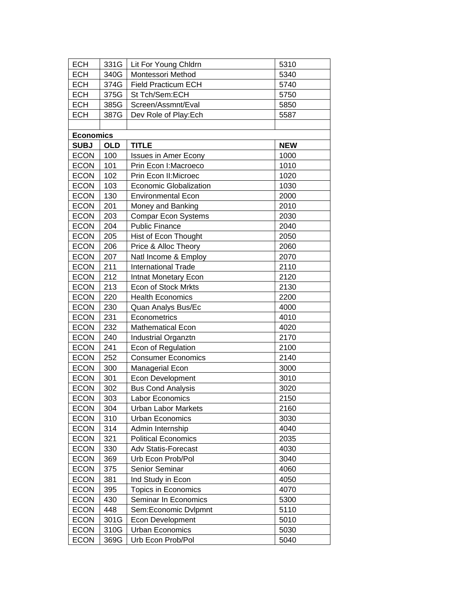| <b>ECH</b>       |              |                                           |              |
|------------------|--------------|-------------------------------------------|--------------|
| <b>ECH</b>       | 331G<br>340G | Lit For Young Chldrn<br>Montessori Method | 5310<br>5340 |
| <b>ECH</b>       | 374G         | <b>Field Practicum ECH</b>                | 5740         |
| <b>ECH</b>       | 375G         | St Tch/Sem:ECH                            | 5750         |
| <b>ECH</b>       | 385G         | Screen/Assmnt/Eval                        | 5850         |
| <b>ECH</b>       | 387G         | Dev Role of Play:Ech                      | 5587         |
|                  |              |                                           |              |
| <b>Economics</b> |              |                                           |              |
| <b>SUBJ</b>      | <b>OLD</b>   | <b>TITLE</b>                              | <b>NEW</b>   |
| <b>ECON</b>      | 100          | <b>Issues in Amer Econy</b>               | 1000         |
| <b>ECON</b>      | 101          | Prin Econ I: Macroeco                     | 1010         |
| <b>ECON</b>      | 102          | Prin Econ II: Microec                     | 1020         |
| <b>ECON</b>      | 103          | Economic Globalization                    | 1030         |
| <b>ECON</b>      | 130          | <b>Environmental Econ</b>                 | 2000         |
| <b>ECON</b>      | 201          | Money and Banking                         | 2010         |
| <b>ECON</b>      | 203          | <b>Compar Econ Systems</b>                | 2030         |
| <b>ECON</b>      | 204          | <b>Public Finance</b>                     | 2040         |
| <b>ECON</b>      | 205          | Hist of Econ Thought                      | 2050         |
| <b>ECON</b>      | 206          | Price & Alloc Theory                      | 2060         |
| <b>ECON</b>      | 207          | Natl Income & Employ                      | 2070         |
| <b>ECON</b>      | 211          | <b>International Trade</b>                | 2110         |
| <b>ECON</b>      | 212          | Intnat Monetary Econ                      | 2120         |
| <b>ECON</b>      | 213          | <b>Econ of Stock Mrkts</b>                | 2130         |
| <b>ECON</b>      | 220          | <b>Health Economics</b>                   | 2200         |
| <b>ECON</b>      | 230          | Quan Analys Bus/Ec                        | 4000         |
| <b>ECON</b>      | 231          | Econometrics                              | 4010         |
| <b>ECON</b>      | 232          | <b>Mathematical Econ</b>                  | 4020         |
| <b>ECON</b>      | 240          | Industrial Organztn                       | 2170         |
| <b>ECON</b>      | 241          | Econ of Regulation                        | 2100         |
| <b>ECON</b>      | 252          | <b>Consumer Economics</b>                 | 2140         |
| <b>ECON</b>      | 300          | Managerial Econ                           | 3000         |
| <b>ECON</b>      | 301          | Econ Development                          | 3010         |
| <b>ECON</b>      | 302          | <b>Bus Cond Analysis</b>                  | 3020         |
| <b>ECON</b>      | 303          | Labor Economics                           | 2150         |
| <b>ECON</b>      | 304          | <b>Urban Labor Markets</b>                | 2160         |
| <b>ECON</b>      | 310          | Urban Economics                           | 3030         |
| <b>ECON</b>      | 314          | Admin Internship                          | 4040         |
| <b>ECON</b>      | 321          | <b>Political Economics</b>                | 2035         |
| <b>ECON</b>      | 330          | <b>Adv Statis-Forecast</b>                | 4030         |
| <b>ECON</b>      | 369          | Urb Econ Prob/Pol                         | 3040         |
| <b>ECON</b>      | 375          | <b>Senior Seminar</b>                     | 4060         |
| <b>ECON</b>      | 381          | Ind Study in Econ                         | 4050         |
| <b>ECON</b>      | 395          | <b>Topics in Economics</b>                | 4070         |
| <b>ECON</b>      | 430          | Seminar In Economics                      | 5300         |
| <b>ECON</b>      | 448          | Sem:Economic Dvlpmnt                      | 5110         |
| <b>ECON</b>      | 301G         | <b>Econ Development</b>                   | 5010         |
| <b>ECON</b>      | 310G         | <b>Urban Economics</b>                    | 5030         |
| <b>ECON</b>      | 369G         | Urb Econ Prob/Pol                         | 5040         |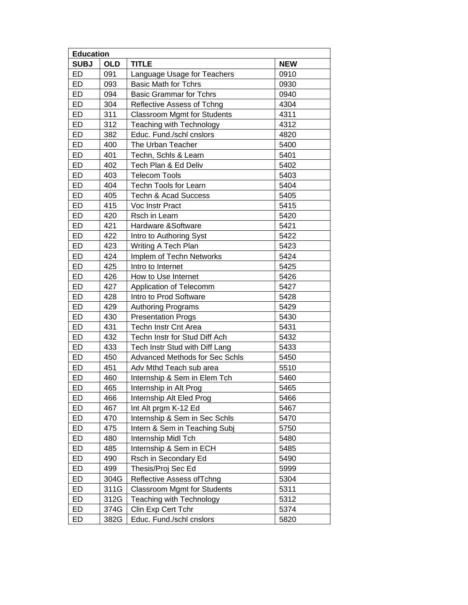| <b>Education</b> |            |                                       |            |  |
|------------------|------------|---------------------------------------|------------|--|
| <b>SUBJ</b>      | <b>OLD</b> | <b>TITLE</b>                          | <b>NEW</b> |  |
| ED               | 091        | Language Usage for Teachers           | 0910       |  |
| ED               | 093        | <b>Basic Math for Tchrs</b>           | 0930       |  |
| ED               | 094        | <b>Basic Grammar for Tchrs</b>        | 0940       |  |
| <b>ED</b>        | 304        | Reflective Assess of Tchng            | 4304       |  |
| <b>ED</b>        | 311        | <b>Classroom Mgmt for Students</b>    | 4311       |  |
| ED               | 312        | Teaching with Technology              | 4312       |  |
| <b>ED</b>        | 382        | Educ. Fund./schl cnslors              | 4820       |  |
| ED               | 400        | The Urban Teacher                     | 5400       |  |
| <b>ED</b>        | 401        | Techn, Schls & Learn                  | 5401       |  |
| <b>ED</b>        | 402        | Tech Plan & Ed Deliv                  | 5402       |  |
| ED               | 403        | <b>Telecom Tools</b>                  | 5403       |  |
| <b>ED</b>        | 404        | Techn Tools for Learn                 | 5404       |  |
| ED               | 405        | Techn & Acad Success                  | 5405       |  |
| <b>ED</b>        | 415        | Voc Instr Pract                       | 5415       |  |
| ED               | 420        | Rsch in Learn                         | 5420       |  |
| ED               | 421        | Hardware &Software                    | 5421       |  |
| <b>ED</b>        | 422        | Intro to Authoring Syst               | 5422       |  |
| <b>ED</b>        | 423        | Writing A Tech Plan                   | 5423       |  |
| <b>ED</b>        | 424        | Implem of Techn Networks              | 5424       |  |
| <b>ED</b>        | 425        | Intro to Internet                     | 5425       |  |
| ED               | 426        | How to Use Internet                   | 5426       |  |
| ED               | 427        | Application of Telecomm               | 5427       |  |
| ED               | 428        | Intro to Prod Software                | 5428       |  |
| <b>ED</b>        | 429        | Authoring Programs                    | 5429       |  |
| ED               | 430        | <b>Presentation Progs</b>             | 5430       |  |
| ED               | 431        | <b>Techn Instr Cnt Area</b>           | 5431       |  |
| ED               | 432        | Techn Instr for Stud Diff Ach         | 5432       |  |
| <b>ED</b>        | 433        | Tech Instr Stud with Diff Lang        | 5433       |  |
| <b>ED</b>        | 450        | <b>Advanced Methods for Sec Schls</b> | 5450       |  |
| ED               | 451        | Adv Mthd Teach sub area               | 5510       |  |
| <b>ED</b>        | 460        | Internship & Sem in Elem Tch          | 5460       |  |
| ED               | 465        | Internship in Alt Prog                | 5465       |  |
| ED               | 466        | Internship Alt Eled Prog              | 5466       |  |
| ED               | 467        | Int Alt prgm K-12 Ed                  | 5467       |  |
| ED               | 470        | Internship & Sem in Sec Schls         | 5470       |  |
| ED               | 475        | Intern & Sem in Teaching Subj         | 5750       |  |
| ED               | 480        | Internship Midl Tch                   | 5480       |  |
| ED               | 485        | Internship & Sem in ECH               | 5485       |  |
| ED               | 490        | Rsch in Secondary Ed                  | 5490       |  |
| ED               | 499        | Thesis/Proj Sec Ed                    | 5999       |  |
| ED               | 304G       | Reflective Assess of Tchng            | 5304       |  |
| ED               | 311G       | <b>Classroom Mgmt for Students</b>    | 5311       |  |
| ED               | 312G       | Teaching with Technology              | 5312       |  |
| ED               | 374G       | Clin Exp Cert Tchr                    | 5374       |  |
| ED               | 382G       | Educ. Fund./schl cnslors              | 5820       |  |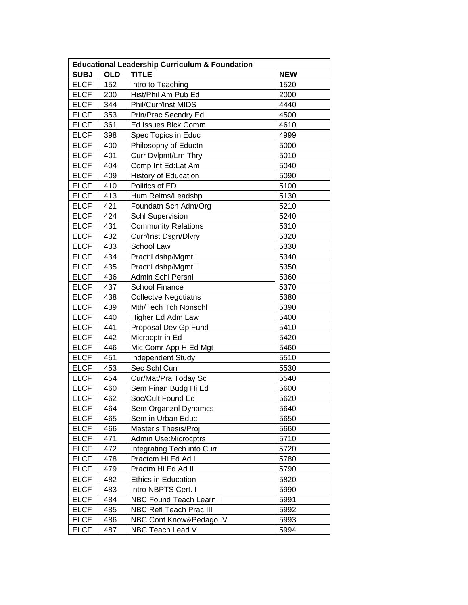|             | <b>Educational Leadership Curriculum &amp; Foundation</b> |                             |            |  |  |
|-------------|-----------------------------------------------------------|-----------------------------|------------|--|--|
| <b>SUBJ</b> | <b>OLD</b>                                                | <b>TITLE</b>                | <b>NEW</b> |  |  |
| <b>ELCF</b> | 152                                                       | Intro to Teaching           | 1520       |  |  |
| <b>ELCF</b> | 200                                                       | Hist/Phil Am Pub Ed         | 2000       |  |  |
| <b>ELCF</b> | 344                                                       | Phil/Curr/Inst MIDS         | 4440       |  |  |
| <b>ELCF</b> | 353                                                       | Prin/Prac Secndry Ed        | 4500       |  |  |
| <b>ELCF</b> | 361                                                       | Ed Issues Blck Comm         | 4610       |  |  |
| <b>ELCF</b> | 398                                                       | Spec Topics in Educ         | 4999       |  |  |
| <b>ELCF</b> | 400                                                       | Philosophy of Eductn        | 5000       |  |  |
| <b>ELCF</b> | 401                                                       | Curr Dvlpmt/Lrn Thry        | 5010       |  |  |
| <b>ELCF</b> | 404                                                       | Comp Int Ed:Lat Am          | 5040       |  |  |
| <b>ELCF</b> | 409                                                       | <b>History of Education</b> | 5090       |  |  |
| <b>ELCF</b> | 410                                                       | Politics of ED              | 5100       |  |  |
| <b>ELCF</b> | 413                                                       | Hum Reltns/Leadshp          | 5130       |  |  |
| <b>ELCF</b> | 421                                                       | Foundatn Sch Adm/Org        | 5210       |  |  |
| <b>ELCF</b> | 424                                                       | <b>Schl Supervision</b>     | 5240       |  |  |
| <b>ELCF</b> | 431                                                       | <b>Community Relations</b>  | 5310       |  |  |
| <b>ELCF</b> | 432                                                       | Curr/Inst Dsgn/Dlvry        | 5320       |  |  |
| <b>ELCF</b> | 433                                                       | School Law                  | 5330       |  |  |
| <b>ELCF</b> | 434                                                       | Pract:Ldshp/Mgmt I          | 5340       |  |  |
| <b>ELCF</b> | 435                                                       | Pract:Ldshp/Mgmt II         | 5350       |  |  |
| <b>ELCF</b> | 436                                                       | Admin Schl Persnl           | 5360       |  |  |
| <b>ELCF</b> | 437                                                       | <b>School Finance</b>       | 5370       |  |  |
| <b>ELCF</b> | 438                                                       | <b>Collectve Negotiatns</b> | 5380       |  |  |
| <b>ELCF</b> | 439                                                       | Mth/Tech Tch Nonschl        | 5390       |  |  |
| <b>ELCF</b> | 440                                                       | Higher Ed Adm Law           | 5400       |  |  |
| <b>ELCF</b> | 441                                                       | Proposal Dev Gp Fund        | 5410       |  |  |
| <b>ELCF</b> | 442                                                       | Microcptr in Ed             | 5420       |  |  |
| <b>ELCF</b> | 446                                                       | Mic Comr App H Ed Mgt       | 5460       |  |  |
| <b>ELCF</b> | 451                                                       | Independent Study           | 5510       |  |  |
| <b>ELCF</b> | 453                                                       | Sec Schl Curr               | 5530       |  |  |
| <b>ELCF</b> | 454                                                       | Cur/Mat/Pra Today Sc        | 5540       |  |  |
| <b>ELCF</b> | 460                                                       | Sem Finan Budg Hi Ed        | 5600       |  |  |
| <b>ELCF</b> | 462                                                       | Soc/Cult Found Ed           | 5620       |  |  |
| <b>ELCF</b> | 464                                                       | Sem Organznl Dynamcs        | 5640       |  |  |
| <b>ELCF</b> | 465                                                       | Sem in Urban Educ           | 5650       |  |  |
| <b>ELCF</b> | 466                                                       | Master's Thesis/Proj        | 5660       |  |  |
| <b>ELCF</b> | 471                                                       | <b>Admin Use:Microcptrs</b> | 5710       |  |  |
| <b>ELCF</b> | 472                                                       | Integrating Tech into Curr  | 5720       |  |  |
| <b>ELCF</b> | 478                                                       | Practcm Hi Ed Ad I          | 5780       |  |  |
| <b>ELCF</b> | 479                                                       | Practm Hi Ed Ad II          | 5790       |  |  |
| <b>ELCF</b> | 482                                                       | <b>Ethics in Education</b>  | 5820       |  |  |
| <b>ELCF</b> | 483                                                       | Intro NBPTS Cert. I         | 5990       |  |  |
| <b>ELCF</b> | 484                                                       | NBC Found Teach Learn II    | 5991       |  |  |
| <b>ELCF</b> | 485                                                       | NBC Refl Teach Prac III     | 5992       |  |  |
| <b>ELCF</b> | 486                                                       | NBC Cont Know&Pedago IV     | 5993       |  |  |
| <b>ELCF</b> | 487                                                       | NBC Teach Lead V            | 5994       |  |  |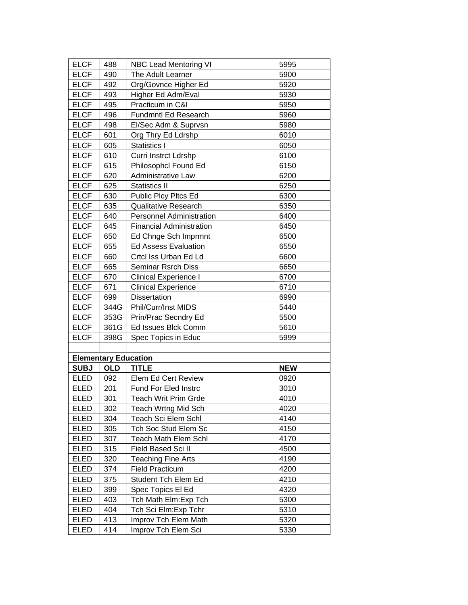| <b>ELCF</b> | 488                         | <b>NBC Lead Mentoring VI</b>    | 5995       |
|-------------|-----------------------------|---------------------------------|------------|
| <b>ELCF</b> | 490                         | The Adult Learner               | 5900       |
| <b>ELCF</b> | 492                         | Org/Govnce Higher Ed            | 5920       |
| <b>ELCF</b> | 493                         | Higher Ed Adm/Eval              | 5930       |
| <b>ELCF</b> | 495                         | Practicum in C&I                | 5950       |
| <b>ELCF</b> | 496                         | Fundmntl Ed Research            | 5960       |
| <b>ELCF</b> | 498                         | El/Sec Adm & Suprvsn            | 5980       |
| <b>ELCF</b> | 601                         | Org Thry Ed Ldrshp              | 6010       |
| <b>ELCF</b> | 605                         | Statistics I                    | 6050       |
| <b>ELCF</b> | 610                         | Curri Instrct Ldrshp            | 6100       |
| <b>ELCF</b> | 615                         | Philosophcl Found Ed            | 6150       |
| <b>ELCF</b> | 620                         | Administrative Law              | 6200       |
| <b>ELCF</b> | 625                         | Statistics II                   | 6250       |
| <b>ELCF</b> | 630                         | Public Plcy Pltcs Ed            | 6300       |
| <b>ELCF</b> | 635                         | Qualitative Research            | 6350       |
| <b>ELCF</b> | 640                         | Personnel Administration        | 6400       |
| <b>ELCF</b> | 645                         | <b>Financial Administration</b> | 6450       |
| <b>ELCF</b> | 650                         | Ed Chnge Sch Imprmnt            | 6500       |
| <b>ELCF</b> | 655                         | <b>Ed Assess Evaluation</b>     | 6550       |
| <b>ELCF</b> | 660                         | Crtcl Iss Urban Ed Ld           | 6600       |
| <b>ELCF</b> | 665                         | Seminar Rsrch Diss              | 6650       |
| <b>ELCF</b> | 670                         | <b>Clinical Experience I</b>    | 6700       |
| <b>ELCF</b> | 671                         | <b>Clinical Experience</b>      | 6710       |
| <b>ELCF</b> | 699                         | <b>Dissertation</b>             | 6990       |
| <b>ELCF</b> | 344G                        | Phil/Curr/Inst MIDS             | 5440       |
| <b>ELCF</b> | 353G                        | Prin/Prac Secndry Ed            | 5500       |
| <b>ELCF</b> | 361G                        | Ed Issues Blck Comm             | 5610       |
| <b>ELCF</b> | 398G                        | Spec Topics in Educ             | 5999       |
|             |                             |                                 |            |
|             | <b>Elementary Education</b> |                                 |            |
| <b>SUBJ</b> | <b>OLD</b>                  | <b>TITLE</b>                    | <b>NEW</b> |
| ELED        | 092                         | Elem Ed Cert Review             | 0920       |
| <b>ELED</b> | 201                         | Fund For Eled Instrc            | 3010       |
| <b>ELED</b> | 301                         | Teach Writ Prim Grde            | 4010       |
| <b>ELED</b> | 302                         | <b>Teach Wrtng Mid Sch</b>      | 4020       |
| <b>ELED</b> | 304                         | Teach Sci Elem Schl             | 4140       |
| <b>ELED</b> | 305                         | Tch Soc Stud Elem Sc            | 4150       |
| <b>ELED</b> | 307                         | Teach Math Elem Schl            | 4170       |
| <b>ELED</b> | 315                         | Field Based Sci II              | 4500       |
| <b>ELED</b> | 320                         | <b>Teaching Fine Arts</b>       | 4190       |
| <b>ELED</b> | 374                         | <b>Field Practicum</b>          | 4200       |
| <b>ELED</b> | 375                         | Student Tch Elem Ed             | 4210       |
| <b>ELED</b> | 399                         | Spec Topics El Ed               | 4320       |
| <b>ELED</b> | 403                         | Tch Math Elm: Exp Tch           | 5300       |
| <b>ELED</b> | 404                         | Tch Sci Elm: Exp Tchr           | 5310       |
| <b>ELED</b> | 413                         | Improv Tch Elem Math            | 5320       |
| <b>ELED</b> | 414                         | Improv Tch Elem Sci             | 5330       |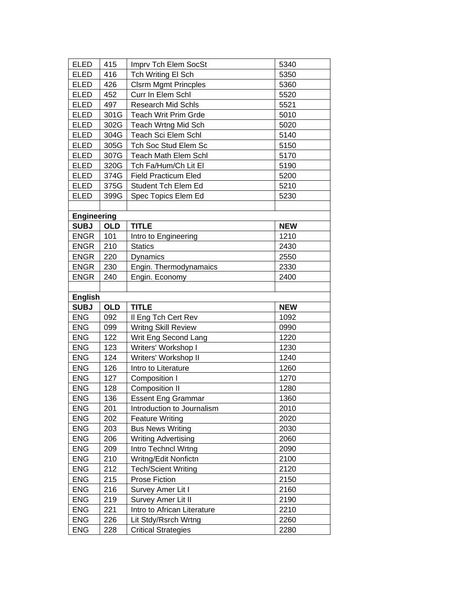| <b>ELED</b>                   | 415        | Imprv Tch Elem SocSt                              | 5340       |
|-------------------------------|------------|---------------------------------------------------|------------|
| <b>ELED</b>                   | 416        | Tch Writing El Sch                                | 5350       |
| <b>ELED</b>                   | 426        | <b>Clsrm Mgmt Princples</b>                       | 5360       |
| <b>ELED</b>                   | 452        | Curr In Elem Schl                                 | 5520       |
| <b>ELED</b>                   | 497        | <b>Research Mid Schls</b>                         | 5521       |
| <b>ELED</b>                   | 301G       | Teach Writ Prim Grde                              | 5010       |
| <b>ELED</b>                   | 302G       | Teach Wrtng Mid Sch                               | 5020       |
| <b>ELED</b>                   | 304G       | Teach Sci Elem Schl                               | 5140       |
| <b>ELED</b>                   | 305G       | Tch Soc Stud Elem Sc                              | 5150       |
| <b>ELED</b>                   | 307G       | <b>Teach Math Elem Schl</b>                       | 5170       |
| <b>ELED</b>                   | 320G       | Tch Fa/Hum/Ch Lit El                              | 5190       |
| <b>ELED</b>                   | 374G       | <b>Field Practicum Eled</b>                       | 5200       |
| <b>ELED</b>                   | 375G       | Student Tch Elem Ed                               | 5210       |
| <b>ELED</b>                   | 399G       | Spec Topics Elem Ed                               | 5230       |
|                               |            |                                                   |            |
| <b>Engineering</b>            |            |                                                   |            |
| <b>SUBJ</b>                   | <b>OLD</b> | <b>TITLE</b>                                      | <b>NEW</b> |
| <b>ENGR</b>                   | 101        | Intro to Engineering                              | 1210       |
| <b>ENGR</b>                   | 210        | <b>Statics</b>                                    | 2430       |
| <b>ENGR</b>                   | 220        | Dynamics                                          | 2550       |
| <b>ENGR</b>                   | 230        | Engin. Thermodynamaics                            | 2330       |
| <b>ENGR</b>                   | 240        | Engin. Economy                                    | 2400       |
|                               |            |                                                   |            |
|                               |            |                                                   |            |
|                               |            |                                                   |            |
| <b>English</b><br><b>SUBJ</b> | <b>OLD</b> | <b>TITLE</b>                                      | <b>NEW</b> |
| <b>ENG</b>                    | 092        |                                                   | 1092       |
| <b>ENG</b>                    | 099        | Il Eng Tch Cert Rev<br><b>Writng Skill Review</b> | 0990       |
| <b>ENG</b>                    | 122        |                                                   | 1220       |
| <b>ENG</b>                    | 123        | Writ Eng Second Lang<br>Writers' Workshop I       | 1230       |
| <b>ENG</b>                    | 124        | Writers' Workshop II                              | 1240       |
| <b>ENG</b>                    | 126        | Intro to Literature                               | 1260       |
| <b>ENG</b>                    | 127        | Composition I                                     | 1270       |
| <b>ENG</b>                    | 128        | <b>Composition II</b>                             | 1280       |
| <b>ENG</b>                    | 136        | <b>Essent Eng Grammar</b>                         | 1360       |
| <b>ENG</b>                    | 201        | Introduction to Journalism                        | 2010       |
| <b>ENG</b>                    | 202        | <b>Feature Writing</b>                            | 2020       |
| <b>ENG</b>                    | 203        | <b>Bus News Writing</b>                           | 2030       |
| <b>ENG</b>                    | 206        | <b>Writing Advertising</b>                        | 2060       |
| <b>ENG</b>                    | 209        | Intro Techncl Wrtng                               | 2090       |
| <b>ENG</b>                    | 210        | Writng/Edit Nonfictn                              | 2100       |
| <b>ENG</b>                    | 212        | <b>Tech/Scient Writing</b>                        | 2120       |
| <b>ENG</b>                    | 215        | Prose Fiction                                     | 2150       |
| <b>ENG</b>                    | 216        | Survey Amer Lit I                                 | 2160       |
| <b>ENG</b>                    | 219        | Survey Amer Lit II                                | 2190       |
| <b>ENG</b>                    | 221        | Intro to African Literature                       | 2210       |
| <b>ENG</b>                    | 226        | Lit Stdy/Rsrch Wrtng                              | 2260       |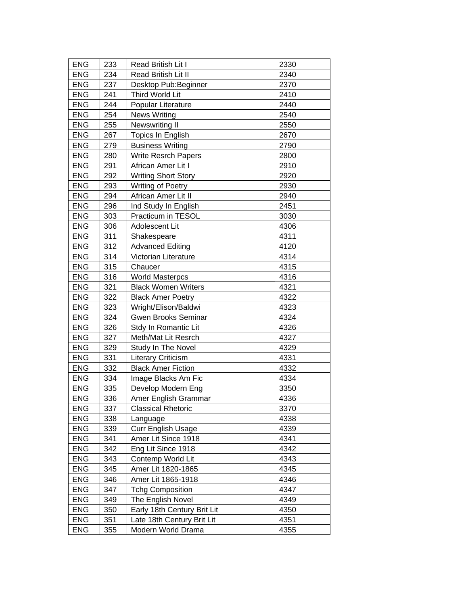| <b>ENG</b> | 233 | Read British Lit I          | 2330 |
|------------|-----|-----------------------------|------|
| <b>ENG</b> | 234 | Read British Lit II         | 2340 |
| <b>ENG</b> | 237 | Desktop Pub: Beginner       | 2370 |
| <b>ENG</b> | 241 | Third World Lit             | 2410 |
| <b>ENG</b> | 244 | Popular Literature          | 2440 |
| <b>ENG</b> | 254 | <b>News Writing</b>         | 2540 |
| <b>ENG</b> | 255 | Newswriting II              | 2550 |
| <b>ENG</b> | 267 | Topics In English           | 2670 |
| <b>ENG</b> | 279 | <b>Business Writing</b>     | 2790 |
| <b>ENG</b> | 280 | Write Resrch Papers         | 2800 |
| <b>ENG</b> | 291 | African Amer Lit I          | 2910 |
| <b>ENG</b> | 292 | <b>Writing Short Story</b>  | 2920 |
| <b>ENG</b> | 293 | <b>Writing of Poetry</b>    | 2930 |
| <b>ENG</b> | 294 | African Amer Lit II         | 2940 |
| <b>ENG</b> | 296 | Ind Study In English        | 2451 |
| <b>ENG</b> | 303 | Practicum in TESOL          | 3030 |
| <b>ENG</b> | 306 | Adolescent Lit              | 4306 |
| <b>ENG</b> | 311 | Shakespeare                 | 4311 |
| <b>ENG</b> | 312 | <b>Advanced Editing</b>     | 4120 |
| <b>ENG</b> | 314 | Victorian Literature        | 4314 |
| <b>ENG</b> | 315 | Chaucer                     | 4315 |
| <b>ENG</b> | 316 | <b>World Masterpcs</b>      | 4316 |
| <b>ENG</b> | 321 | <b>Black Women Writers</b>  | 4321 |
| <b>ENG</b> | 322 | <b>Black Amer Poetry</b>    | 4322 |
| <b>ENG</b> | 323 | Wright/Elison/Baldwi        | 4323 |
| <b>ENG</b> | 324 | <b>Gwen Brooks Seminar</b>  | 4324 |
| <b>ENG</b> | 326 | Stdy In Romantic Lit        | 4326 |
| <b>ENG</b> | 327 | Meth/Mat Lit Resrch         | 4327 |
| <b>ENG</b> | 329 | Study In The Novel          | 4329 |
| <b>ENG</b> | 331 | Literary Criticism          | 4331 |
| <b>ENG</b> | 332 | <b>Black Amer Fiction</b>   | 4332 |
| <b>ENG</b> | 334 | Image Blacks Am Fic         | 4334 |
| <b>ENG</b> | 335 | Develop Modern Eng          | 3350 |
| <b>ENG</b> | 336 | Amer English Grammar        | 4336 |
| <b>ENG</b> | 337 | <b>Classical Rhetoric</b>   | 3370 |
| <b>ENG</b> | 338 | Language                    | 4338 |
| <b>ENG</b> | 339 | <b>Curr English Usage</b>   | 4339 |
| <b>ENG</b> | 341 | Amer Lit Since 1918         | 4341 |
| <b>ENG</b> | 342 | Eng Lit Since 1918          | 4342 |
| <b>ENG</b> | 343 | Contemp World Lit           | 4343 |
| <b>ENG</b> | 345 | Amer Lit 1820-1865          | 4345 |
| <b>ENG</b> | 346 | Amer Lit 1865-1918          | 4346 |
| <b>ENG</b> | 347 | <b>Tchg Composition</b>     | 4347 |
| <b>ENG</b> | 349 | The English Novel           | 4349 |
| <b>ENG</b> | 350 | Early 18th Century Brit Lit | 4350 |
| <b>ENG</b> | 351 | Late 18th Century Brit Lit  | 4351 |
| <b>ENG</b> | 355 | Modern World Drama          | 4355 |
|            |     |                             |      |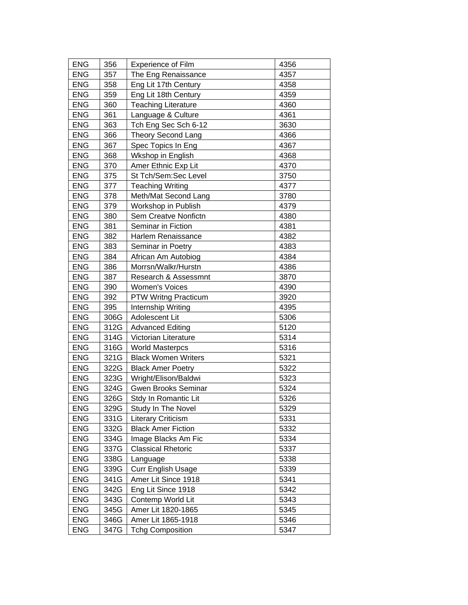| <b>ENG</b> | 356  | <b>Experience of Film</b>   | 4356 |
|------------|------|-----------------------------|------|
| <b>ENG</b> | 357  | The Eng Renaissance         | 4357 |
| <b>ENG</b> | 358  | Eng Lit 17th Century        | 4358 |
| <b>ENG</b> | 359  | Eng Lit 18th Century        | 4359 |
| <b>ENG</b> | 360  | <b>Teaching Literature</b>  | 4360 |
| <b>ENG</b> | 361  | Language & Culture          | 4361 |
| <b>ENG</b> | 363  | Tch Eng Sec Sch 6-12        | 3630 |
| <b>ENG</b> | 366  | Theory Second Lang          | 4366 |
| <b>ENG</b> | 367  | Spec Topics In Eng          | 4367 |
| <b>ENG</b> | 368  | Wkshop in English           | 4368 |
| <b>ENG</b> | 370  | Amer Ethnic Exp Lit         | 4370 |
| <b>ENG</b> | 375  | St Tch/Sem:Sec Level        | 3750 |
| <b>ENG</b> | 377  | <b>Teaching Writing</b>     | 4377 |
| <b>ENG</b> | 378  | Meth/Mat Second Lang        | 3780 |
| <b>ENG</b> | 379  | Workshop in Publish         | 4379 |
| <b>ENG</b> | 380  | Sem Creatve Nonfictn        | 4380 |
| <b>ENG</b> | 381  | Seminar in Fiction          | 4381 |
| <b>ENG</b> | 382  | Harlem Renaissance          | 4382 |
| <b>ENG</b> | 383  | Seminar in Poetry           | 4383 |
| <b>ENG</b> | 384  | African Am Autobiog         | 4384 |
| <b>ENG</b> | 386  | Morrsn/Walkr/Hurstn         | 4386 |
| <b>ENG</b> | 387  | Research & Assessmnt        | 3870 |
| <b>ENG</b> | 390  | <b>Women's Voices</b>       | 4390 |
| <b>ENG</b> | 392  | <b>PTW Writng Practicum</b> | 3920 |
| <b>ENG</b> | 395  | Internship Writing          | 4395 |
| <b>ENG</b> | 306G | Adolescent Lit              | 5306 |
| <b>ENG</b> | 312G | <b>Advanced Editing</b>     | 5120 |
| <b>ENG</b> | 314G | Victorian Literature        | 5314 |
| <b>ENG</b> | 316G | <b>World Masterpcs</b>      | 5316 |
| <b>ENG</b> | 321G | <b>Black Women Writers</b>  | 5321 |
| <b>ENG</b> | 322G | <b>Black Amer Poetry</b>    | 5322 |
| <b>ENG</b> | 323G | Wright/Elison/Baldwi        | 5323 |
| <b>ENG</b> | 324G | <b>Gwen Brooks Seminar</b>  | 5324 |
| <b>ENG</b> | 326G | Stdy In Romantic Lit        | 5326 |
| <b>ENG</b> | 329G | Study In The Novel          | 5329 |
| <b>ENG</b> | 331G | <b>Literary Criticism</b>   | 5331 |
| <b>ENG</b> | 332G | <b>Black Amer Fiction</b>   | 5332 |
| <b>ENG</b> | 334G | Image Blacks Am Fic         | 5334 |
| <b>ENG</b> | 337G | <b>Classical Rhetoric</b>   | 5337 |
| <b>ENG</b> | 338G | Language                    | 5338 |
| <b>ENG</b> | 339G | Curr English Usage          | 5339 |
| <b>ENG</b> | 341G | Amer Lit Since 1918         | 5341 |
| <b>ENG</b> | 342G | Eng Lit Since 1918          | 5342 |
| <b>ENG</b> | 343G | Contemp World Lit           | 5343 |
| <b>ENG</b> | 345G | Amer Lit 1820-1865          | 5345 |
| <b>ENG</b> | 346G | Amer Lit 1865-1918          | 5346 |
| <b>ENG</b> | 347G | <b>Tchg Composition</b>     | 5347 |
|            |      |                             |      |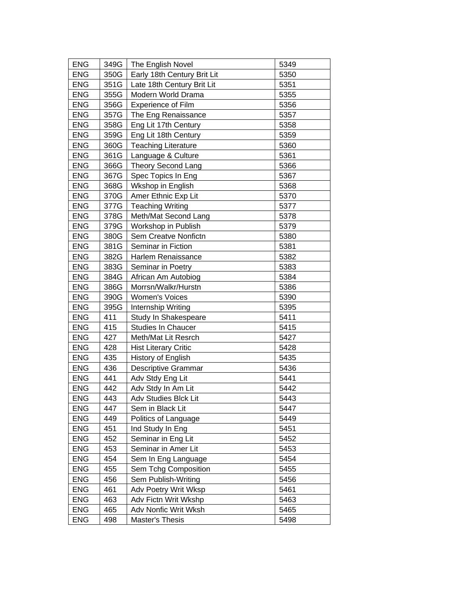| <b>ENG</b> | 349G | The English Novel           | 5349 |
|------------|------|-----------------------------|------|
| <b>ENG</b> | 350G | Early 18th Century Brit Lit | 5350 |
| <b>ENG</b> | 351G | Late 18th Century Brit Lit  | 5351 |
| <b>ENG</b> | 355G | Modern World Drama          | 5355 |
| <b>ENG</b> | 356G | <b>Experience of Film</b>   | 5356 |
| <b>ENG</b> | 357G | The Eng Renaissance         | 5357 |
| <b>ENG</b> | 358G | Eng Lit 17th Century        | 5358 |
| <b>ENG</b> | 359G | Eng Lit 18th Century        | 5359 |
| <b>ENG</b> | 360G | <b>Teaching Literature</b>  | 5360 |
| <b>ENG</b> | 361G | Language & Culture          | 5361 |
| <b>ENG</b> | 366G | <b>Theory Second Lang</b>   | 5366 |
| <b>ENG</b> | 367G | Spec Topics In Eng          | 5367 |
| <b>ENG</b> | 368G | Wkshop in English           | 5368 |
| <b>ENG</b> | 370G | Amer Ethnic Exp Lit         | 5370 |
| <b>ENG</b> | 377G | <b>Teaching Writing</b>     | 5377 |
| <b>ENG</b> | 378G | Meth/Mat Second Lang        | 5378 |
| <b>ENG</b> | 379G | Workshop in Publish         | 5379 |
| <b>ENG</b> | 380G | Sem Creatve Nonfictn        | 5380 |
| <b>ENG</b> | 381G | Seminar in Fiction          | 5381 |
| <b>ENG</b> | 382G | Harlem Renaissance          | 5382 |
| <b>ENG</b> | 383G | Seminar in Poetry           | 5383 |
| <b>ENG</b> | 384G | African Am Autobiog         | 5384 |
| <b>ENG</b> | 386G | Morrsn/Walkr/Hurstn         | 5386 |
| <b>ENG</b> | 390G | Women's Voices              | 5390 |
| <b>ENG</b> | 395G | Internship Writing          | 5395 |
| <b>ENG</b> | 411  | Study In Shakespeare        | 5411 |
| <b>ENG</b> | 415  | Studies In Chaucer          | 5415 |
| <b>ENG</b> | 427  | Meth/Mat Lit Resrch         | 5427 |
| <b>ENG</b> | 428  | <b>Hist Literary Critic</b> | 5428 |
| <b>ENG</b> | 435  | <b>History of English</b>   | 5435 |
| <b>ENG</b> | 436  | <b>Descriptive Grammar</b>  | 5436 |
| <b>ENG</b> | 441  | Adv Stdy Eng Lit            | 5441 |
| <b>ENG</b> | 442  | Adv Stdy In Am Lit          | 5442 |
| <b>ENG</b> | 443  | Adv Studies Blck Lit        | 5443 |
| ENG        | 447  | Sem in Black Lit            | 5447 |
| <b>ENG</b> | 449  | Politics of Language        | 5449 |
| <b>ENG</b> | 451  | Ind Study In Eng            | 5451 |
| <b>ENG</b> | 452  | Seminar in Eng Lit          | 5452 |
| <b>ENG</b> | 453  | Seminar in Amer Lit         | 5453 |
| <b>ENG</b> | 454  | Sem In Eng Language         | 5454 |
| <b>ENG</b> | 455  | Sem Tchg Composition        | 5455 |
| <b>ENG</b> | 456  | Sem Publish-Writing         | 5456 |
| <b>ENG</b> | 461  | Adv Poetry Writ Wksp        | 5461 |
| <b>ENG</b> | 463  | Adv Fictn Writ Wkshp        | 5463 |
| <b>ENG</b> | 465  | Adv Nonfic Writ Wksh        | 5465 |
| <b>ENG</b> | 498  | Master's Thesis             | 5498 |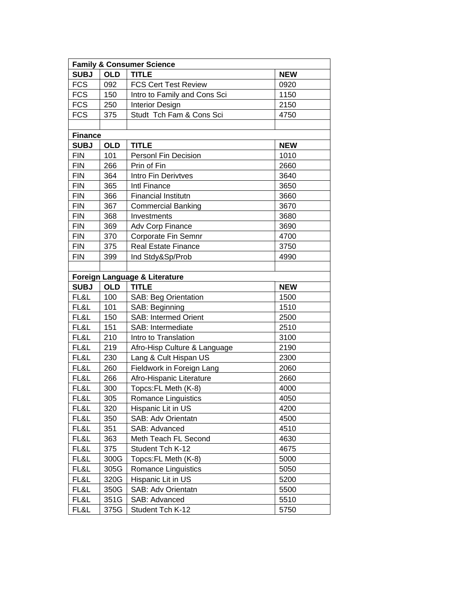| <b>Family &amp; Consumer Science</b> |            |                               |            |  |
|--------------------------------------|------------|-------------------------------|------------|--|
| <b>SUBJ</b>                          | <b>OLD</b> | <b>TITLE</b>                  | <b>NEW</b> |  |
| <b>FCS</b>                           | 092        | <b>FCS Cert Test Review</b>   | 0920       |  |
| <b>FCS</b>                           | 150        | Intro to Family and Cons Sci  | 1150       |  |
| <b>FCS</b>                           | 250        | <b>Interior Design</b>        | 2150       |  |
| <b>FCS</b>                           | 375        | Studt Tch Fam & Cons Sci      | 4750       |  |
|                                      |            |                               |            |  |
| <b>Finance</b>                       |            |                               |            |  |
| <b>SUBJ</b>                          | <b>OLD</b> | <b>TITLE</b>                  | <b>NEW</b> |  |
| <b>FIN</b>                           | 101        | Personl Fin Decision          | 1010       |  |
| <b>FIN</b>                           | 266        | Prin of Fin                   | 2660       |  |
| <b>FIN</b>                           | 364        | Intro Fin Derivtves           | 3640       |  |
| <b>FIN</b>                           | 365        | Intl Finance                  | 3650       |  |
| <b>FIN</b>                           | 366        | <b>Financial Institutn</b>    | 3660       |  |
| <b>FIN</b>                           | 367        | <b>Commercial Banking</b>     | 3670       |  |
| <b>FIN</b>                           | 368        | Investments                   | 3680       |  |
| <b>FIN</b>                           | 369        | Adv Corp Finance              | 3690       |  |
| <b>FIN</b>                           | 370        | Corporate Fin Semnr           | 4700       |  |
| <b>FIN</b>                           | 375        | <b>Real Estate Finance</b>    | 3750       |  |
| <b>FIN</b>                           | 399        | Ind Stdy&Sp/Prob              | 4990       |  |
|                                      |            |                               |            |  |
|                                      |            | Foreign Language & Literature |            |  |
| <b>SUBJ</b>                          | <b>OLD</b> | <b>TITLE</b>                  | <b>NEW</b> |  |
| FL&L                                 | 100        | <b>SAB: Beg Orientation</b>   | 1500       |  |
| FL&L                                 | 101        | SAB: Beginning                | 1510       |  |
| FL&L                                 | 150        | <b>SAB: Intermed Orient</b>   | 2500       |  |
| FL&L                                 | 151        | SAB: Intermediate             | 2510       |  |
| FL&L                                 | 210        | Intro to Translation          | 3100       |  |
| FL&L                                 | 219        | Afro-Hisp Culture & Language  | 2190       |  |
| FL&L                                 | 230        | Lang & Cult Hispan US         | 2300       |  |
| FL&L                                 | 260        | Fieldwork in Foreign Lang     | 2060       |  |
| FL&L                                 | 266        | Afro-Hispanic Literature      | 2660       |  |
| FL&L                                 | 300        | Topcs:FL Meth (K-8)           | 4000       |  |
| FL&L                                 | 305        | Romance Linguistics           | 4050       |  |
| FL&L                                 | 320        | Hispanic Lit in US            | 4200       |  |
| FL&L                                 | 350        | SAB: Adv Orientatn            | 4500       |  |
| FL&L                                 | 351        | SAB: Advanced                 | 4510       |  |
| FL&L                                 | 363        | Meth Teach FL Second          | 4630       |  |
| FL&L                                 | 375        | Student Tch K-12              | 4675       |  |
| FL&L                                 | 300G       | Topcs:FL Meth (K-8)           | 5000       |  |
| FL&L                                 | 305G       | Romance Linguistics           | 5050       |  |
| FL&L                                 | 320G       | Hispanic Lit in US            | 5200       |  |
| FL&L                                 | 350G       | SAB: Adv Orientatn            | 5500       |  |
| FL&L                                 | 351G       | SAB: Advanced                 | 5510       |  |
| FL&L                                 | 375G       | Student Tch K-12              | 5750       |  |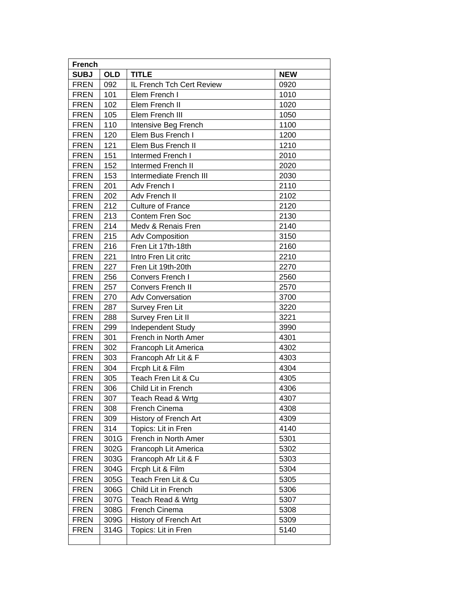| <b>French</b> |            |                           |            |  |
|---------------|------------|---------------------------|------------|--|
| <b>SUBJ</b>   | <b>OLD</b> | <b>TITLE</b>              | <b>NEW</b> |  |
| <b>FREN</b>   | 092        | IL French Tch Cert Review | 0920       |  |
| <b>FREN</b>   | 101        | Elem French I             | 1010       |  |
| <b>FREN</b>   | 102        | Elem French II            | 1020       |  |
| <b>FREN</b>   | 105        | Elem French III           | 1050       |  |
| <b>FREN</b>   | 110        | Intensive Beg French      | 1100       |  |
| <b>FREN</b>   | 120        | Elem Bus French I         | 1200       |  |
| <b>FREN</b>   | 121        | Elem Bus French II        | 1210       |  |
| <b>FREN</b>   | 151        | Intermed French I         | 2010       |  |
| <b>FREN</b>   | 152        | Intermed French II        | 2020       |  |
| <b>FREN</b>   | 153        | Intermediate French III   | 2030       |  |
| <b>FREN</b>   | 201        | Adv French I              | 2110       |  |
| <b>FREN</b>   | 202        | Adv French II             | 2102       |  |
| <b>FREN</b>   | 212        | <b>Culture of France</b>  | 2120       |  |
| <b>FREN</b>   | 213        | Contem Fren Soc           | 2130       |  |
| <b>FREN</b>   | 214        | Medv & Renais Fren        | 2140       |  |
| <b>FREN</b>   | 215        | <b>Adv Composition</b>    | 3150       |  |
| <b>FREN</b>   | 216        | Fren Lit 17th-18th        | 2160       |  |
| <b>FREN</b>   | 221        | Intro Fren Lit critc      | 2210       |  |
| <b>FREN</b>   | 227        | Fren Lit 19th-20th        | 2270       |  |
| <b>FREN</b>   | 256        | Convers French I          | 2560       |  |
| <b>FREN</b>   | 257        | Convers French II         | 2570       |  |
| <b>FREN</b>   | 270        | <b>Adv Conversation</b>   | 3700       |  |
| <b>FREN</b>   | 287        | Survey Fren Lit           | 3220       |  |
| <b>FREN</b>   | 288        | Survey Fren Lit II        | 3221       |  |
| <b>FREN</b>   | 299        | <b>Independent Study</b>  | 3990       |  |
| <b>FREN</b>   | 301        | French in North Amer      | 4301       |  |
| <b>FREN</b>   | 302        | Francoph Lit America      | 4302       |  |
| <b>FREN</b>   | 303        | Francoph Afr Lit & F      | 4303       |  |
| <b>FREN</b>   | 304        | Frcph Lit & Film          | 4304       |  |
| <b>FREN</b>   | 305        | Teach Fren Lit & Cu       | 4305       |  |
| <b>FREN</b>   | 306        | Child Lit in French       | 4306       |  |
| <b>FREN</b>   | 307        | Teach Read & Wrtg         | 4307       |  |
| <b>FREN</b>   | 308        | French Cinema             | 4308       |  |
| <b>FREN</b>   | 309        | History of French Art     | 4309       |  |
| <b>FREN</b>   | 314        | Topics: Lit in Fren       | 4140       |  |
| <b>FREN</b>   | 301G       | French in North Amer      | 5301       |  |
| <b>FREN</b>   | 302G       | Francoph Lit America      | 5302       |  |
| <b>FREN</b>   | 303G       | Francoph Afr Lit & F      | 5303       |  |
| <b>FREN</b>   | 304G       | Frcph Lit & Film          | 5304       |  |
| <b>FREN</b>   | 305G       | Teach Fren Lit & Cu       | 5305       |  |
| <b>FREN</b>   | 306G       | Child Lit in French       | 5306       |  |
| <b>FREN</b>   | 307G       | Teach Read & Wrtg         | 5307       |  |
| <b>FREN</b>   | 308G       | French Cinema             | 5308       |  |
| <b>FREN</b>   | 309G       | History of French Art     | 5309       |  |
| <b>FREN</b>   | 314G       | Topics: Lit in Fren       | 5140       |  |
|               |            |                           |            |  |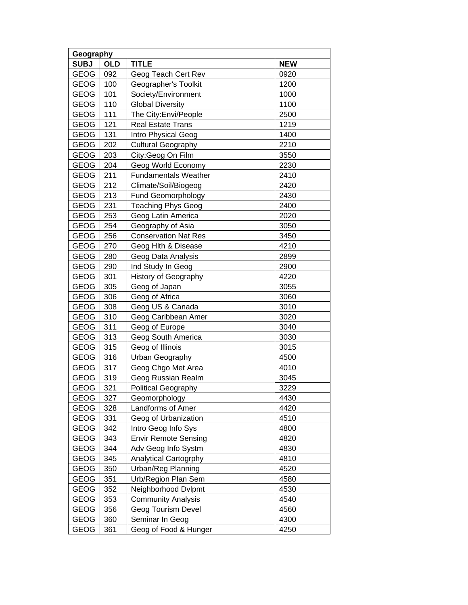| Geography   |            |                             |            |  |
|-------------|------------|-----------------------------|------------|--|
| <b>SUBJ</b> | <b>OLD</b> | <b>TITLE</b>                | <b>NEW</b> |  |
| <b>GEOG</b> | 092        | Geog Teach Cert Rev         | 0920       |  |
| GEOG        | 100        | Geographer's Toolkit        | 1200       |  |
| <b>GEOG</b> | 101        | Society/Environment         | 1000       |  |
| <b>GEOG</b> | 110        | <b>Global Diversity</b>     | 1100       |  |
| <b>GEOG</b> | 111        | The City: Envi/People       | 2500       |  |
| <b>GEOG</b> | 121        | <b>Real Estate Trans</b>    | 1219       |  |
| <b>GEOG</b> | 131        | Intro Physical Geog         | 1400       |  |
| <b>GEOG</b> | 202        | <b>Cultural Geography</b>   | 2210       |  |
| <b>GEOG</b> | 203        | City: Geog On Film          | 3550       |  |
| <b>GEOG</b> | 204        | Geog World Economy          | 2230       |  |
| <b>GEOG</b> | 211        | <b>Fundamentals Weather</b> | 2410       |  |
| <b>GEOG</b> | 212        | Climate/Soil/Biogeog        | 2420       |  |
| <b>GEOG</b> | 213        | <b>Fund Geomorphology</b>   | 2430       |  |
| <b>GEOG</b> | 231        | <b>Teaching Phys Geog</b>   | 2400       |  |
| <b>GEOG</b> | 253        | Geog Latin America          | 2020       |  |
| <b>GEOG</b> | 254        | Geography of Asia           | 3050       |  |
| GEOG        | 256        | <b>Conservation Nat Res</b> | 3450       |  |
| <b>GEOG</b> | 270        | Geog Hith & Disease         | 4210       |  |
| <b>GEOG</b> | 280        | Geog Data Analysis          | 2899       |  |
| <b>GEOG</b> | 290        | Ind Study In Geog           | 2900       |  |
| <b>GEOG</b> | 301        | History of Geography        | 4220       |  |
| GEOG        | 305        | Geog of Japan               | 3055       |  |
| <b>GEOG</b> | 306        | Geog of Africa              | 3060       |  |
| <b>GEOG</b> | 308        | Geog US & Canada            | 3010       |  |
| <b>GEOG</b> | 310        | Geog Caribbean Amer         | 3020       |  |
| <b>GEOG</b> | 311        | Geog of Europe              | 3040       |  |
| <b>GEOG</b> | 313        | Geog South America          | 3030       |  |
| GEOG        | 315        | Geog of Illinois            | 3015       |  |
| GEOG        | 316        | Urban Geography             | 4500       |  |
| <b>GEOG</b> | 317        | Geog Chgo Met Area          | 4010       |  |
| <b>GEOG</b> | 319        | Geog Russian Realm          | 3045       |  |
| <b>GEOG</b> | 321        | <b>Political Geography</b>  | 3229       |  |
| <b>GEOG</b> | 327        | Geomorphology               | 4430       |  |
| GEOG        | 328        | Landforms of Amer           | 4420       |  |
| <b>GEOG</b> | 331        | Geog of Urbanization        | 4510       |  |
| <b>GEOG</b> | 342        | Intro Geog Info Sys         | 4800       |  |
| <b>GEOG</b> | 343        | <b>Envir Remote Sensing</b> | 4820       |  |
| <b>GEOG</b> | 344        | Adv Geog Info Systm         | 4830       |  |
| <b>GEOG</b> | 345        | Analytical Cartogrphy       | 4810       |  |
| <b>GEOG</b> | 350        | Urban/Reg Planning          | 4520       |  |
| <b>GEOG</b> | 351        | Urb/Region Plan Sem         | 4580       |  |
| <b>GEOG</b> | 352        | Neighborhood Dvlpmt         | 4530       |  |
| <b>GEOG</b> | 353        | <b>Community Analysis</b>   | 4540       |  |
| <b>GEOG</b> | 356        | Geog Tourism Devel          | 4560       |  |
| GEOG        | 360        | Seminar In Geog             | 4300       |  |
| <b>GEOG</b> | 361        | Geog of Food & Hunger       | 4250       |  |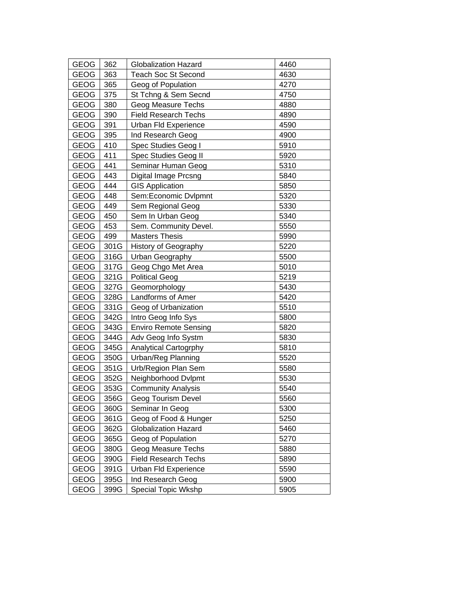| <b>GEOG</b> | 362  | Globalization Hazard         | 4460 |
|-------------|------|------------------------------|------|
| <b>GEOG</b> | 363  | <b>Teach Soc St Second</b>   | 4630 |
| <b>GEOG</b> | 365  | Geog of Population           | 4270 |
| <b>GEOG</b> | 375  | St Tchng & Sem Secnd         | 4750 |
| GEOG        | 380  | Geog Measure Techs           | 4880 |
| <b>GEOG</b> | 390  | Field Research Techs         | 4890 |
| <b>GEOG</b> | 391  | Urban Fld Experience         | 4590 |
| <b>GEOG</b> | 395  | Ind Research Geog            | 4900 |
| <b>GEOG</b> | 410  | Spec Studies Geog I          | 5910 |
| GEOG        | 411  | Spec Studies Geog II         | 5920 |
| <b>GEOG</b> | 441  | Seminar Human Geog           | 5310 |
| <b>GEOG</b> | 443  | <b>Digital Image Prcsng</b>  | 5840 |
| <b>GEOG</b> | 444  | <b>GIS Application</b>       | 5850 |
| <b>GEOG</b> | 448  | Sem:Economic Dvlpmnt         | 5320 |
| <b>GEOG</b> | 449  | Sem Regional Geog            | 5330 |
| <b>GEOG</b> | 450  | Sem In Urban Geog            | 5340 |
| GEOG        | 453  | Sem. Community Devel.        | 5550 |
| <b>GEOG</b> | 499  | <b>Masters Thesis</b>        | 5990 |
| GEOG        | 301G | History of Geography         | 5220 |
| GEOG        | 316G | Urban Geography              | 5500 |
| GEOG        | 317G | Geog Chgo Met Area           | 5010 |
| GEOG        | 321G | <b>Political Geog</b>        | 5219 |
| <b>GEOG</b> | 327G | Geomorphology                | 5430 |
| <b>GEOG</b> | 328G | Landforms of Amer            | 5420 |
| <b>GEOG</b> | 331G | Geog of Urbanization         | 5510 |
| <b>GEOG</b> | 342G | Intro Geog Info Sys          | 5800 |
| <b>GEOG</b> | 343G | <b>Enviro Remote Sensing</b> | 5820 |
| <b>GEOG</b> | 344G | Adv Geog Info Systm          | 5830 |
| GEOG        | 345G | Analytical Cartogrphy        | 5810 |
| <b>GEOG</b> | 350G | Urban/Reg Planning           | 5520 |
| <b>GEOG</b> | 351G | Urb/Region Plan Sem          | 5580 |
| <b>GEOG</b> | 352G | Neighborhood Dvlpmt          | 5530 |
| <b>GEOG</b> | 353G | <b>Community Analysis</b>    | 5540 |
| GEOG        | 356G | <b>Geog Tourism Devel</b>    | 5560 |
| GEOG        | 360G | Seminar In Geog              | 5300 |
| <b>GEOG</b> | 361G | Geog of Food & Hunger        | 5250 |
| GEOG        | 362G | <b>Globalization Hazard</b>  | 5460 |
| GEOG        | 365G | Geog of Population           | 5270 |
| GEOG        | 380G | Geog Measure Techs           | 5880 |
| GEOG        | 390G | <b>Field Research Techs</b>  | 5890 |
| <b>GEOG</b> | 391G | Urban Fld Experience         | 5590 |
| <b>GEOG</b> | 395G | Ind Research Geog            | 5900 |
| <b>GEOG</b> | 399G | Special Topic Wkshp          | 5905 |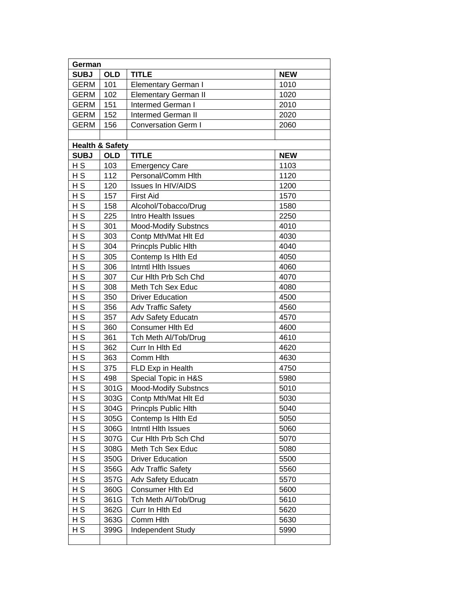| German                     |            |                             |            |  |
|----------------------------|------------|-----------------------------|------------|--|
| <b>SUBJ</b>                | <b>OLD</b> | <b>TITLE</b>                | <b>NEW</b> |  |
| <b>GERM</b>                | 101        | Elementary German I         | 1010       |  |
| <b>GERM</b>                | 102        | <b>Elementary German II</b> | 1020       |  |
| <b>GERM</b>                | 151        | Intermed German I           | 2010       |  |
| <b>GERM</b>                | 152        | Intermed German II          | 2020       |  |
| <b>GERM</b>                | 156        | <b>Conversation Germ I</b>  | 2060       |  |
|                            |            |                             |            |  |
| <b>Health &amp; Safety</b> |            |                             |            |  |
| <b>SUBJ</b>                | <b>OLD</b> | <b>TITLE</b>                | <b>NEW</b> |  |
| H S                        | 103        | <b>Emergency Care</b>       | 1103       |  |
| H S                        | 112        | Personal/Comm Hlth          | 1120       |  |
| H S                        | 120        | <b>Issues In HIV/AIDS</b>   | 1200       |  |
| H S                        | 157        | <b>First Aid</b>            | 1570       |  |
| H S                        | 158        | Alcohol/Tobacco/Drug        | 1580       |  |
| H S                        | 225        | Intro Health Issues         | 2250       |  |
| H S                        | 301        | <b>Mood-Modify Substncs</b> | 4010       |  |
| H S                        | 303        | Contp Mth/Mat HIt Ed        | 4030       |  |
| H <sub>S</sub>             | 304        | Princpls Public Hlth        | 4040       |  |
| H S                        | 305        | Contemp Is Hith Ed          | 4050       |  |
| H S                        | 306        | Intrntl Hlth Issues         | 4060       |  |
| H S                        | 307        | Cur Hith Prb Sch Chd        | 4070       |  |
| H S                        | 308        | Meth Tch Sex Educ           | 4080       |  |
| H S                        | 350        | <b>Driver Education</b>     | 4500       |  |
| H S                        | 356        | <b>Adv Traffic Safety</b>   | 4560       |  |
| H S                        | 357        | Adv Safety Educatn          | 4570       |  |
| H S                        | 360        | Consumer Hith Ed            | 4600       |  |
| H S                        | 361        | Tch Meth Al/Tob/Drug        | 4610       |  |
| H S                        | 362        | Curr In Hith Ed             | 4620       |  |
| H S                        | 363        | Comm Hlth                   | 4630       |  |
| H S                        | 375        | FLD Exp in Health           | 4750       |  |
| H S                        | 498        | Special Topic in H&S        | 5980       |  |
| H S                        | 301G       | <b>Mood-Modify Substncs</b> | 5010       |  |
| H S                        | 303G       | Contp Mth/Mat HIt Ed        | 5030       |  |
| H S                        | 304G       | Princpls Public Hith        | 5040       |  |
| H S                        | 305G       | Contemp Is Hith Ed          | 5050       |  |
| H S                        | 306G       | Intrntl Hith Issues         | 5060       |  |
| H <sub>S</sub>             | 307G       | Cur Hith Prb Sch Chd        | 5070       |  |
| H S                        | 308G       | Meth Tch Sex Educ           | 5080       |  |
| H S                        | 350G       | <b>Driver Education</b>     | 5500       |  |
| H S                        | 356G       | <b>Adv Traffic Safety</b>   | 5560       |  |
| H S                        | 357G       | <b>Adv Safety Educatn</b>   | 5570       |  |
| H S                        | 360G       | Consumer Hith Ed            | 5600       |  |
| H S                        | 361G       | Tch Meth Al/Tob/Drug        | 5610       |  |
| H S                        | 362G       | Curr In Hith Ed             | 5620       |  |
| H S                        | 363G       | Comm Hith                   | 5630       |  |
| H S                        | 399G       | Independent Study           | 5990       |  |
|                            |            |                             |            |  |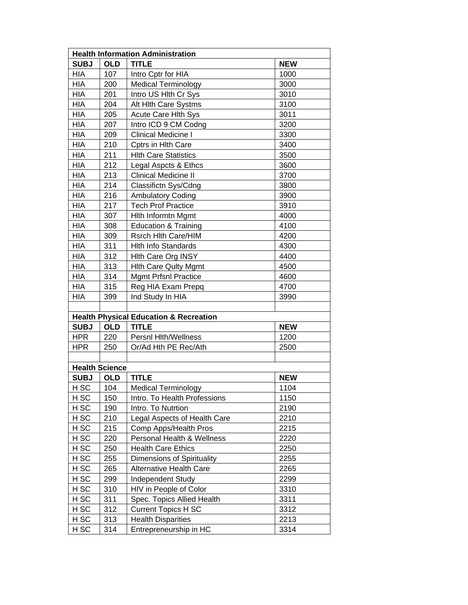| <b>Health Information Administration</b> |                       |                                                   |            |  |
|------------------------------------------|-----------------------|---------------------------------------------------|------------|--|
| <b>SUBJ</b>                              | <b>OLD</b>            | <b>TITLE</b>                                      | <b>NEW</b> |  |
| <b>HIA</b>                               | 107                   | Intro Cptr for HIA                                | 1000       |  |
| <b>HIA</b>                               | 200                   | <b>Medical Terminology</b>                        | 3000       |  |
| <b>HIA</b>                               | 201                   | Intro US Hith Cr Sys                              | 3010       |  |
| <b>HIA</b>                               | 204                   | Alt Hlth Care Systms                              | 3100       |  |
| <b>HIA</b>                               | 205                   | Acute Care Hith Sys                               | 3011       |  |
| <b>HIA</b>                               | 207                   | Intro ICD 9 CM Codng                              | 3200       |  |
| <b>HIA</b>                               | 209                   | Clinical Medicine I                               | 3300       |  |
| <b>HIA</b>                               | 210                   | Cptrs in Hlth Care                                | 3400       |  |
| <b>HIA</b>                               | 211                   | <b>Hlth Care Statistics</b>                       | 3500       |  |
| <b>HIA</b>                               | 212                   | Legal Aspcts & Ethcs                              | 3600       |  |
| <b>HIA</b>                               | 213                   | <b>Clinical Medicine II</b>                       | 3700       |  |
| <b>HIA</b>                               | 214                   | Classifictn Sys/Cdng                              | 3800       |  |
| <b>HIA</b>                               | 216                   | <b>Ambulatory Coding</b>                          | 3900       |  |
| <b>HIA</b>                               | 217                   | <b>Tech Prof Practice</b>                         | 3910       |  |
| <b>HIA</b>                               | 307                   | Hith Informtn Mgmt                                | 4000       |  |
| <b>HIA</b>                               | 308                   | <b>Education &amp; Training</b>                   | 4100       |  |
| <b>HIA</b>                               | 309                   | <b>Rsrch Hlth Care/HIM</b>                        | 4200       |  |
| <b>HIA</b>                               | 311                   | <b>Hith Info Standards</b>                        | 4300       |  |
| <b>HIA</b>                               | 312                   | Hith Care Org INSY                                | 4400       |  |
| <b>HIA</b>                               | 313                   | <b>Hith Care Quity Mgmt</b>                       | 4500       |  |
| <b>HIA</b>                               | 314                   | <b>Mgmt Prfsnl Practice</b>                       | 4600       |  |
| <b>HIA</b>                               | 315                   | Reg HIA Exam Prepq                                | 4700       |  |
| <b>HIA</b>                               | 399                   | Ind Study In HIA                                  | 3990       |  |
|                                          |                       |                                                   |            |  |
|                                          |                       | <b>Health Physical Education &amp; Recreation</b> |            |  |
| <b>SUBJ</b>                              | <b>OLD</b>            | <b>TITLE</b>                                      | <b>NEW</b> |  |
| <b>HPR</b>                               | 220                   | <b>Persnl Hlth/Wellness</b>                       | 1200       |  |
| <b>HPR</b>                               | 250                   | Or/Ad Hth PE Rec/Ath                              | 2500       |  |
|                                          |                       |                                                   |            |  |
|                                          | <b>Health Science</b> |                                                   |            |  |
| <b>SUBJ</b>                              | <b>OLD</b>            | <b>TITLE</b>                                      | <b>NEW</b> |  |
| H SC                                     | 104                   | <b>Medical Terminology</b>                        | 1104       |  |
| H SC                                     | 150                   | Intro. To Health Professions                      | 1150       |  |
| H SC                                     | 190                   | Intro. To Nutrtion                                | 2190       |  |
| H SC                                     | 210                   | Legal Aspects of Health Care                      | 2210       |  |
| H SC                                     | 215                   | Comp Apps/Health Pros                             | 2215       |  |
| H SC                                     | 220                   | Personal Health & Wellness                        | 2220       |  |
| H SC                                     | 250                   | <b>Health Care Ethics</b>                         | 2250       |  |
| H SC                                     | 255                   | <b>Dimensions of Spirituality</b>                 | 2255       |  |
| H SC                                     | 265                   | Alternative Health Care                           | 2265       |  |
| H SC                                     | 299                   | <b>Independent Study</b>                          | 2299       |  |
| H SC                                     | 310                   | HIV in People of Color                            | 3310       |  |
| H SC                                     | 311                   | Spec. Topics Allied Health                        | 3311       |  |
| H SC                                     | 312                   | <b>Current Topics H SC</b>                        | 3312       |  |
| H SC                                     | 313                   | <b>Health Disparities</b>                         | 2213       |  |
| H SC                                     | 314                   | Entrepreneurship in HC                            | 3314       |  |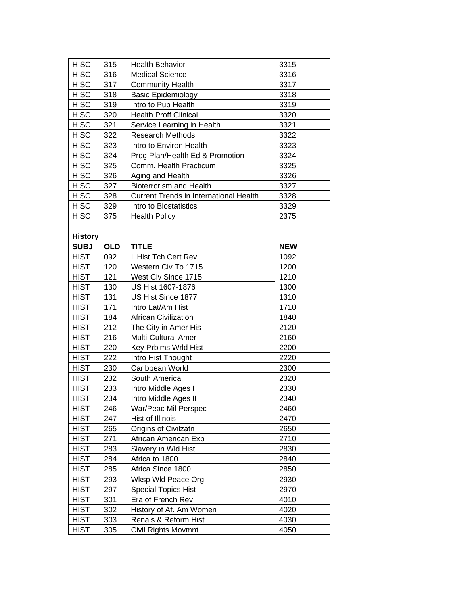| H <sub>SC</sub> | 315        | <b>Health Behavior</b>                        | 3315       |
|-----------------|------------|-----------------------------------------------|------------|
| H SC            | 316        | <b>Medical Science</b>                        | 3316       |
| H SC            | 317        | <b>Community Health</b>                       | 3317       |
| H <sub>SC</sub> | 318        | <b>Basic Epidemiology</b>                     | 3318       |
| H SC            | 319        | Intro to Pub Health                           | 3319       |
| H SC            | 320        | <b>Health Proff Clinical</b>                  | 3320       |
| H <sub>SC</sub> | 321        | Service Learning in Health                    | 3321       |
| H SC            | 322        | <b>Research Methods</b>                       | 3322       |
| H SC            | 323        | Intro to Environ Health                       | 3323       |
| H SC            | 324        | Prog Plan/Health Ed & Promotion               | 3324       |
| H SC            | 325        | Comm. Health Practicum                        | 3325       |
| H <sub>SC</sub> | 326        | Aging and Health                              | 3326       |
| H SC            | 327        | <b>Bioterrorism and Health</b>                | 3327       |
| H SC            | 328        | <b>Current Trends in International Health</b> | 3328       |
| H SC            | 329        | Intro to Biostatistics                        | 3329       |
| H SC            | 375        | <b>Health Policy</b>                          | 2375       |
|                 |            |                                               |            |
| <b>History</b>  |            |                                               |            |
| <b>SUBJ</b>     | <b>OLD</b> | <b>TITLE</b>                                  | <b>NEW</b> |
| <b>HIST</b>     | 092        | Il Hist Tch Cert Rev                          | 1092       |
| <b>HIST</b>     | 120        | Western Civ To 1715                           | 1200       |
| <b>HIST</b>     | 121        | West Civ Since 1715                           | 1210       |
| <b>HIST</b>     | 130        | US Hist 1607-1876                             | 1300       |
| <b>HIST</b>     | 131        | US Hist Since 1877                            | 1310       |
| <b>HIST</b>     | 171        | Intro Lat/Am Hist                             | 1710       |
| <b>HIST</b>     | 184        | <b>African Civilization</b>                   | 1840       |
| <b>HIST</b>     | 212        | The City in Amer His                          | 2120       |
| <b>HIST</b>     | 216        | <b>Multi-Cultural Amer</b>                    | 2160       |
| <b>HIST</b>     | 220        | Key Prblms Wrld Hist                          | 2200       |
| <b>HIST</b>     | 222        | Intro Hist Thought                            | 2220       |
| <b>HIST</b>     | 230        | Caribbean World                               | 2300       |
| <b>HIST</b>     | 232        | South America                                 | 2320       |
| <b>HIST</b>     | 233        | Intro Middle Ages I                           | 2330       |
| <b>HIST</b>     | 234        | Intro Middle Ages II                          | 2340       |
| <b>HIST</b>     | 246        | War/Peac Mil Perspec                          | 2460       |
| <b>HIST</b>     | 247        | Hist of Illinois                              | 2470       |
| <b>HIST</b>     | 265        | Origins of Civilzatn                          | 2650       |
| <b>HIST</b>     | 271        | African American Exp                          | 2710       |
| <b>HIST</b>     | 283        | Slavery in Wld Hist                           | 2830       |
| <b>HIST</b>     | 284        | Africa to 1800                                | 2840       |
| <b>HIST</b>     | 285        | Africa Since 1800                             | 2850       |
| <b>HIST</b>     | 293        | Wksp Wld Peace Org                            | 2930       |
| <b>HIST</b>     | 297        | <b>Special Topics Hist</b>                    | 2970       |
| <b>HIST</b>     | 301        | Era of French Rev                             | 4010       |
| <b>HIST</b>     | 302        | History of Af. Am Women                       | 4020       |
| <b>HIST</b>     | 303        | Renais & Reform Hist                          | 4030       |
| <b>HIST</b>     | 305        | Civil Rights Movmnt                           | 4050       |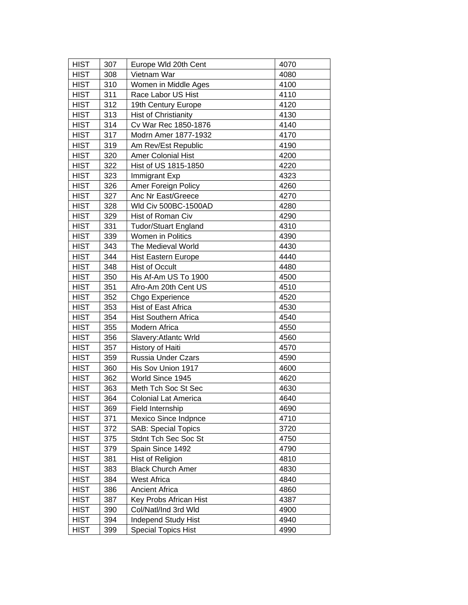| <b>HIST</b> | 307 | Europe Wld 20th Cent        | 4070 |
|-------------|-----|-----------------------------|------|
| <b>HIST</b> | 308 | Vietnam War                 | 4080 |
| <b>HIST</b> | 310 | Women in Middle Ages        | 4100 |
| <b>HIST</b> | 311 | Race Labor US Hist          | 4110 |
| <b>HIST</b> | 312 | 19th Century Europe         | 4120 |
| <b>HIST</b> | 313 | Hist of Christianity        | 4130 |
| <b>HIST</b> | 314 | Cv War Rec 1850-1876        | 4140 |
| <b>HIST</b> | 317 | Modrn Amer 1877-1932        | 4170 |
| <b>HIST</b> | 319 | Am Rev/Est Republic         | 4190 |
| <b>HIST</b> | 320 | <b>Amer Colonial Hist</b>   | 4200 |
| <b>HIST</b> | 322 | Hist of US 1815-1850        | 4220 |
| <b>HIST</b> | 323 | Immigrant Exp               | 4323 |
| <b>HIST</b> | 326 | Amer Foreign Policy         | 4260 |
| <b>HIST</b> | 327 | Anc Nr East/Greece          | 4270 |
| <b>HIST</b> | 328 | Wld Civ 500BC-1500AD        | 4280 |
| <b>HIST</b> | 329 | Hist of Roman Civ           | 4290 |
| <b>HIST</b> | 331 | <b>Tudor/Stuart England</b> | 4310 |
| <b>HIST</b> | 339 | Women in Politics           | 4390 |
| <b>HIST</b> | 343 | The Medieval World          | 4430 |
| <b>HIST</b> | 344 | <b>Hist Eastern Europe</b>  | 4440 |
| <b>HIST</b> | 348 | <b>Hist of Occult</b>       | 4480 |
| <b>HIST</b> | 350 | His Af-Am US To 1900        | 4500 |
| <b>HIST</b> | 351 | Afro-Am 20th Cent US        | 4510 |
| <b>HIST</b> | 352 | Chgo Experience             | 4520 |
| <b>HIST</b> | 353 | Hist of East Africa         | 4530 |
| <b>HIST</b> | 354 | <b>Hist Southern Africa</b> | 4540 |
| <b>HIST</b> | 355 | Modern Africa               | 4550 |
| <b>HIST</b> | 356 | Slavery: Atlantc Wrld       | 4560 |
| <b>HIST</b> | 357 | History of Haiti            | 4570 |
| <b>HIST</b> | 359 | Russia Under Czars          | 4590 |
| <b>HIST</b> | 360 | His Sov Union 1917          | 4600 |
| <b>HIST</b> | 362 | World Since 1945            | 4620 |
| <b>HIST</b> | 363 | Meth Tch Soc St Sec         | 4630 |
| <b>HIST</b> | 364 | <b>Colonial Lat America</b> | 4640 |
| <b>HIST</b> | 369 | Field Internship            | 4690 |
| <b>HIST</b> | 371 | Mexico Since Indpnce        | 4710 |
| <b>HIST</b> | 372 | <b>SAB: Special Topics</b>  | 3720 |
| <b>HIST</b> | 375 | Stdnt Tch Sec Soc St        | 4750 |
| <b>HIST</b> | 379 | Spain Since 1492            | 4790 |
| <b>HIST</b> | 381 | Hist of Religion            | 4810 |
| <b>HIST</b> | 383 | <b>Black Church Amer</b>    | 4830 |
| <b>HIST</b> | 384 | <b>West Africa</b>          | 4840 |
| <b>HIST</b> | 386 | <b>Ancient Africa</b>       | 4860 |
| <b>HIST</b> | 387 | Key Probs African Hist      | 4387 |
| <b>HIST</b> | 390 | Col/Natl/Ind 3rd Wld        | 4900 |
| <b>HIST</b> | 394 | <b>Independ Study Hist</b>  | 4940 |
| <b>HIST</b> | 399 | <b>Special Topics Hist</b>  | 4990 |
|             |     |                             |      |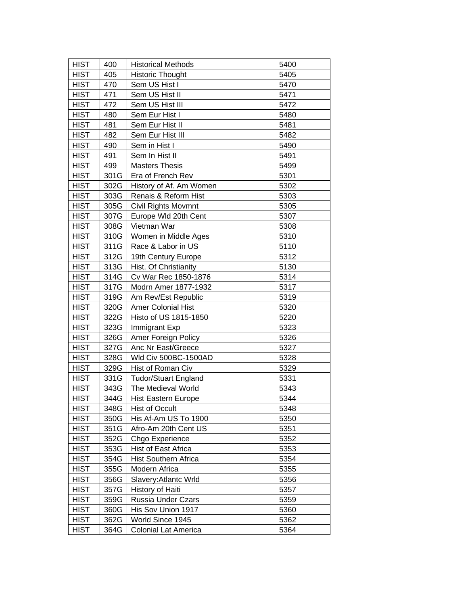| <b>HIST</b> | 400  | <b>Historical Methods</b>   | 5400 |
|-------------|------|-----------------------------|------|
| <b>HIST</b> | 405  | <b>Historic Thought</b>     | 5405 |
| <b>HIST</b> | 470  | Sem US Hist I               | 5470 |
| <b>HIST</b> | 471  | Sem US Hist II              | 5471 |
| <b>HIST</b> | 472  | Sem US Hist III             | 5472 |
| <b>HIST</b> | 480  | Sem Eur Hist I              | 5480 |
| <b>HIST</b> | 481  | Sem Eur Hist II             | 5481 |
| <b>HIST</b> | 482  | Sem Eur Hist III            | 5482 |
| <b>HIST</b> | 490  | Sem in Hist I               | 5490 |
| <b>HIST</b> | 491  | Sem In Hist II              | 5491 |
| <b>HIST</b> | 499  | <b>Masters Thesis</b>       | 5499 |
| <b>HIST</b> | 301G | Era of French Rev           | 5301 |
| <b>HIST</b> | 302G | History of Af. Am Women     | 5302 |
| <b>HIST</b> | 303G | Renais & Reform Hist        | 5303 |
| <b>HIST</b> | 305G | <b>Civil Rights Movmnt</b>  | 5305 |
| <b>HIST</b> | 307G | Europe Wld 20th Cent        | 5307 |
| <b>HIST</b> | 308G | Vietman War                 | 5308 |
| <b>HIST</b> | 310G | Women in Middle Ages        | 5310 |
| <b>HIST</b> | 311G | Race & Labor in US          | 5110 |
| <b>HIST</b> | 312G | 19th Century Europe         | 5312 |
| <b>HIST</b> | 313G | Hist. Of Christianity       | 5130 |
| <b>HIST</b> | 314G | Cv War Rec 1850-1876        | 5314 |
| <b>HIST</b> | 317G | Modrn Amer 1877-1932        | 5317 |
| <b>HIST</b> | 319G | Am Rev/Est Republic         | 5319 |
| <b>HIST</b> | 320G | <b>Amer Colonial Hist</b>   | 5320 |
| <b>HIST</b> | 322G | Histo of US 1815-1850       | 5220 |
| <b>HIST</b> | 323G | Immigrant Exp               | 5323 |
| <b>HIST</b> | 326G | Amer Foreign Policy         | 5326 |
| <b>HIST</b> | 327G | Anc Nr East/Greece          | 5327 |
| <b>HIST</b> | 328G | Wld Civ 500BC-1500AD        | 5328 |
| <b>HIST</b> | 329G | Hist of Roman Civ           | 5329 |
| <b>HIST</b> | 331G | <b>Tudor/Stuart England</b> | 5331 |
| <b>HIST</b> | 343G | The Medieval World          | 5343 |
|             |      |                             |      |
| <b>HIST</b> | 344G | Hist Eastern Europe         | 5344 |
| <b>HIST</b> | 348G | Hist of Occult              | 5348 |
| <b>HIST</b> | 350G | His Af-Am US To 1900        | 5350 |
| <b>HIST</b> | 351G | Afro-Am 20th Cent US        | 5351 |
| <b>HIST</b> | 352G | Chgo Experience             | 5352 |
| <b>HIST</b> | 353G | Hist of East Africa         | 5353 |
| <b>HIST</b> | 354G | <b>Hist Southern Africa</b> | 5354 |
| <b>HIST</b> | 355G | Modern Africa               | 5355 |
| <b>HIST</b> | 356G | Slavery: Atlantc Wrld       | 5356 |
| <b>HIST</b> | 357G | History of Haiti            | 5357 |
| <b>HIST</b> | 359G | Russia Under Czars          | 5359 |
| <b>HIST</b> | 360G | His Sov Union 1917          | 5360 |
| <b>HIST</b> | 362G | World Since 1945            | 5362 |
| <b>HIST</b> | 364G | <b>Colonial Lat America</b> | 5364 |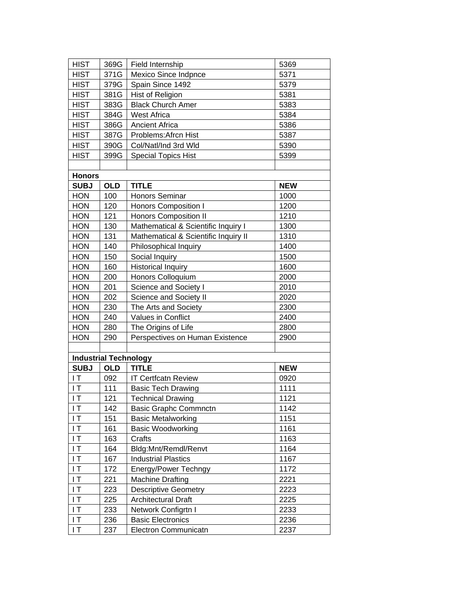| <b>HIST</b>    | 369G                         | Field Internship                     | 5369       |
|----------------|------------------------------|--------------------------------------|------------|
| <b>HIST</b>    | 371G                         | Mexico Since Indpnce                 | 5371       |
| <b>HIST</b>    | 379G                         | Spain Since 1492                     | 5379       |
| <b>HIST</b>    | 381G                         | Hist of Religion                     | 5381       |
| <b>HIST</b>    | 383G                         | <b>Black Church Amer</b>             | 5383       |
| <b>HIST</b>    | 384G                         | <b>West Africa</b>                   | 5384       |
| <b>HIST</b>    | 386G                         | <b>Ancient Africa</b>                | 5386       |
| <b>HIST</b>    | 387G                         | Problems: Afrcn Hist                 | 5387       |
| <b>HIST</b>    | 390G                         | Col/Natl/Ind 3rd Wld                 | 5390       |
| <b>HIST</b>    | 399G                         | <b>Special Topics Hist</b>           | 5399       |
|                |                              |                                      |            |
| <b>Honors</b>  |                              |                                      |            |
| <b>SUBJ</b>    | <b>OLD</b>                   | <b>TITLE</b>                         | <b>NEW</b> |
| <b>HON</b>     | 100                          | <b>Honors Seminar</b>                | 1000       |
| <b>HON</b>     | 120                          | <b>Honors Composition I</b>          | 1200       |
| <b>HON</b>     | 121                          | <b>Honors Composition II</b>         | 1210       |
| <b>HON</b>     | 130                          | Mathematical & Scientific Inquiry I  | 1300       |
| <b>HON</b>     | 131                          | Mathematical & Scientific Inquiry II | 1310       |
| <b>HON</b>     | 140                          | Philosophical Inquiry                | 1400       |
| <b>HON</b>     | 150                          | Social Inquiry                       | 1500       |
| <b>HON</b>     | 160                          | <b>Historical Inquiry</b>            | 1600       |
| <b>HON</b>     | 200                          | Honors Colloquium                    | 2000       |
| <b>HON</b>     | 201                          | Science and Society I                | 2010       |
| <b>HON</b>     | 202                          | Science and Society II               | 2020       |
| <b>HON</b>     | 230                          | The Arts and Society                 | 2300       |
| <b>HON</b>     | 240                          | Values in Conflict                   | 2400       |
| <b>HON</b>     | 280                          | The Origins of Life                  | 2800       |
| <b>HON</b>     | 290                          | Perspectives on Human Existence      | 2900       |
|                |                              |                                      |            |
|                | <b>Industrial Technology</b> |                                      |            |
| <b>SUBJ</b>    | <b>OLD</b>                   | <b>TITLE</b>                         | <b>NEW</b> |
| IT.            | 092                          | <b>IT Certfcatn Review</b>           | 0920       |
| $\mathsf{I}$ T | 111                          | <b>Basic Tech Drawing</b>            | 1111       |
| IT             | 121                          | <b>Technical Drawing</b>             | 1121       |
| $\mathsf{I}$ T | 142                          | Basic Graphc Commnctn                | 1142       |
| IT.            | 151                          | <b>Basic Metalworking</b>            | 1151       |
| $\mathsf{I}$ T | 161                          | <b>Basic Woodworking</b>             | 1161       |
| ΙT             | 163                          | Crafts                               | 1163       |
| $\mathsf{I}$ T | 164                          | Bldg:Mnt/Remdl/Renvt                 | 1164       |
| $\mathsf{I}$ T | 167                          | <b>Industrial Plastics</b>           | 1167       |
| IT.            | 172                          | Energy/Power Techngy                 | 1172       |
| IT.            | 221                          | <b>Machine Drafting</b>              | 2221       |
| IT.            | 223                          | <b>Descriptive Geometry</b>          | 2223       |
| IT.            | 225                          | Architectural Draft                  | 2225       |
| $\mathsf{I}$ T | 233                          | Network Configrtn I                  | 2233       |
| $\mathsf{I}$ T | 236                          | <b>Basic Electronics</b>             | 2236       |
| $\mathsf{I}$ T | 237                          | <b>Electron Communicatn</b>          | 2237       |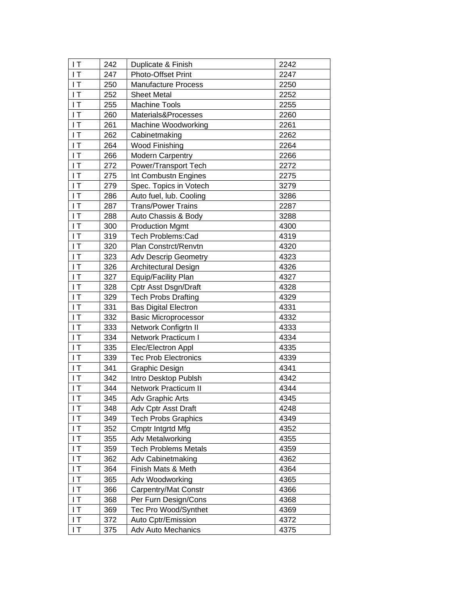| ΙT             | 242 | Duplicate & Finish          | 2242 |
|----------------|-----|-----------------------------|------|
| IT.            | 247 | Photo-Offset Print          | 2247 |
| $\mathsf{I}$ T | 250 | <b>Manufacture Process</b>  | 2250 |
| $\mathsf{I}$   | 252 | <b>Sheet Metal</b>          | 2252 |
| $\mathsf{I}$ T | 255 | <b>Machine Tools</b>        | 2255 |
| $\mathsf{I}$ T | 260 | Materials&Processes         | 2260 |
| $\mathsf{I}$ T | 261 | Machine Woodworking         | 2261 |
| $\mathsf{I}$   | 262 | Cabinetmaking               | 2262 |
| $\mathsf{I}$ T | 264 | Wood Finishing              | 2264 |
| $\mathsf{I}$   | 266 | <b>Modern Carpentry</b>     | 2266 |
| $\mathsf{I}$ T | 272 | Power/Transport Tech        | 2272 |
| $\mathsf{I}$ T | 275 | Int Combustn Engines        | 2275 |
| $\mathsf{I}$ T | 279 | Spec. Topics in Votech      | 3279 |
| $\mathsf{I}$ T | 286 | Auto fuel, lub. Cooling     | 3286 |
| $\mathsf{I}$ T | 287 | <b>Trans/Power Trains</b>   | 2287 |
| $\mathsf{I}$   | 288 | Auto Chassis & Body         | 3288 |
| $\mathsf{I}$ T | 300 | <b>Production Mgmt</b>      | 4300 |
| $\mathsf{I}$ T | 319 | Tech Problems:Cad           | 4319 |
| $\mathsf{I}$ T | 320 | Plan Constrct/Renvtn        | 4320 |
| $\mathsf{I}$ T | 323 | <b>Adv Descrip Geometry</b> | 4323 |
| $\mathsf{I}$ T | 326 | Architectural Design        | 4326 |
| $\mathsf{I}$   | 327 | Equip/Facility Plan         | 4327 |
| $\mathsf{I}$ T | 328 | Cptr Asst Dsgn/Draft        | 4328 |
| $\mathsf{I}$ T | 329 | <b>Tech Probs Drafting</b>  | 4329 |
| $\mathsf{I}$ T | 331 | <b>Bas Digital Electron</b> | 4331 |
| $\mathsf{I}$ T | 332 | <b>Basic Microprocessor</b> | 4332 |
| $\mathsf{I}$ T | 333 | Network Configrtn II        | 4333 |
| $\mathsf{I}$   | 334 | <b>Network Practicum I</b>  | 4334 |
| $\mathsf{I}$ T | 335 | Elec/Electron Appl          | 4335 |
| $\mathsf{I}$ T | 339 | <b>Tec Prob Electronics</b> | 4339 |
| $\mathsf{I}$ T | 341 | Graphic Design              | 4341 |
| $\mathsf{I}$ T | 342 | Intro Desktop Publsh        | 4342 |
| $\mathsf{I}$ T | 344 | Network Practicum II        | 4344 |
| $\mathsf{I}$ T | 345 | Adv Graphic Arts            | 4345 |
| ΙT             | 348 | Adv Cptr Asst Draft         | 4248 |
| $\mathsf{I}$   | 349 | <b>Tech Probs Graphics</b>  | 4349 |
| $\mathsf{I}$ T | 352 | Cmptr Intgrtd Mfg           | 4352 |
| ΙT             | 355 | Adv Metalworking            | 4355 |
| $\mathsf{I}$   | 359 | <b>Tech Problems Metals</b> | 4359 |
| $\mathsf{I}$   | 362 | <b>Adv Cabinetmaking</b>    | 4362 |
| $\mathsf{I}$ T | 364 | Finish Mats & Meth          | 4364 |
| $\mathsf{I}$   | 365 | Adv Woodworking             | 4365 |
| ΙT             | 366 | Carpentry/Mat Constr        | 4366 |
| ΙT             | 368 | Per Furn Design/Cons        | 4368 |
| $\mathsf{I}$   | 369 | Tec Pro Wood/Synthet        | 4369 |
| $\mathsf{I}$   | 372 | Auto Cptr/Emission          | 4372 |
| ΙT             | 375 | <b>Adv Auto Mechanics</b>   | 4375 |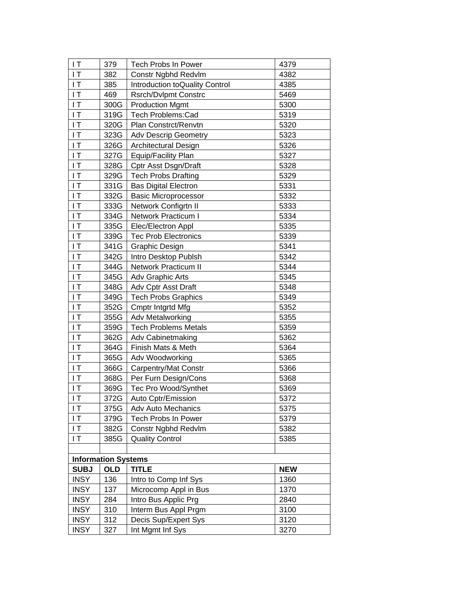| ΙT             | 379                        | Tech Probs In Power            | 4379       |
|----------------|----------------------------|--------------------------------|------------|
| $\mathsf{I}$ T | 382                        | Constr Ngbhd Redvlm            | 4382       |
| $\mathsf{I}$ T | 385                        | Introduction toQuality Control | 4385       |
| $\mathsf{I}$   | 469                        | <b>Rsrch/Dvlpmt Constrc</b>    | 5469       |
| $\mathsf{I}$ T | 300G                       | <b>Production Mgmt</b>         | 5300       |
| $\mathsf{I}$ T | 319G                       | Tech Problems:Cad              | 5319       |
| $\mathsf{I}$ T | 320G                       | Plan Constrct/Renvtn           | 5320       |
| $\mathsf{I}$ T | 323G                       | <b>Adv Descrip Geometry</b>    | 5323       |
| $\mathsf{I}$ T | 326G                       | Architectural Design           | 5326       |
| $\mathsf{I}$ T | 327G                       | Equip/Facility Plan            | 5327       |
| $\mathsf{I}$ T | 328G                       | Cptr Asst Dsgn/Draft           | 5328       |
| $\mathsf{I}$ T | 329G                       | <b>Tech Probs Drafting</b>     | 5329       |
| $\mathsf{I}$ T | 331G                       | <b>Bas Digital Electron</b>    | 5331       |
| $\mathsf{I}$ T | 332G                       | <b>Basic Microprocessor</b>    | 5332       |
| $\mathsf{I}$   | 333G                       | Network Configrtn II           | 5333       |
| $\mathsf{I}$ T | 334G                       | Network Practicum I            | 5334       |
| $\mathsf{I}$ T | 335G                       | Elec/Electron Appl             | 5335       |
| $\mathsf{I}$   | 339G                       | <b>Tec Prob Electronics</b>    | 5339       |
| $\mathsf{I}$ T | 341G                       | Graphic Design                 | 5341       |
| $\mathsf{I}$   | 342G                       | Intro Desktop Publsh           | 5342       |
| $\mathsf{I}$   | 344G                       | Network Practicum II           | 5344       |
| $\mathsf{I}$   | 345G                       | <b>Adv Graphic Arts</b>        | 5345       |
| $\mathsf{I}$ T | 348G                       | Adv Cptr Asst Draft            | 5348       |
| $\mathsf{I}$ T | 349G                       | <b>Tech Probs Graphics</b>     | 5349       |
| $\mathsf{I}$ T | 352G                       | Cmptr Intgrtd Mfg              | 5352       |
| $\mathsf{I}$ T | 355G                       | Adv Metalworking               | 5355       |
| $\mathsf{I}$ T | 359G                       | <b>Tech Problems Metals</b>    | 5359       |
| $\mathsf{I}$   | 362G                       | <b>Adv Cabinetmaking</b>       | 5362       |
| $\mathsf{I}$ T | 364G                       | Finish Mats & Meth             | 5364       |
| $\mathsf{I}$ T | 365G                       | Adv Woodworking                | 5365       |
| $\mathsf{I}$ T | 366G                       | <b>Carpentry/Mat Constr</b>    | 5366       |
| $\mathsf{I}$ T | 368G                       | Per Furn Design/Cons           | 5368       |
| $\mathsf{I}$ T | 369G                       | Tec Pro Wood/Synthet           | 5369       |
| $\mathsf{I}$ T | 372G                       | Auto Cptr/Emission             | 5372       |
| ΙT             | 375G                       | Adv Auto Mechanics             | 5375       |
| $\mathsf{I}$   | 379G                       | Tech Probs In Power            | 5379       |
| $\mathsf{I}$ T | 382G                       | Constr Ngbhd Redvlm            | 5382       |
| $\mathsf{I}$ T | 385G                       | <b>Quality Control</b>         | 5385       |
|                |                            |                                |            |
|                | <b>Information Systems</b> |                                |            |
| <b>SUBJ</b>    | <b>OLD</b>                 | <b>TITLE</b>                   | <b>NEW</b> |
| <b>INSY</b>    | 136                        | Intro to Comp Inf Sys          | 1360       |
| <b>INSY</b>    | 137                        | Microcomp Appl in Bus          | 1370       |
| <b>INSY</b>    | 284                        | Intro Bus Applic Prg           | 2840       |
| <b>INSY</b>    | 310                        | Interm Bus Appl Prgm           | 3100       |
| <b>INSY</b>    | 312                        | Decis Sup/Expert Sys           | 3120       |
| <b>INSY</b>    | 327                        | Int Mgmt Inf Sys               | 3270       |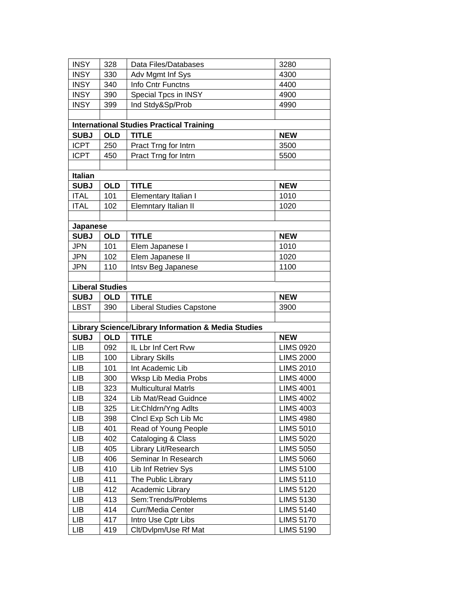| <b>INSY</b>    | 328                    | Data Files/Databases                                           | 3280             |
|----------------|------------------------|----------------------------------------------------------------|------------------|
| <b>INSY</b>    | 330                    | Adv Mgmt Inf Sys                                               | 4300             |
| <b>INSY</b>    | 340                    | Info Cntr Functns                                              | 4400             |
| <b>INSY</b>    | 390                    | Special Tpcs in INSY                                           | 4900             |
| <b>INSY</b>    | 399                    | Ind Stdy&Sp/Prob                                               | 4990             |
|                |                        |                                                                |                  |
|                |                        | <b>International Studies Practical Training</b>                |                  |
| <b>SUBJ</b>    | <b>OLD</b>             | <b>TITLE</b>                                                   | <b>NEW</b>       |
| <b>ICPT</b>    | 250                    | Pract Trng for Intrn                                           | 3500             |
| <b>ICPT</b>    | 450                    | Pract Trng for Intrn                                           | 5500             |
|                |                        |                                                                |                  |
| <b>Italian</b> |                        |                                                                |                  |
| <b>SUBJ</b>    | <b>OLD</b>             | <b>TITLE</b>                                                   | <b>NEW</b>       |
| <b>ITAL</b>    | 101                    | Elementary Italian I                                           | 1010             |
| <b>ITAL</b>    | 102                    | Elemntary Italian II                                           | 1020             |
|                |                        |                                                                |                  |
| Japanese       |                        |                                                                |                  |
| <b>SUBJ</b>    | <b>OLD</b>             | <b>TITLE</b>                                                   | <b>NEW</b>       |
| <b>JPN</b>     | 101                    | Elem Japanese I                                                | 1010             |
| <b>JPN</b>     | 102                    | Elem Japanese II                                               | 1020             |
| <b>JPN</b>     | 110                    | Intsv Beg Japanese                                             | 1100             |
|                |                        |                                                                |                  |
|                | <b>Liberal Studies</b> |                                                                |                  |
| <b>SUBJ</b>    | <b>OLD</b>             | <b>TITLE</b>                                                   | <b>NEW</b>       |
| <b>LBST</b>    | 390                    | <b>Liberal Studies Capstone</b>                                | 3900             |
|                |                        |                                                                |                  |
|                |                        | <b>Library Science/Library Information &amp; Media Studies</b> |                  |
| <b>SUBJ</b>    | <b>OLD</b>             | <b>TITLE</b>                                                   | <b>NEW</b>       |
| <b>LIB</b>     | 092                    | IL Lbr Inf Cert Rvw                                            | <b>LIMS 0920</b> |
| <b>LIB</b>     | 100                    | <b>Library Skills</b>                                          | <b>LIMS 2000</b> |
| <b>LIB</b>     | 101                    | Int Academic Lib                                               | <b>LIMS 2010</b> |
| <b>LIB</b>     | 300                    | Wksp Lib Media Probs                                           | <b>LIMS 4000</b> |
| <b>LIB</b>     | 323                    | <b>Multicultural Matris</b>                                    | <b>LIMS 4001</b> |
| <b>LIB</b>     | 324                    | Lib Mat/Read Guidnce                                           | <b>LIMS 4002</b> |
| <b>LIB</b>     | 325                    | Lit:Chldrn/Yng Adlts                                           | <b>LIMS 4003</b> |
| LIB            | 398                    | CIncl Exp Sch Lib Mc                                           | <b>LIMS 4980</b> |
| LIB            | 401                    | Read of Young People                                           | <b>LIMS 5010</b> |
| LIB            | 402                    | Cataloging & Class                                             | <b>LIMS 5020</b> |
| <b>LIB</b>     | 405                    | Library Lit/Research                                           | <b>LIMS 5050</b> |
| <b>LIB</b>     | 406                    | Seminar In Research                                            | <b>LIMS 5060</b> |
| LIB            | 410                    | Lib Inf Retriev Sys                                            | <b>LIMS 5100</b> |
| LIB            | 411                    | The Public Library                                             | <b>LIMS 5110</b> |
| <b>LIB</b>     | 412                    | Academic Library                                               | <b>LIMS 5120</b> |
| LIB            | 413                    | Sem:Trends/Problems                                            | <b>LIMS 5130</b> |
| <b>LIB</b>     | 414                    | Curr/Media Center                                              | <b>LIMS 5140</b> |
| LIB            | 417                    | Intro Use Cptr Libs                                            | <b>LIMS 5170</b> |
|                |                        |                                                                |                  |
| <b>LIB</b>     | 419                    | Clt/Dvlpm/Use Rf Mat                                           | <b>LIMS 5190</b> |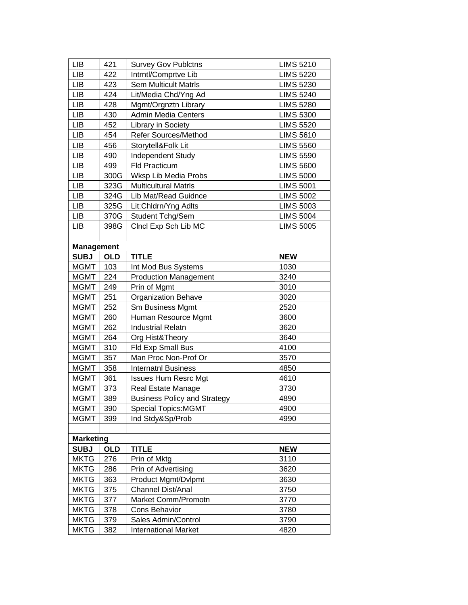| <b>LIB</b>        | 421              | <b>Survey Gov Publctns</b>          | <b>LIMS 5210</b> |  |  |  |
|-------------------|------------------|-------------------------------------|------------------|--|--|--|
| <b>LIB</b>        | 422              | Intrntl/Comprtve Lib                | <b>LIMS 5220</b> |  |  |  |
| <b>LIB</b>        | 423              | <b>Sem Multicult Matrls</b>         | <b>LIMS 5230</b> |  |  |  |
| <b>LIB</b>        | 424              | Lit/Media Chd/Yng Ad                | <b>LIMS 5240</b> |  |  |  |
| <b>LIB</b>        | 428              | Mgmt/Orgnztn Library                | <b>LIMS 5280</b> |  |  |  |
| <b>LIB</b>        | 430              | <b>Admin Media Centers</b>          | <b>LIMS 5300</b> |  |  |  |
| <b>LIB</b>        | 452              | Library in Society                  | <b>LIMS 5520</b> |  |  |  |
| <b>LIB</b>        | 454              | Refer Sources/Method                | <b>LIMS 5610</b> |  |  |  |
| <b>LIB</b>        | 456              | Storytell&Folk Lit                  | <b>LIMS 5560</b> |  |  |  |
| <b>LIB</b>        | 490              | <b>Independent Study</b>            | <b>LIMS 5590</b> |  |  |  |
| <b>LIB</b>        | 499              | <b>Fld Practicum</b>                | <b>LIMS 5600</b> |  |  |  |
| <b>LIB</b>        | 300G             | Wksp Lib Media Probs                | <b>LIMS 5000</b> |  |  |  |
| <b>LIB</b>        | 323G             | <b>Multicultural Matris</b>         | <b>LIMS 5001</b> |  |  |  |
| <b>LIB</b>        | 324G             | Lib Mat/Read Guidnce                | <b>LIMS 5002</b> |  |  |  |
| <b>LIB</b>        | 325G             | Lit:Chldrn/Yng Adlts                | <b>LIMS 5003</b> |  |  |  |
| <b>LIB</b>        | 370G             | Student Tchg/Sem                    | <b>LIMS 5004</b> |  |  |  |
| <b>LIB</b>        | 398G             | CIncl Exp Sch Lib MC                | <b>LIMS 5005</b> |  |  |  |
|                   |                  |                                     |                  |  |  |  |
| <b>Management</b> |                  |                                     |                  |  |  |  |
| <b>SUBJ</b>       | <b>OLD</b>       | <b>TITLE</b>                        | <b>NEW</b>       |  |  |  |
| <b>MGMT</b>       | 103              | Int Mod Bus Systems                 | 1030             |  |  |  |
| <b>MGMT</b>       | 224              | <b>Production Management</b>        | 3240             |  |  |  |
| <b>MGMT</b>       | 249              | Prin of Mgmt                        | 3010             |  |  |  |
| <b>MGMT</b>       | 251              | <b>Organization Behave</b>          | 3020             |  |  |  |
| <b>MGMT</b>       | 252              | Sm Business Mgmt                    | 2520             |  |  |  |
| <b>MGMT</b>       | 260              | Human Resource Mgmt                 | 3600             |  |  |  |
| <b>MGMT</b>       | 262              | <b>Industrial Relatn</b>            | 3620             |  |  |  |
| <b>MGMT</b>       | 264              | Org Hist&Theory                     | 3640             |  |  |  |
| <b>MGMT</b>       | 310              | Fld Exp Small Bus                   | 4100             |  |  |  |
| <b>MGMT</b>       | 357              | Man Proc Non-Prof Or                | 3570             |  |  |  |
| <b>MGMT</b>       | 358              | <b>Internatnl Business</b>          | 4850             |  |  |  |
| <b>MGMT</b>       | 361              | <b>Issues Hum Resrc Mgt</b>         | 4610             |  |  |  |
| <b>MGMT</b>       | 373              | <b>Real Estate Manage</b>           | 3730             |  |  |  |
| <b>MGMT</b>       | 389              | <b>Business Policy and Strategy</b> | 4890             |  |  |  |
| <b>MGMT</b>       | 390              | <b>Special Topics:MGMT</b>          | 4900             |  |  |  |
| <b>MGMT</b>       | 399              | Ind Stdy&Sp/Prob                    | 4990             |  |  |  |
|                   |                  |                                     |                  |  |  |  |
|                   | <b>Marketing</b> |                                     |                  |  |  |  |
| <b>SUBJ</b>       | <b>OLD</b>       | <b>TITLE</b>                        | <b>NEW</b>       |  |  |  |
| <b>MKTG</b>       | 276              | Prin of Mktg                        | 3110             |  |  |  |
| <b>MKTG</b>       | 286              | Prin of Advertising                 | 3620             |  |  |  |
| <b>MKTG</b>       | 363              | Product Mgmt/Dvlpmt                 | 3630             |  |  |  |
| <b>MKTG</b>       | 375              | Channel Dist/Anal                   | 3750             |  |  |  |
| <b>MKTG</b>       | 377              | <b>Market Comm/Promotn</b>          | 3770             |  |  |  |
| <b>MKTG</b>       | 378              | Cons Behavior                       | 3780             |  |  |  |
| <b>MKTG</b>       | 379              | Sales Admin/Control                 | 3790             |  |  |  |
| <b>MKTG</b>       | 382              | <b>International Market</b>         | 4820             |  |  |  |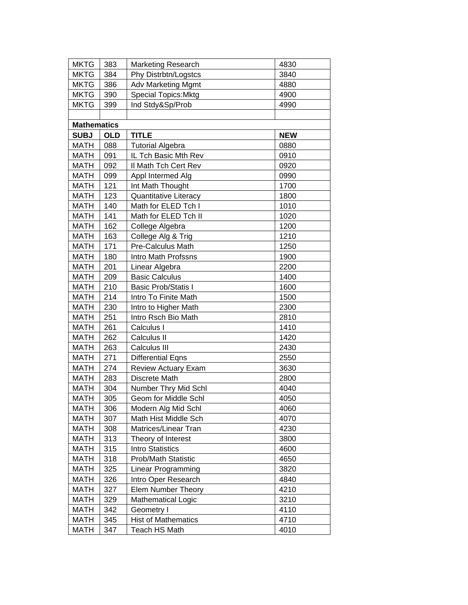| <b>MKTG</b>        | 383        | <b>Marketing Research</b>   | 4830       |
|--------------------|------------|-----------------------------|------------|
| <b>MKTG</b>        | 384        | Phy Distrbtn/Logstcs        | 3840       |
| <b>MKTG</b>        | 386        | <b>Adv Marketing Mgmt</b>   | 4880       |
| <b>MKTG</b>        | 390        | <b>Special Topics: Mktg</b> | 4900       |
| <b>MKTG</b>        | 399        | Ind Stdy&Sp/Prob            | 4990       |
|                    |            |                             |            |
| <b>Mathematics</b> |            |                             |            |
| <b>SUBJ</b>        | <b>OLD</b> | <b>TITLE</b>                | <b>NEW</b> |
| <b>MATH</b>        | 088        | <b>Tutorial Algebra</b>     | 0880       |
| <b>MATH</b>        | 091        | IL Tch Basic Mth Rev        | 0910       |
| <b>MATH</b>        | 092        | Il Math Tch Cert Rev        | 0920       |
| <b>MATH</b>        | 099        | Appl Intermed Alg           | 0990       |
| <b>MATH</b>        | 121        | Int Math Thought            | 1700       |
| <b>MATH</b>        | 123        | Quantitative Literacy       | 1800       |
| <b>MATH</b>        | 140        | Math for ELED Tch I         | 1010       |
| <b>MATH</b>        | 141        | Math for ELED Tch II        | 1020       |
| <b>MATH</b>        | 162        | College Algebra             | 1200       |
| <b>MATH</b>        | 163        | College Alg & Trig          | 1210       |
| <b>MATH</b>        | 171        | <b>Pre-Calculus Math</b>    | 1250       |
| <b>MATH</b>        | 180        | Intro Math Profssns         | 1900       |
| <b>MATH</b>        | 201        | Linear Algebra              | 2200       |
| <b>MATH</b>        | 209        | <b>Basic Calculus</b>       | 1400       |
| <b>MATH</b>        | 210        | <b>Basic Prob/Statis I</b>  | 1600       |
| <b>MATH</b>        | 214        | Intro To Finite Math        | 1500       |
| <b>MATH</b>        | 230        | Intro to Higher Math        | 2300       |
| <b>MATH</b>        | 251        | Intro Rsch Bio Math         | 2810       |
| <b>MATH</b>        | 261        | Calculus I                  | 1410       |
| <b>MATH</b>        | 262        | Calculus II                 | 1420       |
| <b>MATH</b>        | 263        | Calculus III                | 2430       |
| <b>MATH</b>        | 271        | <b>Differential Eqns</b>    | 2550       |
| <b>MATH</b>        | 274        | Review Actuary Exam         | 3630       |
| <b>MATH</b>        | 283        | Discrete Math               | 2800       |
| <b>MATH</b>        | 304        | Number Thry Mid Schl        | 4040       |
| <b>MATH</b>        | 305        | Geom for Middle Schl        | 4050       |
| MATH               | 306        | Modern Alg Mid Schl         | 4060       |
| <b>MATH</b>        | 307        | Math Hist Middle Sch        | 4070       |
| <b>MATH</b>        | 308        | Matrices/Linear Tran        | 4230       |
| <b>MATH</b>        | 313        | Theory of Interest          | 3800       |
| <b>MATH</b>        | 315        | Intro Statistics            | 4600       |
| <b>MATH</b>        | 318        | Prob/Math Statistic         | 4650       |
| <b>MATH</b>        | 325        | Linear Programming          | 3820       |
| <b>MATH</b>        | 326        | Intro Oper Research         | 4840       |
| <b>MATH</b>        | 327        | <b>Elem Number Theory</b>   | 4210       |
| <b>MATH</b>        | 329        | <b>Mathematical Logic</b>   | 3210       |
| <b>MATH</b>        | 342        | Geometry I                  | 4110       |
| <b>MATH</b>        | 345        | <b>Hist of Mathematics</b>  | 4710       |
| <b>MATH</b>        | 347        | Teach HS Math               | 4010       |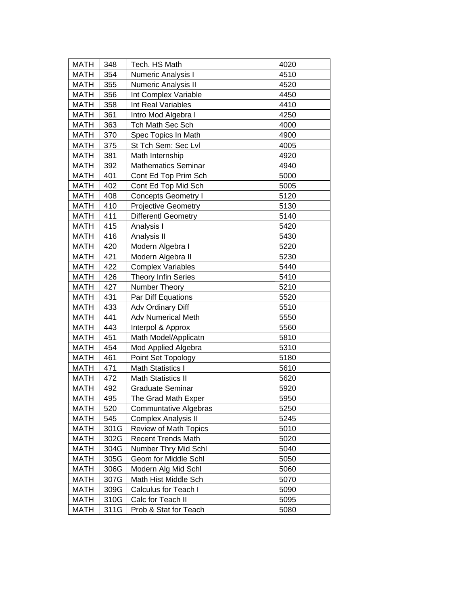| <b>MATH</b> | 348  | Tech. HS Math                | 4020 |
|-------------|------|------------------------------|------|
| <b>MATH</b> | 354  | Numeric Analysis I           | 4510 |
| <b>MATH</b> | 355  | <b>Numeric Analysis II</b>   | 4520 |
| <b>MATH</b> | 356  | Int Complex Variable         | 4450 |
| <b>MATH</b> | 358  | Int Real Variables           | 4410 |
| <b>MATH</b> | 361  | Intro Mod Algebra I          | 4250 |
| <b>MATH</b> | 363  | Tch Math Sec Sch             | 4000 |
| <b>MATH</b> | 370  | Spec Topics In Math          | 4900 |
| <b>MATH</b> | 375  | St Tch Sem: Sec Lvl          | 4005 |
| <b>MATH</b> | 381  | Math Internship              | 4920 |
| <b>MATH</b> | 392  | <b>Mathematics Seminar</b>   | 4940 |
| <b>MATH</b> | 401  | Cont Ed Top Prim Sch         | 5000 |
| <b>MATH</b> | 402  | Cont Ed Top Mid Sch          | 5005 |
| <b>MATH</b> | 408  | <b>Concepts Geometry I</b>   | 5120 |
| <b>MATH</b> | 410  | <b>Projective Geometry</b>   | 5130 |
| <b>MATH</b> | 411  | <b>Differentl Geometry</b>   | 5140 |
| <b>MATH</b> | 415  | Analysis I                   | 5420 |
| <b>MATH</b> | 416  | Analysis II                  | 5430 |
| <b>MATH</b> | 420  | Modern Algebra I             | 5220 |
| <b>MATH</b> | 421  | Modern Algebra II            | 5230 |
| <b>MATH</b> | 422  | <b>Complex Variables</b>     | 5440 |
| <b>MATH</b> | 426  | <b>Theory Infin Series</b>   | 5410 |
| <b>MATH</b> | 427  | Number Theory                | 5210 |
| <b>MATH</b> | 431  | Par Diff Equations           | 5520 |
| <b>MATH</b> | 433  | Adv Ordinary Diff            | 5510 |
| <b>MATH</b> | 441  | <b>Adv Numerical Meth</b>    | 5550 |
| <b>MATH</b> | 443  | Interpol & Approx            | 5560 |
| <b>MATH</b> | 451  | Math Model/Applicatn         | 5810 |
| <b>MATH</b> | 454  | Mod Applied Algebra          | 5310 |
| <b>MATH</b> | 461  | Point Set Topology           | 5180 |
| <b>MATH</b> | 471  | Math Statistics I            | 5610 |
| <b>MATH</b> | 472  | <b>Math Statistics II</b>    | 5620 |
| <b>MATH</b> | 492  | <b>Graduate Seminar</b>      | 5920 |
| <b>MATH</b> | 495  | The Grad Math Exper          | 5950 |
| <b>MATH</b> | 520  | <b>Communtative Algebras</b> | 5250 |
| <b>MATH</b> | 545  | <b>Complex Analysis II</b>   | 5245 |
| <b>MATH</b> | 301G | <b>Review of Math Topics</b> | 5010 |
| <b>MATH</b> | 302G | <b>Recent Trends Math</b>    | 5020 |
| <b>MATH</b> | 304G | Number Thry Mid Schl         | 5040 |
| <b>MATH</b> | 305G | Geom for Middle Schl         | 5050 |
| MATH        | 306G | Modern Alg Mid Schl          | 5060 |
| <b>MATH</b> | 307G | Math Hist Middle Sch         | 5070 |
| <b>MATH</b> | 309G | Calculus for Teach I         | 5090 |
| <b>MATH</b> | 310G | Calc for Teach II            | 5095 |
| <b>MATH</b> | 311G | Prob & Stat for Teach        | 5080 |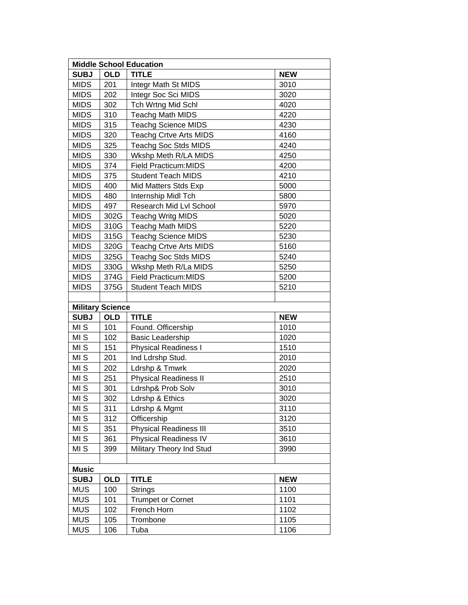| <b>Middle School Education</b> |                         |                               |            |  |
|--------------------------------|-------------------------|-------------------------------|------------|--|
| <b>SUBJ</b>                    | <b>OLD</b>              | <b>TITLE</b>                  | <b>NEW</b> |  |
| <b>MIDS</b>                    | 201                     | Integr Math St MIDS           | 3010       |  |
| <b>MIDS</b>                    | 202                     | Integr Soc Sci MIDS           | 3020       |  |
| <b>MIDS</b>                    | 302                     | Tch Wrtng Mid Schl            | 4020       |  |
| <b>MIDS</b>                    | 310                     | Teachg Math MIDS              | 4220       |  |
| <b>MIDS</b>                    | 315                     | <b>Teachg Science MIDS</b>    | 4230       |  |
| <b>MIDS</b>                    | 320                     | <b>Teachg Crtve Arts MIDS</b> | 4160       |  |
| <b>MIDS</b>                    | 325                     | <b>Teachg Soc Stds MIDS</b>   | 4240       |  |
| <b>MIDS</b>                    | 330                     | Wkshp Meth R/LA MIDS          | 4250       |  |
| <b>MIDS</b>                    | 374                     | Field Practicum: MIDS         | 4200       |  |
| <b>MIDS</b>                    | 375                     | <b>Student Teach MIDS</b>     | 4210       |  |
| <b>MIDS</b>                    | 400                     | Mid Matters Stds Exp          | 5000       |  |
| <b>MIDS</b>                    | 480                     | Internship Midl Tch           | 5800       |  |
| <b>MIDS</b>                    | 497                     | Research Mid Lvl School       | 5970       |  |
| <b>MIDS</b>                    | 302G                    | <b>Teachg Writg MIDS</b>      | 5020       |  |
| <b>MIDS</b>                    | 310G                    | Teachg Math MIDS              | 5220       |  |
| <b>MIDS</b>                    | 315G                    | <b>Teachg Science MIDS</b>    | 5230       |  |
| <b>MIDS</b>                    | 320G                    | <b>Teachg Crtve Arts MIDS</b> | 5160       |  |
| <b>MIDS</b>                    | 325G                    | <b>Teachg Soc Stds MIDS</b>   | 5240       |  |
| <b>MIDS</b>                    | 330G                    | Wkshp Meth R/La MIDS          | 5250       |  |
| <b>MIDS</b>                    | 374G                    | <b>Field Practicum:MIDS</b>   | 5200       |  |
| <b>MIDS</b>                    | 375G                    | <b>Student Teach MIDS</b>     | 5210       |  |
|                                |                         |                               |            |  |
|                                | <b>Military Science</b> |                               |            |  |
| <b>SUBJ</b>                    | <b>OLD</b>              | <b>TITLE</b>                  | <b>NEW</b> |  |
| MI S                           | 101                     | Found. Officership            | 1010       |  |
| MI <sub>S</sub>                | 102                     | <b>Basic Leadership</b>       | 1020       |  |
| MI <sub>S</sub>                | 151                     | <b>Physical Readiness I</b>   | 1510       |  |
| MI <sub>S</sub>                | 201                     | Ind Ldrshp Stud.              | 2010       |  |
| MI <sub>S</sub>                | 202                     | Ldrshp & Tmwrk                | 2020       |  |
| MI <sub>S</sub>                | 251                     | <b>Physical Readiness II</b>  | 2510       |  |
| MI S                           | 301                     | Ldrshp& Prob Solv             | 3010       |  |
| MI <sub>S</sub>                | 302                     | Ldrshp & Ethics               | 3020       |  |
| MI S                           | 311                     | Ldrshp & Mgmt                 | 3110       |  |
| MI S                           | 312                     | Officership                   | 3120       |  |
| MI <sub>S</sub>                | 351                     | <b>Physical Readiness III</b> | 3510       |  |
| MI S                           | 361                     | <b>Physical Readiness IV</b>  | 3610       |  |
| MI S                           | 399                     | Military Theory Ind Stud      | 3990       |  |
|                                |                         |                               |            |  |
| <b>Music</b>                   |                         |                               |            |  |
| <b>SUBJ</b>                    | <b>OLD</b>              | <b>TITLE</b>                  | <b>NEW</b> |  |
| <b>MUS</b>                     | 100                     | <b>Strings</b>                | 1100       |  |
| <b>MUS</b>                     | 101                     | <b>Trumpet or Cornet</b>      | 1101       |  |
|                                |                         |                               |            |  |
| <b>MUS</b>                     | 102                     | French Horn                   | 1102       |  |
| <b>MUS</b><br><b>MUS</b>       | 105                     | Trombone                      | 1105       |  |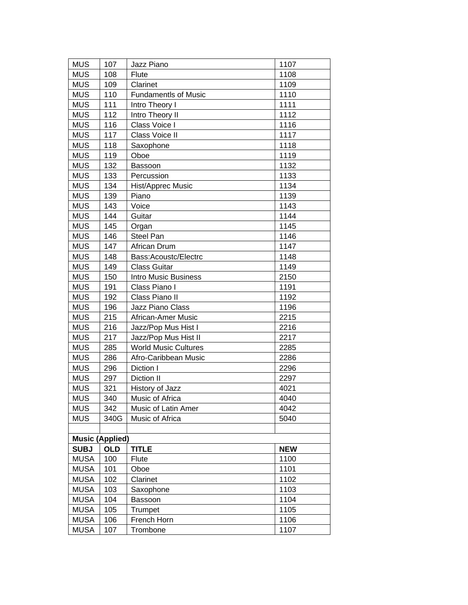| <b>MUS</b>  | 107                    | Jazz Piano                  | 1107       |  |  |  |
|-------------|------------------------|-----------------------------|------------|--|--|--|
| <b>MUS</b>  | 108                    | Flute                       | 1108       |  |  |  |
| <b>MUS</b>  | 109                    | Clarinet                    | 1109       |  |  |  |
| <b>MUS</b>  | 110                    | <b>Fundamentls of Music</b> | 1110       |  |  |  |
| <b>MUS</b>  | 111                    | Intro Theory I              | 1111       |  |  |  |
| <b>MUS</b>  | 112                    | Intro Theory II             | 1112       |  |  |  |
| <b>MUS</b>  | 116                    | Class Voice I               | 1116       |  |  |  |
| <b>MUS</b>  | 117                    | Class Voice II              | 1117       |  |  |  |
| <b>MUS</b>  | 118                    | Saxophone                   | 1118       |  |  |  |
| <b>MUS</b>  | 119                    | Oboe                        | 1119       |  |  |  |
| <b>MUS</b>  | 132                    | Bassoon                     | 1132       |  |  |  |
| <b>MUS</b>  | 133                    | Percussion                  | 1133       |  |  |  |
| <b>MUS</b>  | 134                    | Hist/Apprec Music           | 1134       |  |  |  |
| <b>MUS</b>  | 139                    | Piano                       | 1139       |  |  |  |
| <b>MUS</b>  | 143                    | Voice                       | 1143       |  |  |  |
| <b>MUS</b>  | 144                    | Guitar                      | 1144       |  |  |  |
| <b>MUS</b>  | 145                    | Organ                       | 1145       |  |  |  |
| <b>MUS</b>  | 146                    | Steel Pan                   | 1146       |  |  |  |
| <b>MUS</b>  | 147                    | African Drum                | 1147       |  |  |  |
| <b>MUS</b>  | 148                    | Bass:Acoustc/Electrc        | 1148       |  |  |  |
| <b>MUS</b>  | 149                    | <b>Class Guitar</b>         | 1149       |  |  |  |
| <b>MUS</b>  | 150                    | <b>Intro Music Business</b> | 2150       |  |  |  |
| <b>MUS</b>  | 191                    | Class Piano I               | 1191       |  |  |  |
| <b>MUS</b>  | 192                    | Class Piano II              | 1192       |  |  |  |
| <b>MUS</b>  | 196                    | Jazz Piano Class            | 1196       |  |  |  |
| <b>MUS</b>  | 215                    | African-Amer Music          | 2215       |  |  |  |
| <b>MUS</b>  | 216                    | Jazz/Pop Mus Hist I         | 2216       |  |  |  |
| <b>MUS</b>  | 217                    | Jazz/Pop Mus Hist II        | 2217       |  |  |  |
| <b>MUS</b>  | 285                    | <b>World Music Cultures</b> | 2285       |  |  |  |
| <b>MUS</b>  | 286                    | Afro-Caribbean Music        | 2286       |  |  |  |
| <b>MUS</b>  | 296                    | Diction I                   | 2296       |  |  |  |
| <b>MUS</b>  | 297                    | Diction II                  | 2297       |  |  |  |
| <b>MUS</b>  | 321                    | History of Jazz             | 4021       |  |  |  |
| <b>MUS</b>  | 340                    | Music of Africa             | 4040       |  |  |  |
| <b>MUS</b>  | 342                    | Music of Latin Amer         | 4042       |  |  |  |
| <b>MUS</b>  | 340G                   | Music of Africa             | 5040       |  |  |  |
|             |                        |                             |            |  |  |  |
|             | <b>Music (Applied)</b> |                             |            |  |  |  |
| <b>SUBJ</b> | <b>OLD</b>             | <b>TITLE</b>                | <b>NEW</b> |  |  |  |
| <b>MUSA</b> | 100                    | <b>Flute</b>                | 1100       |  |  |  |
| <b>MUSA</b> | 101                    | Oboe                        | 1101       |  |  |  |
| <b>MUSA</b> | 102                    | Clarinet                    | 1102       |  |  |  |
| <b>MUSA</b> | 103                    | Saxophone                   | 1103       |  |  |  |
| <b>MUSA</b> | 104                    | <b>Bassoon</b>              | 1104       |  |  |  |
| <b>MUSA</b> | 105                    | Trumpet                     | 1105       |  |  |  |
| <b>MUSA</b> | 106                    | French Horn                 | 1106       |  |  |  |
| <b>MUSA</b> | 107                    | Trombone                    | 1107       |  |  |  |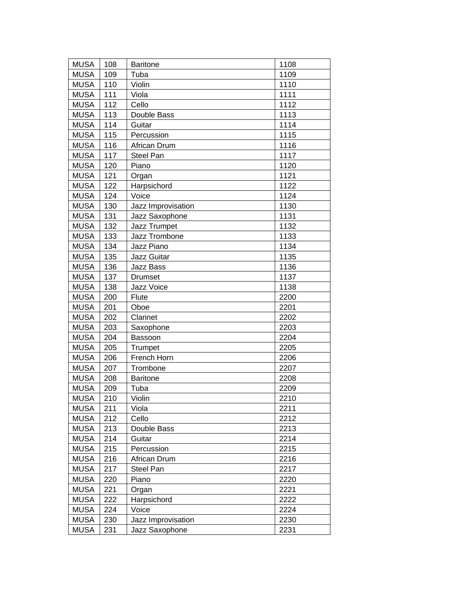| <b>MUSA</b> | 108 | <b>Baritone</b>     | 1108 |
|-------------|-----|---------------------|------|
| <b>MUSA</b> | 109 | Tuba                | 1109 |
| <b>MUSA</b> | 110 | Violin              | 1110 |
| <b>MUSA</b> | 111 | Viola               | 1111 |
| <b>MUSA</b> | 112 | Cello               | 1112 |
| <b>MUSA</b> | 113 | Double Bass         | 1113 |
| <b>MUSA</b> | 114 | Guitar              | 1114 |
| <b>MUSA</b> | 115 | Percussion          | 1115 |
| <b>MUSA</b> | 116 | African Drum        | 1116 |
| <b>MUSA</b> | 117 | Steel Pan           | 1117 |
| <b>MUSA</b> | 120 | Piano               | 1120 |
| <b>MUSA</b> | 121 | Organ               | 1121 |
| <b>MUSA</b> | 122 | Harpsichord         | 1122 |
| <b>MUSA</b> | 124 | Voice               | 1124 |
| <b>MUSA</b> | 130 | Jazz Improvisation  | 1130 |
| <b>MUSA</b> | 131 | Jazz Saxophone      | 1131 |
| <b>MUSA</b> | 132 | <b>Jazz Trumpet</b> | 1132 |
| <b>MUSA</b> | 133 | Jazz Trombone       | 1133 |
| <b>MUSA</b> | 134 | Jazz Piano          | 1134 |
| <b>MUSA</b> | 135 | Jazz Guitar         | 1135 |
| <b>MUSA</b> | 136 | Jazz Bass           | 1136 |
| <b>MUSA</b> | 137 | <b>Drumset</b>      | 1137 |
| <b>MUSA</b> | 138 | Jazz Voice          | 1138 |
| <b>MUSA</b> | 200 | Flute               | 2200 |
| <b>MUSA</b> | 201 | Oboe                | 2201 |
| <b>MUSA</b> | 202 | Clarinet            | 2202 |
| <b>MUSA</b> | 203 | Saxophone           | 2203 |
| <b>MUSA</b> | 204 | <b>Bassoon</b>      | 2204 |
| <b>MUSA</b> | 205 | Trumpet             | 2205 |
| <b>MUSA</b> | 206 | French Horn         | 2206 |
| <b>MUSA</b> | 207 | Trombone            | 2207 |
| <b>MUSA</b> | 208 | <b>Baritone</b>     | 2208 |
| <b>MUSA</b> | 209 | Tuba                | 2209 |
| <b>MUSA</b> | 210 | Violin              | 2210 |
| <b>MUSA</b> | 211 | Viola               | 2211 |
| <b>MUSA</b> | 212 | Cello               | 2212 |
| <b>MUSA</b> | 213 | Double Bass         | 2213 |
| <b>MUSA</b> | 214 | Guitar              | 2214 |
| <b>MUSA</b> | 215 | Percussion          | 2215 |
| <b>MUSA</b> | 216 | African Drum        | 2216 |
| <b>MUSA</b> | 217 | Steel Pan           | 2217 |
| <b>MUSA</b> | 220 | Piano               | 2220 |
| <b>MUSA</b> | 221 | Organ               | 2221 |
| <b>MUSA</b> | 222 | Harpsichord         | 2222 |
| <b>MUSA</b> | 224 | Voice               | 2224 |
| <b>MUSA</b> | 230 | Jazz Improvisation  | 2230 |
| <b>MUSA</b> | 231 | Jazz Saxophone      | 2231 |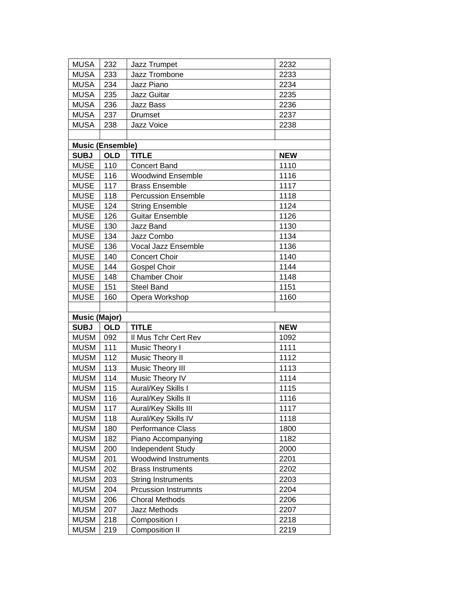| <b>MUSA</b>          | 232                     | Jazz Trumpet                | 2232       |
|----------------------|-------------------------|-----------------------------|------------|
| <b>MUSA</b>          | 233                     | Jazz Trombone               | 2233       |
| <b>MUSA</b>          | 234                     | Jazz Piano                  | 2234       |
| <b>MUSA</b>          | 235                     | Jazz Guitar                 | 2235       |
| <b>MUSA</b>          | 236                     | Jazz Bass                   | 2236       |
| <b>MUSA</b>          | 237                     | <b>Drumset</b>              | 2237       |
| <b>MUSA</b>          | 238                     | Jazz Voice                  | 2238       |
|                      |                         |                             |            |
|                      | <b>Music (Ensemble)</b> |                             |            |
| <b>SUBJ</b>          | <b>OLD</b>              | <b>TITLE</b>                | <b>NEW</b> |
| <b>MUSE</b>          | 110                     | <b>Concert Band</b>         | 1110       |
| <b>MUSE</b>          | 116                     | <b>Woodwind Ensemble</b>    | 1116       |
| <b>MUSE</b>          | 117                     | <b>Brass Ensemble</b>       | 1117       |
| <b>MUSE</b>          | 118                     | <b>Percussion Ensemble</b>  | 1118       |
| <b>MUSE</b>          | 124                     | <b>String Ensemble</b>      | 1124       |
| <b>MUSE</b>          | 126                     | <b>Guitar Ensemble</b>      | 1126       |
| <b>MUSE</b>          | 130                     | Jazz Band                   | 1130       |
| <b>MUSE</b>          | 134                     | Jazz Combo                  | 1134       |
| <b>MUSE</b>          | 136                     | Vocal Jazz Ensemble         | 1136       |
| <b>MUSE</b>          | 140                     | <b>Concert Choir</b>        | 1140       |
| <b>MUSE</b>          | 144                     | <b>Gospel Choir</b>         | 1144       |
| <b>MUSE</b>          | 148                     | <b>Chamber Choir</b>        | 1148       |
| <b>MUSE</b>          | 151                     | <b>Steel Band</b>           | 1151       |
| <b>MUSE</b>          | 160                     | Opera Workshop              | 1160       |
|                      |                         |                             |            |
| <b>Music (Major)</b> |                         |                             |            |
| <b>SUBJ</b>          | <b>OLD</b>              | <b>TITLE</b>                | <b>NEW</b> |
| <b>MUSM</b>          | 092                     | Il Mus Tchr Cert Rev        | 1092       |
| <b>MUSM</b>          | 111                     | Music Theory I              | 1111       |
| <b>MUSM</b>          | 112                     | Music Theory II             | 1112       |
| <b>MUSM</b>          | 113                     | Music Theory III            | 1113       |
| <b>MUSM</b>          | 114                     | Music Theory IV             | 1114       |
| <b>MUSM</b>          | 115                     | Aural/Key Skills I          | 1115       |
| <b>MUSM</b>          | 116                     | Aural/Key Skills II         | 1116       |
| <b>MUSM</b>          | 117                     | Aural/Key Skills III        | 1117       |
| <b>MUSM</b>          | 118                     | Aural/Key Skills IV         | 1118       |
| <b>MUSM</b>          | 180                     | <b>Performance Class</b>    | 1800       |
| <b>MUSM</b>          | 182                     | Piano Accompanying          | 1182       |
| <b>MUSM</b>          | 200                     | Independent Study           | 2000       |
| <b>MUSM</b>          | 201                     | <b>Woodwind Instruments</b> | 2201       |
| <b>MUSM</b>          | 202                     | <b>Brass Instruments</b>    | 2202       |
| <b>MUSM</b>          | 203                     | <b>String Instruments</b>   | 2203       |
| <b>MUSM</b>          | 204                     | <b>Prcussion Instrumnts</b> | 2204       |
| <b>MUSM</b>          | 206                     | <b>Choral Methods</b>       | 2206       |
| <b>MUSM</b>          | 207                     | Jazz Methods                | 2207       |
| <b>MUSM</b>          | 218                     | Composition I               | 2218       |
| <b>MUSM</b>          | 219                     | <b>Composition II</b>       | 2219       |
|                      |                         |                             |            |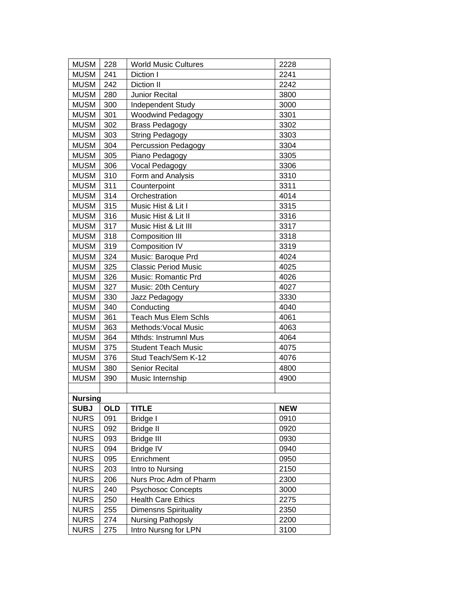| <b>MUSM</b>    | 228        | <b>World Music Cultures</b>  | 2228       |
|----------------|------------|------------------------------|------------|
| <b>MUSM</b>    | 241        | Diction I                    | 2241       |
| <b>MUSM</b>    | 242        | Diction II                   | 2242       |
| <b>MUSM</b>    | 280        | <b>Junior Recital</b>        | 3800       |
| <b>MUSM</b>    | 300        | Independent Study            | 3000       |
| <b>MUSM</b>    | 301        | <b>Woodwind Pedagogy</b>     | 3301       |
| <b>MUSM</b>    | 302        | Brass Pedagogy               | 3302       |
| <b>MUSM</b>    | 303        | <b>String Pedagogy</b>       | 3303       |
| <b>MUSM</b>    | 304        | <b>Percussion Pedagogy</b>   | 3304       |
| <b>MUSM</b>    | 305        | Piano Pedagogy               | 3305       |
| <b>MUSM</b>    | 306        | Vocal Pedagogy               | 3306       |
| <b>MUSM</b>    | 310        | Form and Analysis            | 3310       |
| <b>MUSM</b>    | 311        | Counterpoint                 | 3311       |
| <b>MUSM</b>    | 314        | Orchestration                | 4014       |
| <b>MUSM</b>    | 315        | Music Hist & Lit I           | 3315       |
| <b>MUSM</b>    | 316        | Music Hist & Lit II          | 3316       |
| <b>MUSM</b>    | 317        | Music Hist & Lit III         | 3317       |
| <b>MUSM</b>    | 318        | <b>Composition III</b>       | 3318       |
| <b>MUSM</b>    | 319        | Composition IV               | 3319       |
| <b>MUSM</b>    | 324        | Music: Baroque Prd           | 4024       |
| <b>MUSM</b>    | 325        | <b>Classic Period Music</b>  | 4025       |
| <b>MUSM</b>    | 326        | Music: Romantic Prd          | 4026       |
| <b>MUSM</b>    | 327        | Music: 20th Century          | 4027       |
| <b>MUSM</b>    | 330        | Jazz Pedagogy                | 3330       |
| <b>MUSM</b>    | 340        | Conducting                   | 4040       |
| <b>MUSM</b>    | 361        | Teach Mus Elem Schls         | 4061       |
| <b>MUSM</b>    | 363        | Methods: Vocal Music         | 4063       |
| <b>MUSM</b>    | 364        | Mthds: Instrumnl Mus         | 4064       |
| <b>MUSM</b>    | 375        | <b>Student Teach Music</b>   | 4075       |
| <b>MUSM</b>    | 376        | Stud Teach/Sem K-12          | 4076       |
| <b>MUSM</b>    | 380        | <b>Senior Recital</b>        | 4800       |
| <b>MUSM</b>    | 390        | Music Internship             | 4900       |
|                |            |                              |            |
| <b>Nursing</b> |            |                              |            |
| <b>SUBJ</b>    | <b>OLD</b> | <b>TITLE</b>                 | <b>NEW</b> |
| <b>NURS</b>    | 091        | Bridge I                     | 0910       |
| <b>NURS</b>    | 092        | <b>Bridge II</b>             | 0920       |
| <b>NURS</b>    | 093        | <b>Bridge III</b>            | 0930       |
| <b>NURS</b>    | 094        | <b>Bridge IV</b>             | 0940       |
| <b>NURS</b>    | 095        | Enrichment                   | 0950       |
| <b>NURS</b>    | 203        | Intro to Nursing             | 2150       |
| <b>NURS</b>    | 206        | Nurs Proc Adm of Pharm       | 2300       |
| <b>NURS</b>    | 240        | <b>Psychosoc Concepts</b>    | 3000       |
| <b>NURS</b>    | 250        | <b>Health Care Ethics</b>    | 2275       |
| <b>NURS</b>    | 255        | <b>Dimensns Spirituality</b> | 2350       |
| <b>NURS</b>    | 274        | <b>Nursing Pathopsly</b>     | 2200       |
| <b>NURS</b>    | 275        | Intro Nursng for LPN         | 3100       |
|                |            |                              |            |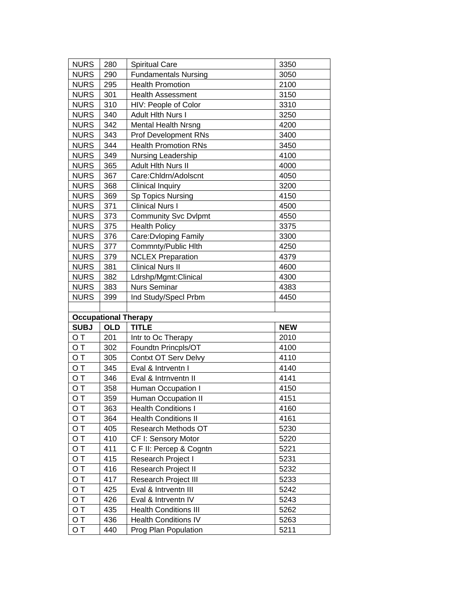| <b>NURS</b> | 280        | <b>Spiritual Care</b>        | 3350       |
|-------------|------------|------------------------------|------------|
| <b>NURS</b> | 290        | <b>Fundamentals Nursing</b>  | 3050       |
| <b>NURS</b> | 295        | <b>Health Promotion</b>      | 2100       |
| <b>NURS</b> | 301        | <b>Health Assessment</b>     | 3150       |
| <b>NURS</b> | 310        | HIV: People of Color         | 3310       |
| <b>NURS</b> | 340        | Adult Hith Nurs I            | 3250       |
| <b>NURS</b> | 342        | <b>Mental Health Nrsng</b>   | 4200       |
| <b>NURS</b> | 343        | <b>Prof Development RNs</b>  | 3400       |
| <b>NURS</b> | 344        | <b>Health Promotion RNs</b>  | 3450       |
| <b>NURS</b> | 349        | Nursing Leadership           | 4100       |
| <b>NURS</b> | 365        | Adult Hith Nurs II           | 4000       |
| <b>NURS</b> | 367        | Care: Chldrn/Adolscnt        | 4050       |
| <b>NURS</b> | 368        | <b>Clinical Inquiry</b>      | 3200       |
| <b>NURS</b> | 369        | Sp Topics Nursing            | 4150       |
| <b>NURS</b> | 371        | <b>Clinical Nurs I</b>       | 4500       |
| <b>NURS</b> | 373        | <b>Community Svc Dvlpmt</b>  | 4550       |
| <b>NURS</b> | 375        | <b>Health Policy</b>         | 3375       |
| <b>NURS</b> | 376        | Care: Dvloping Family        | 3300       |
| <b>NURS</b> | 377        | Commnty/Public Hlth          | 4250       |
| <b>NURS</b> | 379        | <b>NCLEX Preparation</b>     | 4379       |
| <b>NURS</b> | 381        | <b>Clinical Nurs II</b>      | 4600       |
| <b>NURS</b> | 382        | Ldrshp/Mgmt:Clinical         | 4300       |
| <b>NURS</b> | 383        | <b>Nurs Seminar</b>          | 4383       |
| <b>NURS</b> | 399        | Ind Study/SpecI Prbm         | 4450       |
|             |            |                              |            |
|             |            |                              |            |
|             |            | <b>Occupational Therapy</b>  |            |
| <b>SUBJ</b> | <b>OLD</b> | <b>TITLE</b>                 | <b>NEW</b> |
| O T         | 201        | Intr to Oc Therapy           | 2010       |
| O T         | 302        | Foundtn Princpls/OT          | 4100       |
| O T         | 305        | <b>Contxt OT Serv Delvy</b>  | 4110       |
| O T         | 345        | Eval & Intrventn I           | 4140       |
| OT          | 346        | Eval & Intrnventn II         | 4141       |
| O T         | 358        | Human Occupation I           | 4150       |
| O T         | 359        | Human Occupation II          | 4151       |
| O T         | 363        | <b>Health Conditions I</b>   | 4160       |
| O T         | 364        | <b>Health Conditions II</b>  | 4161       |
| O T         | 405        | Research Methods OT          | 5230       |
| O T         | 410        | <b>CF I: Sensory Motor</b>   | 5220       |
| O T         | 411        | C F II: Percep & Cogntn      | 5221       |
| O T         | 415        | Research Project I           | 5231       |
| O T         | 416        | Research Project II          | 5232       |
| O T         | 417        | <b>Research Project III</b>  | 5233       |
| O T         | 425        | Eval & Intrventn III         | 5242       |
| O T         | 426        | Eval & Intrventn IV          | 5243       |
| O T         | 435        | <b>Health Conditions III</b> | 5262       |
| O T         | 436        | <b>Health Conditions IV</b>  | 5263       |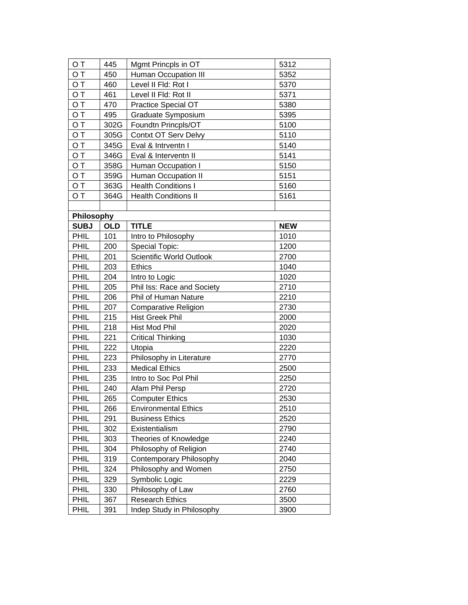| O T         | 445        | Mgmt Princpls in OT             | 5312       |
|-------------|------------|---------------------------------|------------|
| O T         | 450        | Human Occupation III            | 5352       |
| O T         | 460        | Level II Fld: Rot I             | 5370       |
| O T         | 461        | Level II Fld: Rot II            | 5371       |
| OT          | 470        | Practice Special OT             | 5380       |
| O T         | 495        | Graduate Symposium              | 5395       |
| O T         | 302G       | Foundtn Princpls/OT             | 5100       |
| O T         | 305G       | <b>Contxt OT Serv Delvy</b>     | 5110       |
| O T         | 345G       | Eval & Intrventn I              | 5140       |
| OT          | 346G       | Eval & Interventn II            | 5141       |
| OT          | 358G       | Human Occupation I              | 5150       |
| O T         | 359G       | <b>Human Occupation II</b>      | 5151       |
| O T         | 363G       | <b>Health Conditions I</b>      | 5160       |
| O T         | 364G       | <b>Health Conditions II</b>     | 5161       |
|             |            |                                 |            |
| Philosophy  |            |                                 |            |
| <b>SUBJ</b> | <b>OLD</b> | <b>TITLE</b>                    | <b>NEW</b> |
| PHIL        | 101        | Intro to Philosophy             | 1010       |
| PHIL        | 200        | <b>Special Topic:</b>           | 1200       |
| PHIL        | 201        | <b>Scientific World Outlook</b> | 2700       |
| PHIL        | 203        | <b>Ethics</b>                   | 1040       |
| PHIL        | 204        | Intro to Logic                  | 1020       |
| <b>PHIL</b> | 205        | Phil Iss: Race and Society      | 2710       |
| <b>PHIL</b> | 206        | Phil of Human Nature            | 2210       |
| <b>PHIL</b> | 207        | <b>Comparative Religion</b>     | 2730       |
| <b>PHIL</b> | 215        | <b>Hist Greek Phil</b>          | 2000       |
| <b>PHIL</b> | 218        | Hist Mod Phil                   | 2020       |
| <b>PHIL</b> | 221        | <b>Critical Thinking</b>        | 1030       |
| <b>PHIL</b> | 222        | Utopia                          | 2220       |
| PHIL        | 223        | Philosophy in Literature        | 2770       |
| PHIL        | 233        | <b>Medical Ethics</b>           | 2500       |
| PHIL        | 235        | Intro to Soc Pol Phil           | 2250       |
| PHIL        | 240        | Afam Phil Persp                 | 2720       |
| PHIL        | 265        | <b>Computer Ethics</b>          | 2530       |
| PHIL        | 266        | <b>Environmental Ethics</b>     | 2510       |
| PHIL        | 291        | <b>Business Ethics</b>          | 2520       |
| PHIL        | 302        | Existentialism                  | 2790       |
| PHIL        | 303        | Theories of Knowledge           | 2240       |
| PHIL        | 304        | Philosophy of Religion          | 2740       |
| <b>PHIL</b> | 319        | Contemporary Philosophy         | 2040       |
| PHIL        | 324        | Philosophy and Women            | 2750       |
| <b>PHIL</b> | 329        | Symbolic Logic                  | 2229       |
| PHIL        | 330        | Philosophy of Law               | 2760       |
| PHIL        | 367        | <b>Research Ethics</b>          | 3500       |
| PHIL        | 391        | Indep Study in Philosophy       | 3900       |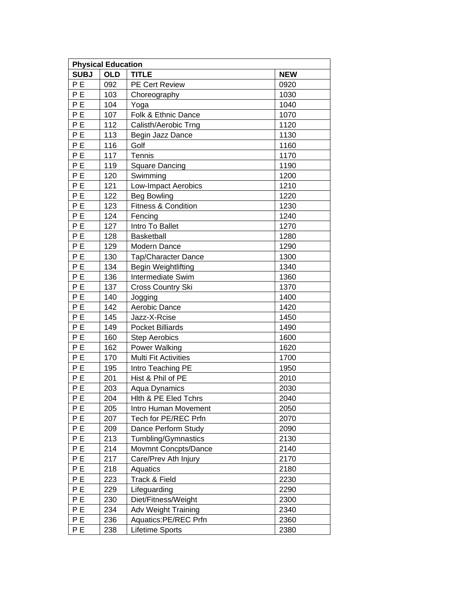|                | <b>Physical Education</b> |                                |            |  |  |
|----------------|---------------------------|--------------------------------|------------|--|--|
| <b>SUBJ</b>    | <b>OLD</b>                | <b>TITLE</b>                   | <b>NEW</b> |  |  |
| <b>PE</b>      | 092                       | PE Cert Review                 | 0920       |  |  |
| P E            | 103                       | Choreography                   | 1030       |  |  |
| P <sub>E</sub> | 104                       | Yoga                           | 1040       |  |  |
| P <sub>E</sub> | 107                       | Folk & Ethnic Dance            | 1070       |  |  |
| P <sub>E</sub> | 112                       | Calisth/Aerobic Trng           | 1120       |  |  |
| P E            | 113                       | Begin Jazz Dance               | 1130       |  |  |
| P E            | 116                       | Golf                           | 1160       |  |  |
| P <sub>E</sub> | 117                       | Tennis                         | 1170       |  |  |
| P E            | 119                       | <b>Square Dancing</b>          | 1190       |  |  |
| P <sub>E</sub> | 120                       | Swimming                       | 1200       |  |  |
| P E            | 121                       | Low-Impact Aerobics            | 1210       |  |  |
| P E            | 122                       | <b>Beg Bowling</b>             | 1220       |  |  |
| P <sub>E</sub> | 123                       | <b>Fitness &amp; Condition</b> | 1230       |  |  |
| P <sub>E</sub> | 124                       | Fencing                        | 1240       |  |  |
| P <sub>E</sub> | 127                       | Intro To Ballet                | 1270       |  |  |
| P E            | 128                       | Basketball                     | 1280       |  |  |
| P E            | 129                       | Modern Dance                   | 1290       |  |  |
| P E            | 130                       | <b>Tap/Character Dance</b>     | 1300       |  |  |
| P <sub>E</sub> | 134                       | <b>Begin Weightlifting</b>     | 1340       |  |  |
| P <sub>E</sub> | 136                       | Intermediate Swim              | 1360       |  |  |
| P E            | 137                       | Cross Country Ski              | 1370       |  |  |
| P <sub>E</sub> | 140                       | Jogging                        | 1400       |  |  |
| P <sub>E</sub> | 142                       | Aerobic Dance                  | 1420       |  |  |
| P <sub>E</sub> | 145                       | Jazz-X-Rcise                   | 1450       |  |  |
| P E            | 149                       | Pocket Billiards               | 1490       |  |  |
| P <sub>E</sub> | 160                       | <b>Step Aerobics</b>           | 1600       |  |  |
| P E            | 162                       | Power Walking                  | 1620       |  |  |
| P <sub>E</sub> | 170                       | <b>Multi Fit Activities</b>    | 1700       |  |  |
| P <sub>E</sub> | 195                       | Intro Teaching PE              | 1950       |  |  |
| P E            | 201                       | Hist & Phil of PE              | 2010       |  |  |
| P E            | 203                       | Aqua Dynamics                  | 2030       |  |  |
| P <sub>E</sub> | 204                       | Hith & PE Eled Tchrs           | 2040       |  |  |
| P E            | 205                       | Intro Human Movement           | 2050       |  |  |
| P E            | 207                       | Tech for PE/REC Prfn           | 2070       |  |  |
| РE             | 209                       | Dance Perform Study            | 2090       |  |  |
| P E            | 213                       | Tumbling/Gymnastics            | 2130       |  |  |
| P <sub>E</sub> | 214                       | Movmnt Concpts/Dance           | 2140       |  |  |
| P <sub>E</sub> | 217                       | Care/Prev Ath Injury           | 2170       |  |  |
| P <sub>E</sub> | 218                       | Aquatics                       | 2180       |  |  |
| P <sub>E</sub> | 223                       | Track & Field                  | 2230       |  |  |
| P <sub>E</sub> | 229                       | Lifeguarding                   | 2290       |  |  |
| P E            | 230                       | Diet/Fitness/Weight            | 2300       |  |  |
| P E            | 234                       | <b>Adv Weight Training</b>     | 2340       |  |  |
| P E            | 236                       | Aquatics:PE/REC Prfn           | 2360       |  |  |
| P E            | 238                       | Lifetime Sports                | 2380       |  |  |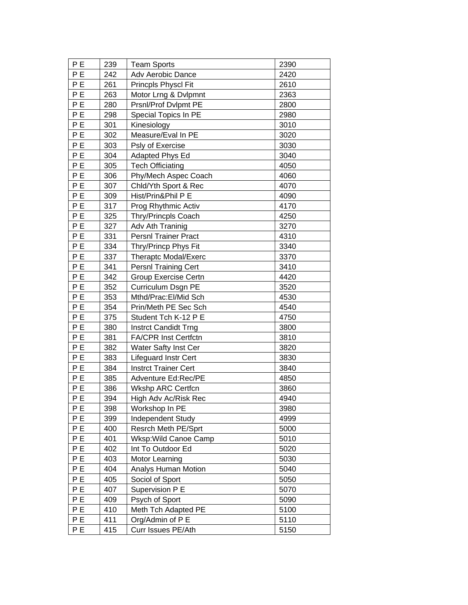| P E            | 239 | <b>Team Sports</b>          | 2390 |
|----------------|-----|-----------------------------|------|
| P E            | 242 | Adv Aerobic Dance           | 2420 |
| P <sub>E</sub> | 261 | <b>Princpls Physcl Fit</b>  | 2610 |
| P <sub>E</sub> | 263 | Motor Lrng & Dvlpmnt        | 2363 |
| P <sub>E</sub> | 280 | Prsnl/Prof Dvlpmt PE        | 2800 |
| P <sub>E</sub> | 298 | Special Topics In PE        | 2980 |
| P <sub>E</sub> | 301 | Kinesiology                 | 3010 |
| P E            | 302 | Measure/Eval In PE          | 3020 |
| P E            | 303 | Psly of Exercise            | 3030 |
| P <sub>E</sub> | 304 | Adapted Phys Ed             | 3040 |
| P E            | 305 | <b>Tech Officiating</b>     | 4050 |
| P <sub>E</sub> | 306 | Phy/Mech Aspec Coach        | 4060 |
| P E            | 307 | Chid/Yth Sport & Rec        | 4070 |
| P E            | 309 | Hist/Prin&Phil P E          | 4090 |
| P <sub>E</sub> | 317 | Prog Rhythmic Activ         | 4170 |
| P <sub>E</sub> | 325 | <b>Thry/Princpls Coach</b>  | 4250 |
| P <sub>E</sub> | 327 | Adv Ath Traninig            | 3270 |
| P E            | 331 | <b>PersnI Trainer Pract</b> | 4310 |
| P E            | 334 | Thry/Princp Phys Fit        | 3340 |
| P E            | 337 | Theraptc Modal/Exerc        | 3370 |
| P <sub>E</sub> | 341 | Persnl Training Cert        | 3410 |
| P E            | 342 | <b>Group Exercise Certn</b> | 4420 |
| P E            | 352 | Curriculum Dsgn PE          | 3520 |
| P <sub>E</sub> | 353 | Mthd/Prac:El/Mid Sch        | 4530 |
| P <sub>E</sub> | 354 | Prin/Meth PE Sec Sch        | 4540 |
| <b>PE</b>      | 375 | Student Tch K-12 P E        | 4750 |
| P E            | 380 | <b>Instrct Candidt Trng</b> | 3800 |
| P E            | 381 | <b>FA/CPR Inst Certfctn</b> | 3810 |
| P <sub>E</sub> | 382 | Water Safty Inst Cer        | 3820 |
| P <sub>E</sub> | 383 | <b>Lifeguard Instr Cert</b> | 3830 |
| P <sub>E</sub> | 384 | <b>Instrct Trainer Cert</b> | 3840 |
| P E            | 385 | Adventure Ed:Rec/PE         | 4850 |
| P E            | 386 | <b>Wkshp ARC Certfcn</b>    | 3860 |
| P <sub>E</sub> | 394 | High Adv Ac/Risk Rec        | 4940 |
| P E            | 398 | Workshop In PE              | 3980 |
| P E            | 399 | Independent Study           | 4999 |
| P E            | 400 | Resrch Meth PE/Sprt         | 5000 |
| P E            | 401 | Wksp: Wild Canoe Camp       | 5010 |
| P E            | 402 | Int To Outdoor Ed           | 5020 |
| P E            | 403 | Motor Learning              | 5030 |
| P E            | 404 | Analys Human Motion         | 5040 |
| P <sub>E</sub> | 405 | Sociol of Sport             | 5050 |
| P E            | 407 | Supervision P E             | 5070 |
| P E            | 409 | Psych of Sport              | 5090 |
| P E            | 410 | Meth Tch Adapted PE         | 5100 |
| P E            | 411 | Org/Admin of P E            | 5110 |
| P E            | 415 | Curr Issues PE/Ath          | 5150 |
|                |     |                             |      |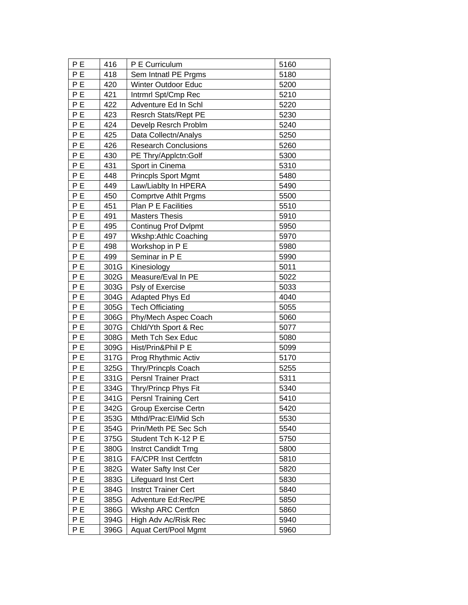| P <sub>E</sub> | 416  | P E Curriculum              | 5160 |
|----------------|------|-----------------------------|------|
| P E            | 418  | Sem Intnatl PE Prgms        | 5180 |
| P E            | 420  | <b>Winter Outdoor Educ</b>  | 5200 |
| P E            | 421  | Intrmrl Spt/Cmp Rec         | 5210 |
| P <sub>E</sub> | 422  | Adventure Ed In Schl        | 5220 |
| P <sub>E</sub> | 423  | Resrch Stats/Rept PE        | 5230 |
| P <sub>E</sub> | 424  | Develp Resrch Problm        | 5240 |
| P <sub>E</sub> | 425  | Data Collectn/Analys        | 5250 |
| P <sub>E</sub> | 426  | <b>Research Conclusions</b> | 5260 |
| P <sub>E</sub> | 430  | PE Thry/Applctn:Golf        | 5300 |
| P E            | 431  | Sport in Cinema             | 5310 |
| P <sub>E</sub> | 448  | <b>Princpls Sport Mgmt</b>  | 5480 |
| P E            | 449  | Law/Liablty In HPERA        | 5490 |
| P <sub>E</sub> | 450  | <b>Comprtve Athlt Prgms</b> | 5500 |
| P <sub>E</sub> | 451  | Plan P E Facilities         | 5510 |
| P <sub>E</sub> | 491  | <b>Masters Thesis</b>       | 5910 |
| P <sub>E</sub> | 495  | <b>Continug Prof Dvlpmt</b> | 5950 |
| P E            | 497  | <b>Wkshp:Athlc Coaching</b> | 5970 |
| P <sub>E</sub> | 498  | Workshop in P E             | 5980 |
| P <sub>E</sub> | 499  | Seminar in P E              | 5990 |
| P E            | 301G | Kinesiology                 | 5011 |
| P E            | 302G | Measure/Eval In PE          | 5022 |
| P E            | 303G | Psly of Exercise            | 5033 |
| P <sub>E</sub> | 304G | Adapted Phys Ed             | 4040 |
| P <sub>E</sub> | 305G | <b>Tech Officiating</b>     | 5055 |
| P <sub>E</sub> | 306G | Phy/Mech Aspec Coach        | 5060 |
| P E            | 307G | Chld/Yth Sport & Rec        | 5077 |
| P <sub>E</sub> | 308G | Meth Tch Sex Educ           | 5080 |
| P <sub>E</sub> | 309G | Hist/Prin&Phil P E          | 5099 |
| P <sub>E</sub> | 317G | Prog Rhythmic Activ         | 5170 |
| P <sub>E</sub> | 325G | Thry/Princpls Coach         | 5255 |
| P E            | 331G | <b>PersnI Trainer Pract</b> | 5311 |
| P <sub>E</sub> | 334G | Thry/Princp Phys Fit        | 5340 |
| P <sub>E</sub> | 341G | Persnl Training Cert        | 5410 |
| P E            | 342G | Group Exercise Certn        | 5420 |
| P E            | 353G | Mthd/Prac:El/Mid Sch        | 5530 |
| P E            | 354G | Prin/Meth PE Sec Sch        | 5540 |
| P E            | 375G | Student Tch K-12 P E        | 5750 |
| P E            | 380G | <b>Instrct Candidt Trng</b> | 5800 |
| P E            | 381G | FA/CPR Inst Certfctn        | 5810 |
| P E            | 382G | Water Safty Inst Cer        | 5820 |
| P E            | 383G | <b>Lifeguard Inst Cert</b>  | 5830 |
| P E            | 384G | <b>Instrct Trainer Cert</b> | 5840 |
| P E            | 385G | Adventure Ed:Rec/PE         | 5850 |
| P E            | 386G | <b>Wkshp ARC Certfcn</b>    | 5860 |
| P E            | 394G | High Adv Ac/Risk Rec        | 5940 |
| P E            | 396G | Aquat Cert/Pool Mgmt        | 5960 |
|                |      |                             |      |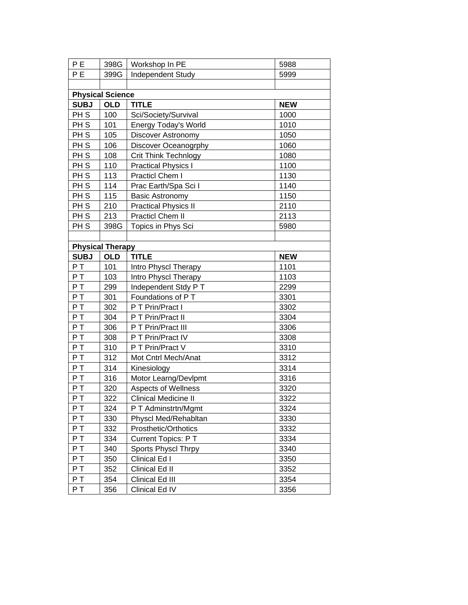| P <sub>E</sub>  | 398G                    | Workshop In PE              | 5988       |
|-----------------|-------------------------|-----------------------------|------------|
| P <sub>E</sub>  | 399G                    | Independent Study           | 5999       |
|                 |                         |                             |            |
|                 | <b>Physical Science</b> |                             |            |
| <b>SUBJ</b>     | <b>OLD</b>              | <b>TITLE</b>                | <b>NEW</b> |
| PH <sub>S</sub> | 100                     | Sci/Society/Survival        | 1000       |
| PH <sub>S</sub> | 101                     | Energy Today's World        | 1010       |
| PH <sub>S</sub> | 105                     | Discover Astronomy          | 1050       |
| PH <sub>S</sub> | 106                     | Discover Oceanogrphy        | 1060       |
| PH <sub>S</sub> | 108                     | <b>Crit Think Technlogy</b> | 1080       |
| PH <sub>S</sub> | 110                     | <b>Practical Physics I</b>  | 1100       |
| PH <sub>S</sub> | 113                     | <b>Practicl Chem I</b>      | 1130       |
| PH <sub>S</sub> | 114                     | Prac Earth/Spa Sci I        | 1140       |
| PH <sub>S</sub> | 115                     | <b>Basic Astronomy</b>      | 1150       |
| PH <sub>S</sub> | 210                     | <b>Practical Physics II</b> | 2110       |
| PH <sub>S</sub> | 213                     | Practicl Chem II            | 2113       |
| PH <sub>S</sub> | 398G                    | Topics in Phys Sci          | 5980       |
|                 |                         |                             |            |
|                 | <b>Physical Therapy</b> |                             |            |
| <b>SUBJ</b>     | <b>OLD</b>              | <b>TITLE</b>                | <b>NEW</b> |
| PT              | 101                     | Intro Physcl Therapy        | 1101       |
| PT              | 103                     | Intro Physcl Therapy        | 1103       |
| PT              | 299                     | Independent Stdy P T        | 2299       |
| PT              | 301                     | Foundations of PT           | 3301       |
| PT              | 302                     | P T Prin/Pract I            | 3302       |
| P <sub>T</sub>  | 304                     | P T Prin/Pract II           | 3304       |
| P <sub>T</sub>  | 306                     | P T Prin/Pract III          | 3306       |
| PT              | 308                     | P T Prin/Pract IV           | 3308       |
| PT              | 310                     | P T Prin/Pract V            | 3310       |
| P <sub>T</sub>  | 312                     | Mot Cntrl Mech/Anat         | 3312       |
| PT              | 314                     | Kinesiology                 | 3314       |
| P T             | 316                     | Motor Learng/Devlpmt        | 3316       |
| PT              | 320                     | Aspects of Wellness         | 3320       |
| PT              | 322                     | <b>Clinical Medicine II</b> | 3322       |
| P T             | 324                     | P T Adminstrtn/Mgmt         | 3324       |
| PT              | 330                     | Physcl Med/Rehabltan        | 3330       |
| P T             | 332                     | Prosthetic/Orthotics        | 3332       |
| P T             | 334                     | <b>Current Topics: PT</b>   | 3334       |
| PT              | 340                     | <b>Sports Physcl Thrpy</b>  | 3340       |
| PT              | 350                     | Clinical Ed I               | 3350       |
| PT              | 352                     | Clinical Ed II              | 3352       |
| PT              | 354                     | Clinical Ed III             | 3354       |
| P T             | 356                     | Clinical Ed IV              | 3356       |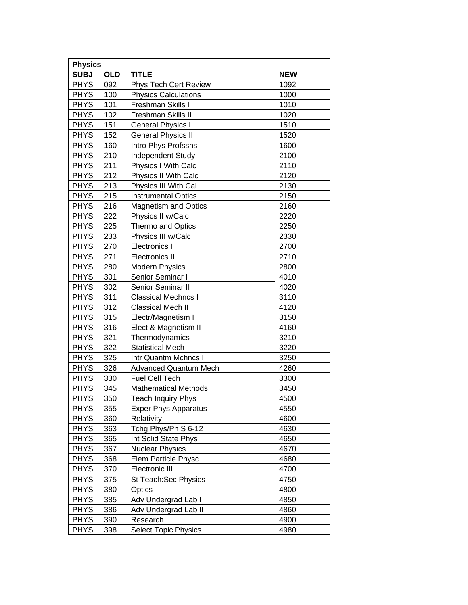| <b>Physics</b> |            |                              |            |  |
|----------------|------------|------------------------------|------------|--|
| <b>SUBJ</b>    | <b>OLD</b> | <b>TITLE</b>                 | <b>NEW</b> |  |
| <b>PHYS</b>    | 092        | Phys Tech Cert Review        | 1092       |  |
| <b>PHYS</b>    | 100        | <b>Physics Calculations</b>  | 1000       |  |
| <b>PHYS</b>    | 101        | Freshman Skills I            | 1010       |  |
| <b>PHYS</b>    | 102        | Freshman Skills II           | 1020       |  |
| <b>PHYS</b>    | 151        | <b>General Physics I</b>     | 1510       |  |
| <b>PHYS</b>    | 152        | <b>General Physics II</b>    | 1520       |  |
| <b>PHYS</b>    | 160        | Intro Phys Profssns          | 1600       |  |
| <b>PHYS</b>    | 210        | Independent Study            | 2100       |  |
| <b>PHYS</b>    | 211        | Physics I With Calc          | 2110       |  |
| <b>PHYS</b>    | 212        | Physics II With Calc         | 2120       |  |
| <b>PHYS</b>    | 213        | Physics III With Cal         | 2130       |  |
| <b>PHYS</b>    | 215        | <b>Instrumental Optics</b>   | 2150       |  |
| <b>PHYS</b>    | 216        | <b>Magnetism and Optics</b>  | 2160       |  |
| <b>PHYS</b>    | 222        | Physics II w/Calc            | 2220       |  |
| <b>PHYS</b>    | 225        | Thermo and Optics            | 2250       |  |
| <b>PHYS</b>    | 233        | Physics III w/Calc           | 2330       |  |
| <b>PHYS</b>    | 270        | Electronics I                | 2700       |  |
| <b>PHYS</b>    | 271        | <b>Electronics II</b>        | 2710       |  |
| <b>PHYS</b>    | 280        | <b>Modern Physics</b>        | 2800       |  |
| <b>PHYS</b>    | 301        | Senior Seminar I             | 4010       |  |
| <b>PHYS</b>    | 302        | Senior Seminar II            | 4020       |  |
| <b>PHYS</b>    | 311        | <b>Classical Mechncs I</b>   | 3110       |  |
| <b>PHYS</b>    | 312        | <b>Classical Mech II</b>     | 4120       |  |
| <b>PHYS</b>    | 315        | Electr/Magnetism I           | 3150       |  |
| <b>PHYS</b>    | 316        | Elect & Magnetism II         | 4160       |  |
| <b>PHYS</b>    | 321        | Thermodynamics               | 3210       |  |
| <b>PHYS</b>    | 322        | <b>Statistical Mech</b>      | 3220       |  |
| <b>PHYS</b>    | 325        | Intr Quantm Mchncs I         | 3250       |  |
| <b>PHYS</b>    | 326        | <b>Advanced Quantum Mech</b> | 4260       |  |
| <b>PHYS</b>    | 330        | Fuel Cell Tech               | 3300       |  |
| <b>PHYS</b>    | 345        | <b>Mathematical Methods</b>  | 3450       |  |
| <b>PHYS</b>    | 350        | Teach Inquiry Phys           | 4500       |  |
| <b>PHYS</b>    | 355        | <b>Exper Phys Apparatus</b>  | 4550       |  |
| <b>PHYS</b>    | 360        | Relativity                   | 4600       |  |
| <b>PHYS</b>    | 363        | Tchg Phys/Ph S 6-12          | 4630       |  |
| <b>PHYS</b>    | 365        | Int Solid State Phys         | 4650       |  |
| <b>PHYS</b>    | 367        | <b>Nuclear Physics</b>       | 4670       |  |
| <b>PHYS</b>    | 368        | <b>Elem Particle Physc</b>   | 4680       |  |
| <b>PHYS</b>    | 370        | Electronic III               | 4700       |  |
| <b>PHYS</b>    | 375        | St Teach: Sec Physics        | 4750       |  |
| <b>PHYS</b>    | 380        | Optics                       | 4800       |  |
| <b>PHYS</b>    | 385        | Adv Undergrad Lab I          | 4850       |  |
| <b>PHYS</b>    | 386        | Adv Undergrad Lab II         | 4860       |  |
| <b>PHYS</b>    | 390        | Research                     | 4900       |  |
| <b>PHYS</b>    | 398        | <b>Select Topic Physics</b>  | 4980       |  |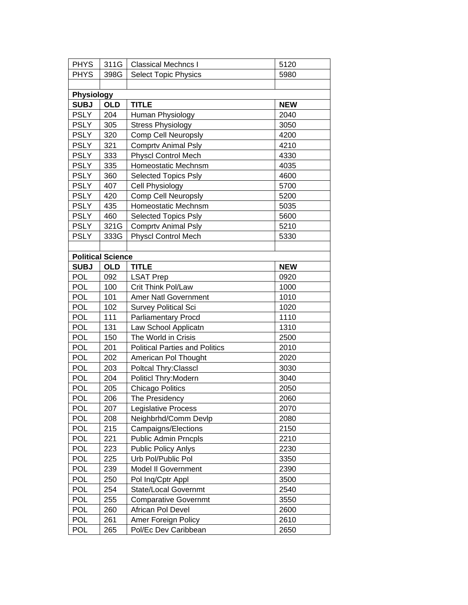| <b>PHYS</b> | 311G                     | <b>Classical Mechncs I</b>            | 5120       |  |  |  |
|-------------|--------------------------|---------------------------------------|------------|--|--|--|
| <b>PHYS</b> | 398G                     | <b>Select Topic Physics</b>           | 5980       |  |  |  |
|             |                          |                                       |            |  |  |  |
|             | <b>Physiology</b>        |                                       |            |  |  |  |
| <b>SUBJ</b> | <b>OLD</b>               | <b>TITLE</b>                          | <b>NEW</b> |  |  |  |
| <b>PSLY</b> | 204                      | Human Physiology                      | 2040       |  |  |  |
| <b>PSLY</b> | 305                      | <b>Stress Physiology</b>              | 3050       |  |  |  |
| <b>PSLY</b> | 320                      | <b>Comp Cell Neuropsly</b>            | 4200       |  |  |  |
| <b>PSLY</b> | 321                      | <b>Comprtv Animal Psly</b>            | 4210       |  |  |  |
| <b>PSLY</b> | 333                      | <b>Physcl Control Mech</b>            | 4330       |  |  |  |
| <b>PSLY</b> | 335                      | Homeostatic Mechnsm                   | 4035       |  |  |  |
| <b>PSLY</b> | 360                      | <b>Selected Topics Psly</b>           | 4600       |  |  |  |
| <b>PSLY</b> | 407                      | Cell Physiology                       | 5700       |  |  |  |
| <b>PSLY</b> | 420                      | <b>Comp Cell Neuropsly</b>            | 5200       |  |  |  |
| <b>PSLY</b> | 435                      | Homeostatic Mechnsm                   | 5035       |  |  |  |
| <b>PSLY</b> | 460                      | <b>Selected Topics Psly</b>           | 5600       |  |  |  |
| <b>PSLY</b> | 321G                     | <b>Comprtv Animal Psly</b>            | 5210       |  |  |  |
| <b>PSLY</b> | 333G                     | <b>Physcl Control Mech</b>            | 5330       |  |  |  |
|             |                          |                                       |            |  |  |  |
|             | <b>Political Science</b> |                                       |            |  |  |  |
| <b>SUBJ</b> | <b>OLD</b>               | <b>TITLE</b>                          | <b>NEW</b> |  |  |  |
| POL         | 092                      | <b>LSAT Prep</b>                      | 0920       |  |  |  |
| POL         | 100                      | Crit Think Pol/Law                    | 1000       |  |  |  |
| POL         | 101                      | Amer Natl Government                  | 1010       |  |  |  |
| POL         | 102                      | <b>Survey Political Sci</b>           | 1020       |  |  |  |
| POL         | 111                      | <b>Parliamentary Procd</b>            | 1110       |  |  |  |
| POL         | 131                      | Law School Applicatn                  | 1310       |  |  |  |
| POL         | 150                      | The World in Crisis                   | 2500       |  |  |  |
| POL         | 201                      | <b>Political Parties and Politics</b> | 2010       |  |  |  |
| POL         | 202                      | American Pol Thought                  | 2020       |  |  |  |
| POL         | 203                      | Poltcal Thry: Classcl                 | 3030       |  |  |  |
| POL         | 204                      | Politicl Thry: Modern                 | 3040       |  |  |  |
| POL         | 205                      | <b>Chicago Politics</b>               | 2050       |  |  |  |
| <b>POL</b>  | 206                      | The Presidency                        | 2060       |  |  |  |
| <b>POL</b>  | 207                      | Legislative Process                   | 2070       |  |  |  |
| <b>POL</b>  | 208                      | Neighbrhd/Comm Devlp                  | 2080       |  |  |  |
| <b>POL</b>  | 215                      | Campaigns/Elections                   | 2150       |  |  |  |
| POL         | 221                      | <b>Public Admin Prncpls</b>           | 2210       |  |  |  |
| <b>POL</b>  | 223                      | <b>Public Policy Anlys</b>            | 2230       |  |  |  |
| <b>POL</b>  | 225                      | Urb Pol/Public Pol                    | 3350       |  |  |  |
| POL         | 239                      | Model II Government                   | 2390       |  |  |  |
| <b>POL</b>  | 250                      | Pol Inq/Cptr Appl                     | 3500       |  |  |  |
| POL         | 254                      | <b>State/Local Governmt</b>           | 2540       |  |  |  |
| POL         | 255                      | <b>Comparative Governmt</b>           | 3550       |  |  |  |
| <b>POL</b>  | 260                      | African Pol Devel                     | 2600       |  |  |  |
| <b>POL</b>  | 261                      | Amer Foreign Policy                   | 2610       |  |  |  |
| <b>POL</b>  | 265                      | Pol/Ec Dev Caribbean                  | 2650       |  |  |  |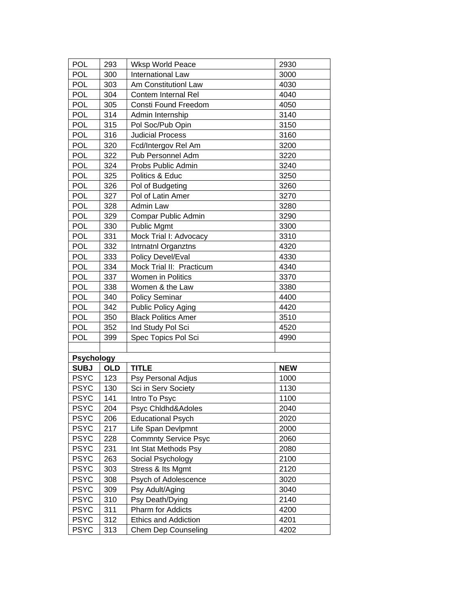| <b>POL</b>        | 293        | <b>Wksp World Peace</b>     | 2930       |
|-------------------|------------|-----------------------------|------------|
| POL               | 300        | <b>International Law</b>    | 3000       |
| POL               | 303        | Am Constitutionl Law        | 4030       |
| <b>POL</b>        | 304        | Contem Internal Rel         | 4040       |
| <b>POL</b>        | 305        | Consti Found Freedom        | 4050       |
| <b>POL</b>        | 314        | Admin Internship            | 3140       |
| <b>POL</b>        | 315        | Pol Soc/Pub Opin            | 3150       |
| <b>POL</b>        | 316        | <b>Judicial Process</b>     | 3160       |
| POL               | 320        | Fcd/Intergov Rel Am         | 3200       |
| <b>POL</b>        | 322        | Pub Personnel Adm           | 3220       |
| <b>POL</b>        | 324        | Probs Public Admin          | 3240       |
| <b>POL</b>        | 325        | Politics & Educ             | 3250       |
| <b>POL</b>        | 326        | Pol of Budgeting            | 3260       |
| <b>POL</b>        | 327        | Pol of Latin Amer           | 3270       |
| POL               | 328        | <b>Admin Law</b>            | 3280       |
| <b>POL</b>        | 329        | Compar Public Admin         | 3290       |
| <b>POL</b>        | 330        | Public Mgmt                 | 3300       |
| <b>POL</b>        | 331        | Mock Trial I: Advocacy      | 3310       |
| <b>POL</b>        | 332        | Intrnatnl Organztns         | 4320       |
| <b>POL</b>        | 333        | Policy Devel/Eval           | 4330       |
| <b>POL</b>        | 334        | Mock Trial II: Practicum    | 4340       |
| <b>POL</b>        | 337        | Women in Politics           | 3370       |
| <b>POL</b>        | 338        | Women & the Law             | 3380       |
| <b>POL</b>        | 340        | <b>Policy Seminar</b>       | 4400       |
| <b>POL</b>        | 342        | <b>Public Policy Aging</b>  | 4420       |
| <b>POL</b>        | 350        | <b>Black Politics Amer</b>  | 3510       |
| POL               | 352        | Ind Study Pol Sci           | 4520       |
| <b>POL</b>        | 399        | Spec Topics Pol Sci         | 4990       |
|                   |            |                             |            |
| <b>Psychology</b> |            |                             |            |
| <b>SUBJ</b>       | <b>OLD</b> | <b>TITLE</b>                | <b>NEW</b> |
| <b>PSYC</b>       | 123        | Psy Personal Adjus          | 1000       |
| <b>PSYC</b>       | 130        | Sci in Serv Society         | 1130       |
| <b>PSYC</b>       | 141        | Intro To Psyc               | 1100       |
| <b>PSYC</b>       | 204        | Psyc Chldhd&Adoles          | 2040       |
| <b>PSYC</b>       | 206        | <b>Educational Psych</b>    | 2020       |
| <b>PSYC</b>       | 217        | Life Span Devlpmnt          | 2000       |
| <b>PSYC</b>       | 228        | <b>Commnty Service Psyc</b> | 2060       |
| <b>PSYC</b>       | 231        | Int Stat Methods Psy        | 2080       |
| <b>PSYC</b>       | 263        | Social Psychology           | 2100       |
| <b>PSYC</b>       | 303        | Stress & Its Mgmt           | 2120       |
| <b>PSYC</b>       | 308        | Psych of Adolescence        | 3020       |
| <b>PSYC</b>       | 309        | Psy Adult/Aging             | 3040       |
| <b>PSYC</b>       | 310        | Psy Death/Dying             | 2140       |
| <b>PSYC</b>       | 311        | Pharm for Addicts           | 4200       |
| <b>PSYC</b>       | 312        | <b>Ethics and Addiction</b> | 4201       |
| <b>PSYC</b>       | 313        | Chem Dep Counseling         | 4202       |
|                   |            |                             |            |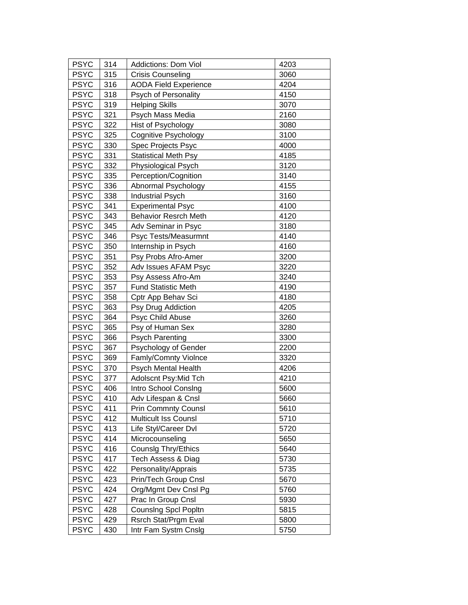| <b>PSYC</b> | 314 | Addictions: Dom Viol         | 4203 |
|-------------|-----|------------------------------|------|
| <b>PSYC</b> | 315 | <b>Crisis Counseling</b>     | 3060 |
| <b>PSYC</b> | 316 | <b>AODA Field Experience</b> | 4204 |
| <b>PSYC</b> | 318 | Psych of Personality         | 4150 |
| <b>PSYC</b> | 319 | <b>Helping Skills</b>        | 3070 |
| <b>PSYC</b> | 321 | Psych Mass Media             | 2160 |
| <b>PSYC</b> | 322 | Hist of Psychology           | 3080 |
| <b>PSYC</b> | 325 | <b>Cognitive Psychology</b>  | 3100 |
| <b>PSYC</b> | 330 | <b>Spec Projects Psyc</b>    | 4000 |
| <b>PSYC</b> | 331 | <b>Statistical Meth Psy</b>  | 4185 |
| <b>PSYC</b> | 332 | Physiological Psych          | 3120 |
| <b>PSYC</b> | 335 | Perception/Cognition         | 3140 |
| <b>PSYC</b> | 336 | Abnormal Psychology          | 4155 |
| <b>PSYC</b> | 338 | <b>Industrial Psych</b>      | 3160 |
| <b>PSYC</b> | 341 | <b>Experimental Psyc</b>     | 4100 |
| <b>PSYC</b> | 343 | <b>Behavior Resrch Meth</b>  | 4120 |
| <b>PSYC</b> | 345 | Adv Seminar in Psyc          | 3180 |
| <b>PSYC</b> | 346 | Psyc Tests/Measurmnt         | 4140 |
| <b>PSYC</b> | 350 | Internship in Psych          | 4160 |
| <b>PSYC</b> | 351 | Psy Probs Afro-Amer          | 3200 |
| <b>PSYC</b> | 352 | Adv Issues AFAM Psyc         | 3220 |
| <b>PSYC</b> | 353 | Psy Assess Afro-Am           | 3240 |
| <b>PSYC</b> | 357 | <b>Fund Statistic Meth</b>   | 4190 |
| <b>PSYC</b> | 358 | Cptr App Behav Sci           | 4180 |
| <b>PSYC</b> | 363 | Psy Drug Addiction           | 4205 |
| <b>PSYC</b> | 364 | Psyc Child Abuse             | 3260 |
| <b>PSYC</b> | 365 | Psy of Human Sex             | 3280 |
| <b>PSYC</b> | 366 | <b>Psych Parenting</b>       | 3300 |
| <b>PSYC</b> | 367 | Psychology of Gender         | 2200 |
| <b>PSYC</b> | 369 | Famly/Comnty Violnce         | 3320 |
| <b>PSYC</b> | 370 | Psych Mental Health          | 4206 |
| <b>PSYC</b> | 377 | Adolscnt Psy: Mid Tch        | 4210 |
| <b>PSYC</b> | 406 | Intro School Consing         | 5600 |
| <b>PSYC</b> | 410 | Adv Lifespan & Cnsl          | 5660 |
| <b>PSYC</b> | 411 | <b>Prin Commnty Counsl</b>   | 5610 |
| <b>PSYC</b> | 412 | <b>Multicult Iss Counsl</b>  | 5710 |
| <b>PSYC</b> | 413 | Life Styl/Career Dvl         | 5720 |
| <b>PSYC</b> | 414 | Microcounseling              | 5650 |
| <b>PSYC</b> | 416 | <b>Counsig Thry/Ethics</b>   | 5640 |
| <b>PSYC</b> | 417 | Tech Assess & Diag           | 5730 |
| <b>PSYC</b> | 422 | Personality/Apprais          | 5735 |
| <b>PSYC</b> | 423 | Prin/Tech Group Cnsl         | 5670 |
| <b>PSYC</b> | 424 | Org/Mgmt Dev Cnsl Pg         | 5760 |
| <b>PSYC</b> | 427 | Prac In Group Cnsl           | 5930 |
| <b>PSYC</b> | 428 | <b>Counsing Spcl Popltn</b>  | 5815 |
| <b>PSYC</b> | 429 | Rsrch Stat/Prgm Eval         | 5800 |
| <b>PSYC</b> | 430 | Intr Fam Systm Cnslg         | 5750 |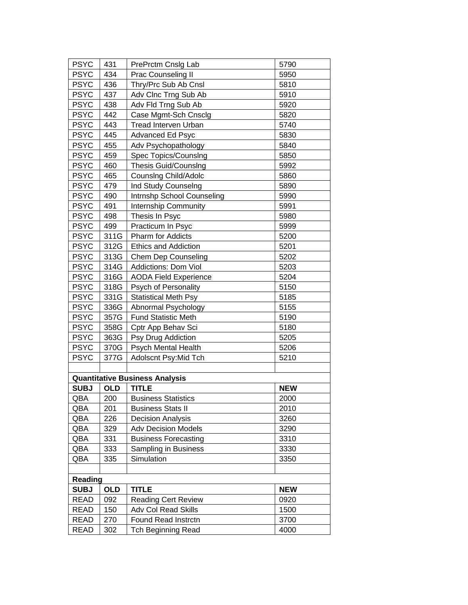| <b>PSYC</b>    | 431        | PrePrctm Cnslg Lab                    | 5790       |
|----------------|------------|---------------------------------------|------------|
| <b>PSYC</b>    | 434        | Prac Counseling II                    | 5950       |
| <b>PSYC</b>    | 436        | Thry/Prc Sub Ab Cnsl                  | 5810       |
| <b>PSYC</b>    | 437        | Adv Clnc Trng Sub Ab                  | 5910       |
| <b>PSYC</b>    | 438        | Adv Fld Trng Sub Ab                   | 5920       |
| <b>PSYC</b>    | 442        | Case Mgmt-Sch Cnsclg                  | 5820       |
| <b>PSYC</b>    | 443        | Tread Interven Urban                  | 5740       |
| <b>PSYC</b>    | 445        | Advanced Ed Psyc                      | 5830       |
| <b>PSYC</b>    | 455        | Adv Psychopathology                   | 5840       |
| <b>PSYC</b>    | 459        | <b>Spec Topics/Counsing</b>           | 5850       |
| <b>PSYC</b>    | 460        | <b>Thesis Guid/Counsing</b>           | 5992       |
| <b>PSYC</b>    | 465        | Counsing Child/Adolc                  | 5860       |
| <b>PSYC</b>    | 479        | Ind Study Counselng                   | 5890       |
| <b>PSYC</b>    | 490        | Intrnshp School Counseling            | 5990       |
| <b>PSYC</b>    | 491        | Internship Community                  | 5991       |
| <b>PSYC</b>    | 498        | Thesis In Psyc                        | 5980       |
| <b>PSYC</b>    | 499        | Practicum In Psyc                     | 5999       |
| <b>PSYC</b>    | 311G       | Pharm for Addicts                     | 5200       |
| <b>PSYC</b>    | 312G       | <b>Ethics and Addiction</b>           | 5201       |
| <b>PSYC</b>    | 313G       | <b>Chem Dep Counseling</b>            | 5202       |
| <b>PSYC</b>    | 314G       | Addictions: Dom Viol                  | 5203       |
| <b>PSYC</b>    | 316G       | <b>AODA Field Experience</b>          | 5204       |
| <b>PSYC</b>    | 318G       | Psych of Personality                  | 5150       |
| <b>PSYC</b>    | 331G       | <b>Statistical Meth Psy</b>           | 5185       |
| <b>PSYC</b>    | 336G       | Abnormal Psychology                   | 5155       |
| <b>PSYC</b>    | 357G       | <b>Fund Statistic Meth</b>            | 5190       |
| <b>PSYC</b>    | 358G       | Cptr App Behav Sci                    | 5180       |
| <b>PSYC</b>    | 363G       | Psy Drug Addiction                    | 5205       |
| <b>PSYC</b>    | 370G       | Psych Mental Health                   | 5206       |
| <b>PSYC</b>    | 377G       | Adolscnt Psy: Mid Tch                 | 5210       |
|                |            |                                       |            |
|                |            | <b>Quantitative Business Analysis</b> |            |
| <b>SUBJ</b>    | <b>OLD</b> | <b>TITLE</b>                          | <b>NEW</b> |
| QBA            | 200        | <b>Business Statistics</b>            | 2000       |
| QBA            | 201        | <b>Business Stats II</b>              | 2010       |
| QBA            | 226        | <b>Decision Analysis</b>              | 3260       |
| QBA            | 329        | <b>Adv Decision Models</b>            | 3290       |
| QBA            | 331        | <b>Business Forecasting</b>           | 3310       |
| QBA            | 333        | Sampling in Business                  | 3330       |
| QBA            | 335        | Simulation                            | 3350       |
|                |            |                                       |            |
| <b>Reading</b> |            |                                       |            |
| <b>SUBJ</b>    | <b>OLD</b> | <b>TITLE</b>                          | <b>NEW</b> |
| <b>READ</b>    | 092        | <b>Reading Cert Review</b>            | 0920       |
| <b>READ</b>    | 150        | <b>Adv Col Read Skills</b>            | 1500       |
| <b>READ</b>    | 270        | Found Read Instrctn                   | 3700       |
| <b>READ</b>    | 302        | <b>Tch Beginning Read</b>             | 4000       |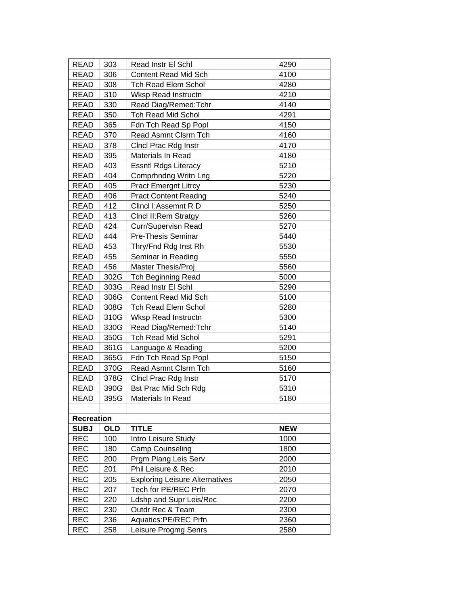| <b>READ</b>       | 303        | Read Instr El Schl                    | 4290       |
|-------------------|------------|---------------------------------------|------------|
| <b>READ</b>       | 306        | <b>Content Read Mid Sch</b>           | 4100       |
| <b>READ</b>       | 308        | <b>Tch Read Elem Schol</b>            | 4280       |
| <b>READ</b>       | 310        | Wksp Read Instructn                   | 4210       |
| <b>READ</b>       | 330        | Read Diag/Remed: Tchr                 | 4140       |
| <b>READ</b>       | 350        | <b>Tch Read Mid Schol</b>             | 4291       |
| <b>READ</b>       | 365        | Fdn Tch Read Sp Popl                  | 4150       |
| <b>READ</b>       | 370        | Read Asmnt Clsrm Tch                  | 4160       |
| <b>READ</b>       | 378        | Cincl Prac Rdg Instr                  | 4170       |
| <b>READ</b>       | 395        | Materials In Read                     | 4180       |
| <b>READ</b>       | 403        | <b>Essntl Rdgs Literacy</b>           | 5210       |
| <b>READ</b>       | 404        | Comprhndng Writn Lng                  | 5220       |
| <b>READ</b>       | 405        | <b>Pract Emergnt Litrcy</b>           | 5230       |
| <b>READ</b>       | 406        | <b>Pract Content Readng</b>           | 5240       |
| <b>READ</b>       | 412        | Clincl I: Assemnt R D                 | 5250       |
| <b>READ</b>       | 413        | Clncl II: Rem Stratgy                 | 5260       |
| <b>READ</b>       | 424        | <b>Curr/Supervisn Read</b>            | 5270       |
| <b>READ</b>       | 444        | Pre-Thesis Seminar                    | 5440       |
| <b>READ</b>       | 453        | Thry/Fnd Rdg Inst Rh                  | 5530       |
| <b>READ</b>       | 455        | Seminar in Reading                    | 5550       |
| <b>READ</b>       | 456        | Master Thesis/Proj                    | 5560       |
| <b>READ</b>       | 302G       | <b>Tch Beginning Read</b>             | 5000       |
| <b>READ</b>       | 303G       | Read Instr El Schl                    | 5290       |
| <b>READ</b>       | 306G       | Content Read Mid Sch                  | 5100       |
| <b>READ</b>       | 308G       | Tch Read Elem Schol                   | 5280       |
| <b>READ</b>       | 310G       | Wksp Read Instructn                   | 5300       |
| <b>READ</b>       | 330G       | Read Diag/Remed: Tchr                 | 5140       |
| <b>READ</b>       | 350G       | <b>Tch Read Mid Schol</b>             | 5291       |
| <b>READ</b>       | 361G       | Language & Reading                    | 5200       |
| <b>READ</b>       | 365G       | Fdn Tch Read Sp Popl                  | 5150       |
| <b>READ</b>       | 370G       | Read Asmnt Clsrm Tch                  | 5160       |
| <b>READ</b>       | 378G       | Cincl Prac Rdg Instr                  | 5170       |
| <b>READ</b>       | 390G       | <b>Bst Prac Mid Sch Rdg</b>           | 5310       |
| READ              | 395G       | Materials In Read                     | 5180       |
|                   |            |                                       |            |
| <b>Recreation</b> |            |                                       |            |
| <b>SUBJ</b>       | <b>OLD</b> | <b>TITLE</b>                          | <b>NEW</b> |
| <b>REC</b>        | 100        | Intro Leisure Study                   | 1000       |
| <b>REC</b>        | 180        | Camp Counseling                       | 1800       |
| <b>REC</b>        | 200        | Prgm Plang Leis Serv                  | 2000       |
| <b>REC</b>        | 201        | Phil Leisure & Rec                    | 2010       |
| <b>REC</b>        | 205        | <b>Exploring Leisure Alternatives</b> | 2050       |
| <b>REC</b>        | 207        | Tech for PE/REC Prfn                  | 2070       |
| <b>REC</b>        | 220        | Ldshp and Supr Leis/Rec               | 2200       |
| <b>REC</b>        | 230        | Outdr Rec & Team                      | 2300       |
| <b>REC</b>        | 236        | Aquatics:PE/REC Prfn                  | 2360       |
| <b>REC</b>        | 258        | Leisure Progmg Senrs                  | 2580       |
|                   |            |                                       |            |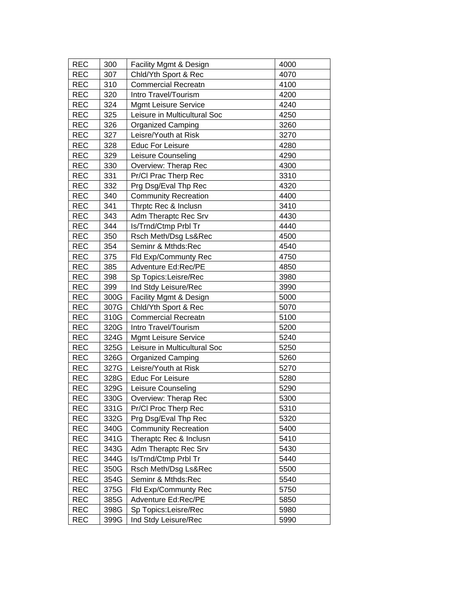| <b>REC</b> | 300  | Facility Mgmt & Design       | 4000 |
|------------|------|------------------------------|------|
| <b>REC</b> | 307  | Chld/Yth Sport & Rec         | 4070 |
| <b>REC</b> | 310  | <b>Commercial Recreatn</b>   | 4100 |
| <b>REC</b> | 320  | Intro Travel/Tourism         | 4200 |
| <b>REC</b> | 324  | <b>Mgmt Leisure Service</b>  | 4240 |
| <b>REC</b> | 325  | Leisure in Multicultural Soc | 4250 |
| <b>REC</b> | 326  | <b>Organized Camping</b>     | 3260 |
| <b>REC</b> | 327  | Leisre/Youth at Risk         | 3270 |
| <b>REC</b> | 328  | Educ For Leisure             | 4280 |
| <b>REC</b> | 329  | Leisure Counseling           | 4290 |
| <b>REC</b> | 330  | Overview: Therap Rec         | 4300 |
| <b>REC</b> | 331  | Pr/Cl Prac Therp Rec         | 3310 |
| <b>REC</b> | 332  | Prg Dsg/Eval Thp Rec         | 4320 |
| <b>REC</b> | 340  | <b>Community Recreation</b>  | 4400 |
| <b>REC</b> | 341  | Thrptc Rec & Inclusn         | 3410 |
| <b>REC</b> | 343  | Adm Theraptc Rec Srv         | 4430 |
| <b>REC</b> | 344  | Is/Trnd/Ctmp Prbl Tr         | 4440 |
| <b>REC</b> | 350  | Rsch Meth/Dsg Ls&Rec         | 4500 |
| <b>REC</b> | 354  | Seminr & Mthds:Rec           | 4540 |
| <b>REC</b> | 375  | Fld Exp/Communty Rec         | 4750 |
| <b>REC</b> | 385  | Adventure Ed:Rec/PE          | 4850 |
| <b>REC</b> | 398  | Sp Topics:Leisre/Rec         | 3980 |
| <b>REC</b> | 399  | Ind Stdy Leisure/Rec         | 3990 |
| <b>REC</b> | 300G | Facility Mgmt & Design       | 5000 |
| <b>REC</b> | 307G | Chld/Yth Sport & Rec         | 5070 |
| <b>REC</b> | 310G | <b>Commercial Recreatn</b>   | 5100 |
| <b>REC</b> | 320G | Intro Travel/Tourism         | 5200 |
| <b>REC</b> | 324G | <b>Mgmt Leisure Service</b>  | 5240 |
| <b>REC</b> | 325G | Leisure in Multicultural Soc | 5250 |
| <b>REC</b> | 326G | <b>Organized Camping</b>     | 5260 |
| <b>REC</b> | 327G | Leisre/Youth at Risk         | 5270 |
| <b>REC</b> | 328G | <b>Educ For Leisure</b>      | 5280 |
| <b>REC</b> | 329G | Leisure Counseling           | 5290 |
| <b>REC</b> | 330G | Overview: Therap Rec         | 5300 |
| <b>REC</b> | 331G | Pr/Cl Proc Therp Rec         | 5310 |
| <b>REC</b> | 332G | Prg Dsg/Eval Thp Rec         | 5320 |
| <b>REC</b> | 340G | <b>Community Recreation</b>  | 5400 |
| <b>REC</b> | 341G | Theraptc Rec & Inclusn       | 5410 |
| <b>REC</b> | 343G | Adm Theraptc Rec Srv         | 5430 |
| <b>REC</b> | 344G | Is/Trnd/Ctmp Prbl Tr         | 5440 |
| <b>REC</b> | 350G | Rsch Meth/Dsg Ls&Rec         | 5500 |
| <b>REC</b> | 354G | Seminr & Mthds:Rec           | 5540 |
| <b>REC</b> | 375G | Fld Exp/Communty Rec         | 5750 |
| <b>REC</b> | 385G | Adventure Ed:Rec/PE          | 5850 |
|            |      |                              |      |
| <b>REC</b> | 398G | Sp Topics:Leisre/Rec         | 5980 |
| <b>REC</b> | 399G | Ind Stdy Leisure/Rec         | 5990 |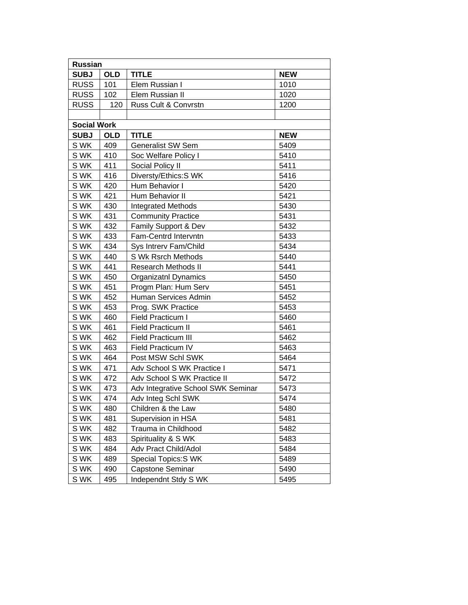| <b>Russian</b>     |            |                                    |            |  |
|--------------------|------------|------------------------------------|------------|--|
| <b>SUBJ</b>        | <b>OLD</b> | <b>TITLE</b>                       | <b>NEW</b> |  |
| <b>RUSS</b>        | 101        | Elem Russian I                     | 1010       |  |
| <b>RUSS</b>        | 102        | Elem Russian II                    | 1020       |  |
| <b>RUSS</b>        | 120        | Russ Cult & Convrstn               | 1200       |  |
|                    |            |                                    |            |  |
| <b>Social Work</b> |            |                                    |            |  |
| <b>SUBJ</b>        | <b>OLD</b> | <b>TITLE</b>                       | <b>NEW</b> |  |
| S WK               | 409        | <b>Generalist SW Sem</b>           | 5409       |  |
| S WK               | 410        | Soc Welfare Policy I               | 5410       |  |
| S WK               | 411        | Social Policy II                   | 5411       |  |
| S WK               | 416        | Diversty/Ethics:S WK               | 5416       |  |
| S WK               | 420        | Hum Behavior I                     | 5420       |  |
| S WK               | 421        | Hum Behavior II                    | 5421       |  |
| S WK               | 430        | <b>Integrated Methods</b>          | 5430       |  |
| S WK               | 431        | <b>Community Practice</b>          | 5431       |  |
| S WK               | 432        | Family Support & Dev               | 5432       |  |
| S WK               | 433        | Fam-Centrd Intervntn               | 5433       |  |
| S WK               | 434        | Sys Intrerv Fam/Child              | 5434       |  |
| S WK               | 440        | S Wk Rsrch Methods                 | 5440       |  |
| S WK               | 441        | <b>Research Methods II</b>         | 5441       |  |
| S WK               | 450        | <b>Organizatni Dynamics</b>        | 5450       |  |
| S WK               | 451        | Progm Plan: Hum Serv               | 5451       |  |
| S WK               | 452        | Human Services Admin               | 5452       |  |
| S WK               | 453        | Prog. SWK Practice                 | 5453       |  |
| S WK               | 460        | Field Practicum I                  | 5460       |  |
| S WK               | 461        | <b>Field Practicum II</b>          | 5461       |  |
| S WK               | 462        | Field Practicum III                | 5462       |  |
| S WK               | 463        | Field Practicum IV                 | 5463       |  |
| S WK               | 464        | Post MSW Schl SWK                  | 5464       |  |
| S WK               | 471        | Adv School S WK Practice I         | 5471       |  |
| S WK               | 472        | Adv School S WK Practice II        | 5472       |  |
| S WK               | 473        | Adv Integrative School SWK Seminar | 5473       |  |
| S WK               | 474        | Adv Integ Schl SWK                 | 5474       |  |
| S WK               | 480        | Children & the Law                 | 5480       |  |
| S WK               | 481        | Supervision in HSA                 | 5481       |  |
| S WK               | 482        | Trauma in Childhood                | 5482       |  |
| S WK               | 483        | Spirituality & S WK                | 5483       |  |
| S WK               | 484        | Adv Pract Child/Adol               | 5484       |  |
| S WK               | 489        | Special Topics: S WK               | 5489       |  |
| S WK               | 490        | <b>Capstone Seminar</b>            | 5490       |  |
| S WK               | 495        | Independnt Stdy S WK               | 5495       |  |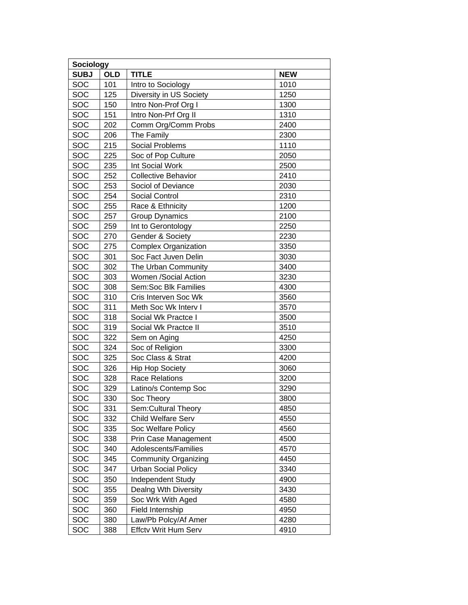| <b>Sociology</b> |            |                             |            |  |
|------------------|------------|-----------------------------|------------|--|
| <b>SUBJ</b>      | <b>OLD</b> | <b>TITLE</b>                | <b>NEW</b> |  |
| <b>SOC</b>       | 101        | Intro to Sociology          | 1010       |  |
| <b>SOC</b>       | 125        | Diversity in US Society     | 1250       |  |
| <b>SOC</b>       | 150        | Intro Non-Prof Org I        | 1300       |  |
| <b>SOC</b>       | 151        | Intro Non-Prf Org II        | 1310       |  |
| SOC              | 202        | Comm Org/Comm Probs         | 2400       |  |
| <b>SOC</b>       | 206        | The Family                  | 2300       |  |
| <b>SOC</b>       | 215        | Social Problems             | 1110       |  |
| SOC              | 225        | Soc of Pop Culture          | 2050       |  |
| SOC              | 235        | Int Social Work             | 2500       |  |
| SOC              | 252        | <b>Collective Behavior</b>  | 2410       |  |
| SOC              | 253        | Sociol of Deviance          | 2030       |  |
| <b>SOC</b>       | 254        | Social Control              | 2310       |  |
| <b>SOC</b>       | 255        | Race & Ethnicity            | 1200       |  |
| SOC              | 257        | <b>Group Dynamics</b>       | 2100       |  |
| SOC              | 259        | Int to Gerontology          | 2250       |  |
| SOC              | 270        | Gender & Society            | 2230       |  |
| <b>SOC</b>       | 275        | <b>Complex Organization</b> | 3350       |  |
| <b>SOC</b>       | 301        | Soc Fact Juven Delin        | 3030       |  |
| <b>SOC</b>       | 302        | The Urban Community         | 3400       |  |
| SOC              | 303        | Women /Social Action        | 3230       |  |
| SOC              | 308        | Sem:Soc Blk Families        | 4300       |  |
| <b>SOC</b>       | 310        | Cris Interven Soc Wk        | 3560       |  |
| SOC              | 311        | Meth Soc Wk Interv I        | 3570       |  |
| SOC              | 318        | Social Wk Practce I         | 3500       |  |
| SOC              | 319        | Social Wk Practce II        | 3510       |  |
| SOC              | 322        | Sem on Aging                | 4250       |  |
| <b>SOC</b>       | 324        | Soc of Religion             | 3300       |  |
| <b>SOC</b>       | 325        | Soc Class & Strat           | 4200       |  |
| SOC              | 326        | <b>Hip Hop Society</b>      | 3060       |  |
| <b>SOC</b>       | 328        | <b>Race Relations</b>       | 3200       |  |
| <b>SOC</b>       | 329        | Latino/s Contemp Soc        | 3290       |  |
| SOC              | 330        | Soc Theory                  | 3800       |  |
| <b>SOC</b>       | 331        | Sem:Cultural Theory         | 4850       |  |
| <b>SOC</b>       | 332        | <b>Child Welfare Serv</b>   | 4550       |  |
| <b>SOC</b>       | 335        | Soc Welfare Policy          | 4560       |  |
| <b>SOC</b>       | 338        | Prin Case Management        | 4500       |  |
| <b>SOC</b>       | 340        | Adolescents/Families        | 4570       |  |
| <b>SOC</b>       | 345        | <b>Community Organizing</b> | 4450       |  |
| SOC              | 347        | <b>Urban Social Policy</b>  | 3340       |  |
| <b>SOC</b>       | 350        | Independent Study           | 4900       |  |
| <b>SOC</b>       | 355        | Dealng Wth Diversity        | 3430       |  |
| <b>SOC</b>       | 359        | Soc Wrk With Aged           | 4580       |  |
| SOC              | 360        | Field Internship            | 4950       |  |
| <b>SOC</b>       | 380        | Law/Pb Polcy/Af Amer        | 4280       |  |
| SOC              | 388        | Effctv Writ Hum Serv        | 4910       |  |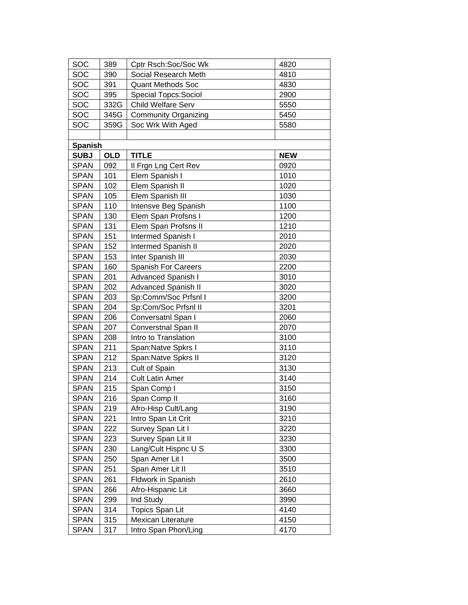| <b>SOC</b>     | 389        | Cptr Rsch:Soc/Soc Wk        | 4820       |
|----------------|------------|-----------------------------|------------|
| SOC            | 390        | Social Research Meth        | 4810       |
| <b>SOC</b>     | 391        | <b>Quant Methods Soc</b>    | 4830       |
| <b>SOC</b>     | 395        | <b>Special Topcs:Sociol</b> | 2900       |
| <b>SOC</b>     | 332G       | <b>Child Welfare Serv</b>   | 5550       |
| <b>SOC</b>     | 345G       | <b>Community Organizing</b> | 5450       |
| <b>SOC</b>     | 359G       | Soc Wrk With Aged           | 5580       |
|                |            |                             |            |
| <b>Spanish</b> |            |                             |            |
| <b>SUBJ</b>    | <b>OLD</b> | <b>TITLE</b>                | <b>NEW</b> |
| <b>SPAN</b>    | 092        | Il Frgn Lng Cert Rev        | 0920       |
| <b>SPAN</b>    | 101        | Elem Spanish I              | 1010       |
| <b>SPAN</b>    | 102        | Elem Spanish II             | 1020       |
| <b>SPAN</b>    | 105        | Elem Spanish III            | 1030       |
| <b>SPAN</b>    | 110        | Intensve Beg Spanish        | 1100       |
| <b>SPAN</b>    | 130        | Elem Span Profsns I         | 1200       |
| <b>SPAN</b>    | 131        | Elem Span Profsns II        | 1210       |
| <b>SPAN</b>    | 151        | Intermed Spanish I          | 2010       |
| <b>SPAN</b>    | 152        | Intermed Spanish II         | 2020       |
| <b>SPAN</b>    | 153        | Inter Spanish III           | 2030       |
| <b>SPAN</b>    | 160        | <b>Spanish For Careers</b>  | 2200       |
| <b>SPAN</b>    | 201        | Advanced Spanish I          | 3010       |
| <b>SPAN</b>    | 202        | <b>Advanced Spanish II</b>  | 3020       |
| <b>SPAN</b>    | 203        | Sp:Comm/Soc Prfsnl I        | 3200       |
| <b>SPAN</b>    | 204        | Sp:Com/Soc Prfsnl II        | 3201       |
| <b>SPAN</b>    | 206        | Conversatnl Span I          | 2060       |
| <b>SPAN</b>    | 207        | Converstnal Span II         | 2070       |
| <b>SPAN</b>    | 208        | Intro to Translation        | 3100       |
| <b>SPAN</b>    | 211        | Span:Natve Spkrs I          | 3110       |
| <b>SPAN</b>    | 212        | Span:Natve Spkrs II         | 3120       |
| <b>SPAN</b>    | 213        | Cult of Spain               | 3130       |
| <b>SPAN</b>    | 214        | <b>Cult Latin Amer</b>      | 3140       |
| <b>SPAN</b>    | 215        | Span Comp I                 | 3150       |
| <b>SPAN</b>    | 216        | Span Comp II                | 3160       |
| <b>SPAN</b>    | 219        | Afro-Hisp Cult/Lang         | 3190       |
| <b>SPAN</b>    | 221        | Intro Span Lit Crit         | 3210       |
| <b>SPAN</b>    | 222        | Survey Span Lit I           | 3220       |
| <b>SPAN</b>    | 223        | Survey Span Lit II          | 3230       |
| <b>SPAN</b>    | 230        | Lang/Cult Hispnc U S        | 3300       |
| <b>SPAN</b>    | 250        | Span Amer Lit I             | 3500       |
| <b>SPAN</b>    | 251        | Span Amer Lit II            | 3510       |
| <b>SPAN</b>    | 261        | <b>Fldwork in Spanish</b>   | 2610       |
| <b>SPAN</b>    | 266        | Afro-Hispanic Lit           | 3660       |
| <b>SPAN</b>    | 299        | Ind Study                   | 3990       |
| <b>SPAN</b>    | 314        | Topics Span Lit             | 4140       |
| <b>SPAN</b>    | 315        | Mexican Literature          | 4150       |
| <b>SPAN</b>    | 317        | Intro Span Phon/Ling        | 4170       |
|                |            |                             |            |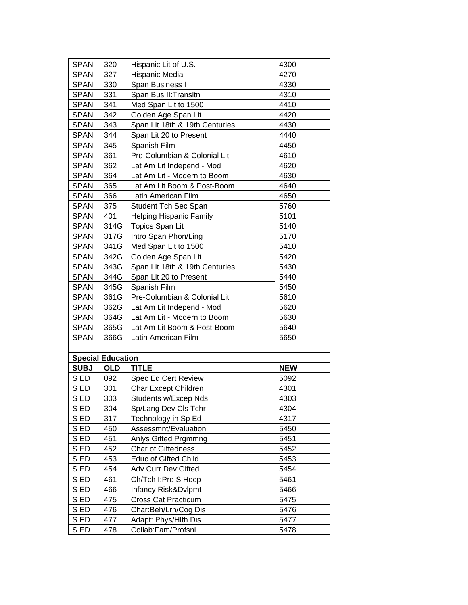| <b>SPAN</b><br>320<br>Hispanic Lit of U.S.<br>4300<br><b>SPAN</b><br>327<br>4270<br>Hispanic Media<br><b>SPAN</b><br>330<br>Span Business I<br>4330<br>331<br>Span Bus II: Transltn<br><b>SPAN</b><br>4310<br><b>SPAN</b><br>341<br>Med Span Lit to 1500<br>4410<br><b>SPAN</b><br>342<br>Golden Age Span Lit<br>4420<br><b>SPAN</b><br>343<br>Span Lit 18th & 19th Centuries<br>4430<br><b>SPAN</b><br>344<br>Span Lit 20 to Present<br>4440<br>Spanish Film<br><b>SPAN</b><br>345<br>4450<br>Pre-Columbian & Colonial Lit<br><b>SPAN</b><br>361<br>4610<br>362<br>Lat Am Lit Independ - Mod<br><b>SPAN</b><br>4620<br><b>SPAN</b><br>364<br>Lat Am Lit - Modern to Boom<br>4630<br><b>SPAN</b><br>365<br>Lat Am Lit Boom & Post-Boom<br>4640<br><b>SPAN</b><br>366<br>Latin American Film<br>4650<br>375<br><b>SPAN</b><br>Student Tch Sec Span<br>5760<br>401<br><b>Helping Hispanic Family</b><br><b>SPAN</b><br>5101<br><b>SPAN</b><br>314G<br>Topics Span Lit<br>5140<br><b>SPAN</b><br>317G<br>Intro Span Phon/Ling<br>5170<br>Med Span Lit to 1500<br><b>SPAN</b><br>341G<br>5410<br><b>SPAN</b><br>342G<br>5420<br>Golden Age Span Lit<br><b>SPAN</b><br>343G<br>Span Lit 18th & 19th Centuries<br>5430 |                 |     |                      |      |
|------------------------------------------------------------------------------------------------------------------------------------------------------------------------------------------------------------------------------------------------------------------------------------------------------------------------------------------------------------------------------------------------------------------------------------------------------------------------------------------------------------------------------------------------------------------------------------------------------------------------------------------------------------------------------------------------------------------------------------------------------------------------------------------------------------------------------------------------------------------------------------------------------------------------------------------------------------------------------------------------------------------------------------------------------------------------------------------------------------------------------------------------------------------------------------------------------------------|-----------------|-----|----------------------|------|
|                                                                                                                                                                                                                                                                                                                                                                                                                                                                                                                                                                                                                                                                                                                                                                                                                                                                                                                                                                                                                                                                                                                                                                                                                  |                 |     |                      |      |
|                                                                                                                                                                                                                                                                                                                                                                                                                                                                                                                                                                                                                                                                                                                                                                                                                                                                                                                                                                                                                                                                                                                                                                                                                  |                 |     |                      |      |
|                                                                                                                                                                                                                                                                                                                                                                                                                                                                                                                                                                                                                                                                                                                                                                                                                                                                                                                                                                                                                                                                                                                                                                                                                  |                 |     |                      |      |
|                                                                                                                                                                                                                                                                                                                                                                                                                                                                                                                                                                                                                                                                                                                                                                                                                                                                                                                                                                                                                                                                                                                                                                                                                  |                 |     |                      |      |
|                                                                                                                                                                                                                                                                                                                                                                                                                                                                                                                                                                                                                                                                                                                                                                                                                                                                                                                                                                                                                                                                                                                                                                                                                  |                 |     |                      |      |
|                                                                                                                                                                                                                                                                                                                                                                                                                                                                                                                                                                                                                                                                                                                                                                                                                                                                                                                                                                                                                                                                                                                                                                                                                  |                 |     |                      |      |
|                                                                                                                                                                                                                                                                                                                                                                                                                                                                                                                                                                                                                                                                                                                                                                                                                                                                                                                                                                                                                                                                                                                                                                                                                  |                 |     |                      |      |
|                                                                                                                                                                                                                                                                                                                                                                                                                                                                                                                                                                                                                                                                                                                                                                                                                                                                                                                                                                                                                                                                                                                                                                                                                  |                 |     |                      |      |
|                                                                                                                                                                                                                                                                                                                                                                                                                                                                                                                                                                                                                                                                                                                                                                                                                                                                                                                                                                                                                                                                                                                                                                                                                  |                 |     |                      |      |
|                                                                                                                                                                                                                                                                                                                                                                                                                                                                                                                                                                                                                                                                                                                                                                                                                                                                                                                                                                                                                                                                                                                                                                                                                  |                 |     |                      |      |
|                                                                                                                                                                                                                                                                                                                                                                                                                                                                                                                                                                                                                                                                                                                                                                                                                                                                                                                                                                                                                                                                                                                                                                                                                  |                 |     |                      |      |
|                                                                                                                                                                                                                                                                                                                                                                                                                                                                                                                                                                                                                                                                                                                                                                                                                                                                                                                                                                                                                                                                                                                                                                                                                  |                 |     |                      |      |
|                                                                                                                                                                                                                                                                                                                                                                                                                                                                                                                                                                                                                                                                                                                                                                                                                                                                                                                                                                                                                                                                                                                                                                                                                  |                 |     |                      |      |
|                                                                                                                                                                                                                                                                                                                                                                                                                                                                                                                                                                                                                                                                                                                                                                                                                                                                                                                                                                                                                                                                                                                                                                                                                  |                 |     |                      |      |
|                                                                                                                                                                                                                                                                                                                                                                                                                                                                                                                                                                                                                                                                                                                                                                                                                                                                                                                                                                                                                                                                                                                                                                                                                  |                 |     |                      |      |
|                                                                                                                                                                                                                                                                                                                                                                                                                                                                                                                                                                                                                                                                                                                                                                                                                                                                                                                                                                                                                                                                                                                                                                                                                  |                 |     |                      |      |
|                                                                                                                                                                                                                                                                                                                                                                                                                                                                                                                                                                                                                                                                                                                                                                                                                                                                                                                                                                                                                                                                                                                                                                                                                  |                 |     |                      |      |
|                                                                                                                                                                                                                                                                                                                                                                                                                                                                                                                                                                                                                                                                                                                                                                                                                                                                                                                                                                                                                                                                                                                                                                                                                  |                 |     |                      |      |
|                                                                                                                                                                                                                                                                                                                                                                                                                                                                                                                                                                                                                                                                                                                                                                                                                                                                                                                                                                                                                                                                                                                                                                                                                  |                 |     |                      |      |
|                                                                                                                                                                                                                                                                                                                                                                                                                                                                                                                                                                                                                                                                                                                                                                                                                                                                                                                                                                                                                                                                                                                                                                                                                  |                 |     |                      |      |
|                                                                                                                                                                                                                                                                                                                                                                                                                                                                                                                                                                                                                                                                                                                                                                                                                                                                                                                                                                                                                                                                                                                                                                                                                  |                 |     |                      |      |
| <b>SPAN</b><br>344G<br>Span Lit 20 to Present<br>5440                                                                                                                                                                                                                                                                                                                                                                                                                                                                                                                                                                                                                                                                                                                                                                                                                                                                                                                                                                                                                                                                                                                                                            |                 |     |                      |      |
| <b>SPAN</b><br>345G<br>Spanish Film<br>5450                                                                                                                                                                                                                                                                                                                                                                                                                                                                                                                                                                                                                                                                                                                                                                                                                                                                                                                                                                                                                                                                                                                                                                      |                 |     |                      |      |
| <b>SPAN</b><br>361G<br>Pre-Columbian & Colonial Lit<br>5610                                                                                                                                                                                                                                                                                                                                                                                                                                                                                                                                                                                                                                                                                                                                                                                                                                                                                                                                                                                                                                                                                                                                                      |                 |     |                      |      |
| <b>SPAN</b><br>362G<br>Lat Am Lit Independ - Mod<br>5620                                                                                                                                                                                                                                                                                                                                                                                                                                                                                                                                                                                                                                                                                                                                                                                                                                                                                                                                                                                                                                                                                                                                                         |                 |     |                      |      |
| <b>SPAN</b><br>Lat Am Lit - Modern to Boom<br>5630<br>364G                                                                                                                                                                                                                                                                                                                                                                                                                                                                                                                                                                                                                                                                                                                                                                                                                                                                                                                                                                                                                                                                                                                                                       |                 |     |                      |      |
| <b>SPAN</b><br>365G<br>Lat Am Lit Boom & Post-Boom<br>5640                                                                                                                                                                                                                                                                                                                                                                                                                                                                                                                                                                                                                                                                                                                                                                                                                                                                                                                                                                                                                                                                                                                                                       |                 |     |                      |      |
| <b>SPAN</b><br>366G<br>Latin American Film<br>5650                                                                                                                                                                                                                                                                                                                                                                                                                                                                                                                                                                                                                                                                                                                                                                                                                                                                                                                                                                                                                                                                                                                                                               |                 |     |                      |      |
|                                                                                                                                                                                                                                                                                                                                                                                                                                                                                                                                                                                                                                                                                                                                                                                                                                                                                                                                                                                                                                                                                                                                                                                                                  |                 |     |                      |      |
| <b>Special Education</b>                                                                                                                                                                                                                                                                                                                                                                                                                                                                                                                                                                                                                                                                                                                                                                                                                                                                                                                                                                                                                                                                                                                                                                                         |                 |     |                      |      |
| <b>TITLE</b><br><b>SUBJ</b><br><b>OLD</b><br><b>NEW</b>                                                                                                                                                                                                                                                                                                                                                                                                                                                                                                                                                                                                                                                                                                                                                                                                                                                                                                                                                                                                                                                                                                                                                          |                 |     |                      |      |
|                                                                                                                                                                                                                                                                                                                                                                                                                                                                                                                                                                                                                                                                                                                                                                                                                                                                                                                                                                                                                                                                                                                                                                                                                  | S ED            | 092 | Spec Ed Cert Review  | 5092 |
|                                                                                                                                                                                                                                                                                                                                                                                                                                                                                                                                                                                                                                                                                                                                                                                                                                                                                                                                                                                                                                                                                                                                                                                                                  | S <sub>ED</sub> | 301 | Char Except Children | 4301 |
|                                                                                                                                                                                                                                                                                                                                                                                                                                                                                                                                                                                                                                                                                                                                                                                                                                                                                                                                                                                                                                                                                                                                                                                                                  | S ED            | 303 | Students w/Excep Nds | 4303 |
|                                                                                                                                                                                                                                                                                                                                                                                                                                                                                                                                                                                                                                                                                                                                                                                                                                                                                                                                                                                                                                                                                                                                                                                                                  | S ED            | 304 | Sp/Lang Dev Cls Tchr | 4304 |
|                                                                                                                                                                                                                                                                                                                                                                                                                                                                                                                                                                                                                                                                                                                                                                                                                                                                                                                                                                                                                                                                                                                                                                                                                  | S ED            | 317 | Technology in Sp Ed  | 4317 |
|                                                                                                                                                                                                                                                                                                                                                                                                                                                                                                                                                                                                                                                                                                                                                                                                                                                                                                                                                                                                                                                                                                                                                                                                                  |                 | 450 | Assessmnt/Evaluation | 5450 |
| S <sub>ED</sub>                                                                                                                                                                                                                                                                                                                                                                                                                                                                                                                                                                                                                                                                                                                                                                                                                                                                                                                                                                                                                                                                                                                                                                                                  |                 | 451 | Anlys Gifted Prgmmng | 5451 |
| S ED                                                                                                                                                                                                                                                                                                                                                                                                                                                                                                                                                                                                                                                                                                                                                                                                                                                                                                                                                                                                                                                                                                                                                                                                             |                 |     | Char of Giftedness   | 5452 |
| S <sub>ED</sub><br>452                                                                                                                                                                                                                                                                                                                                                                                                                                                                                                                                                                                                                                                                                                                                                                                                                                                                                                                                                                                                                                                                                                                                                                                           |                 |     |                      |      |
| S <sub>ED</sub><br>453<br><b>Educ of Gifted Child</b><br>5453                                                                                                                                                                                                                                                                                                                                                                                                                                                                                                                                                                                                                                                                                                                                                                                                                                                                                                                                                                                                                                                                                                                                                    |                 |     |                      |      |
| S ED<br>454<br>Adv Curr Dev: Gifted<br>5454                                                                                                                                                                                                                                                                                                                                                                                                                                                                                                                                                                                                                                                                                                                                                                                                                                                                                                                                                                                                                                                                                                                                                                      |                 |     |                      |      |
| S ED<br>461<br>Ch/Tch I:Pre S Hdcp<br>5461                                                                                                                                                                                                                                                                                                                                                                                                                                                                                                                                                                                                                                                                                                                                                                                                                                                                                                                                                                                                                                                                                                                                                                       |                 |     |                      |      |
| S ED<br>466<br>Infancy Risk&Dvlpmt<br>5466                                                                                                                                                                                                                                                                                                                                                                                                                                                                                                                                                                                                                                                                                                                                                                                                                                                                                                                                                                                                                                                                                                                                                                       |                 |     |                      |      |
| S ED<br>475<br>5475<br>Cross Cat Practicum                                                                                                                                                                                                                                                                                                                                                                                                                                                                                                                                                                                                                                                                                                                                                                                                                                                                                                                                                                                                                                                                                                                                                                       |                 |     |                      |      |
| S <sub>ED</sub><br>Char:Beh/Lrn/Cog Dis<br>476<br>5476                                                                                                                                                                                                                                                                                                                                                                                                                                                                                                                                                                                                                                                                                                                                                                                                                                                                                                                                                                                                                                                                                                                                                           |                 |     |                      |      |
| S ED<br>Adapt: Phys/Hlth Dis<br>477<br>5477                                                                                                                                                                                                                                                                                                                                                                                                                                                                                                                                                                                                                                                                                                                                                                                                                                                                                                                                                                                                                                                                                                                                                                      |                 |     |                      |      |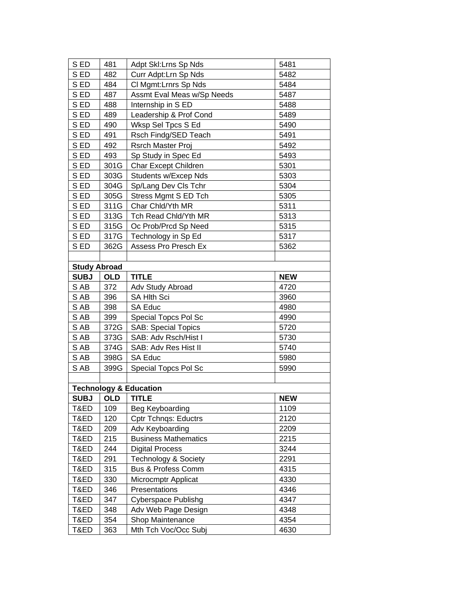| S ED            | 481                 | Adpt Skl:Lrns Sp Nds              | 5481       |  |  |
|-----------------|---------------------|-----------------------------------|------------|--|--|
| S <sub>ED</sub> | 482                 | Curr Adpt: Lrn Sp Nds             | 5482       |  |  |
| S <sub>ED</sub> | 484                 | CI Mgmt: Lrnrs Sp Nds             | 5484       |  |  |
| S <sub>ED</sub> | 487                 | Assmt Eval Meas w/Sp Needs        | 5487       |  |  |
| S <sub>ED</sub> | 488                 | Internship in S ED                | 5488       |  |  |
| S ED            | 489                 | Leadership & Prof Cond            | 5489       |  |  |
| S <sub>ED</sub> | 490                 | Wksp Sel Tpcs S Ed                | 5490       |  |  |
| S ED            | 491                 | Rsch Findg/SED Teach              | 5491       |  |  |
| S <sub>ED</sub> | 492                 | Rsrch Master Proj                 | 5492       |  |  |
| S <sub>ED</sub> | 493                 | Sp Study in Spec Ed               | 5493       |  |  |
| S ED            | 301G                | Char Except Children              | 5301       |  |  |
| S ED            | 303G                | Students w/Excep Nds              | 5303       |  |  |
| S ED            | 304G                | Sp/Lang Dev Cls Tchr              | 5304       |  |  |
| S ED            | 305G                | Stress Mgmt S ED Tch              | 5305       |  |  |
| S <sub>ED</sub> | 311G                | Char Chld/Yth MR                  | 5311       |  |  |
| S ED            | 313G                | Tch Read Chld/Yth MR              | 5313       |  |  |
| S <sub>ED</sub> | 315G                | Oc Prob/Prcd Sp Need              | 5315       |  |  |
| S ED            | 317G                | Technology in Sp Ed               | 5317       |  |  |
| S ED            | 362G                | Assess Pro Presch Ex              | 5362       |  |  |
|                 |                     |                                   |            |  |  |
|                 | <b>Study Abroad</b> |                                   |            |  |  |
| <b>SUBJ</b>     | <b>OLD</b>          | <b>TITLE</b>                      | <b>NEW</b> |  |  |
| S AB            | 372                 | Adv Study Abroad                  | 4720       |  |  |
| S AB            | 396                 | <b>SA HIth Sci</b>                | 3960       |  |  |
| S AB            | 398                 | SA Educ                           | 4980       |  |  |
| S AB            | 399                 | Special Topcs Pol Sc              | 4990       |  |  |
| S AB            | 372G                | <b>SAB: Special Topics</b>        | 5720       |  |  |
| S AB            | 373G                | SAB: Adv Rsch/Hist I              | 5730       |  |  |
| S AB            | 374G                | SAB: Adv Res Hist II              | 5740       |  |  |
| S AB            | 398G                | SA Educ                           | 5980       |  |  |
| S AB            | 399G                | Special Topcs Pol Sc              | 5990       |  |  |
|                 |                     |                                   |            |  |  |
|                 |                     | <b>Technology &amp; Education</b> |            |  |  |
| <b>SUBJ</b>     | l OLD               | I TITLE                           | <b>NEW</b> |  |  |
| T&ED            | 109                 | Beg Keyboarding                   | 1109       |  |  |
| T&ED            | 120                 | <b>Cptr Tchnqs: Eductrs</b>       | 2120       |  |  |
| T&ED            | 209                 | Adv Keyboarding                   | 2209       |  |  |
| T&ED            | 215                 | <b>Business Mathematics</b>       | 2215       |  |  |
| T&ED            | 244                 | <b>Digital Process</b>            | 3244       |  |  |
| T&ED            | 291                 | Technology & Society              | 2291       |  |  |
| T&ED            | 315                 | <b>Bus &amp; Profess Comm</b>     | 4315       |  |  |
| T&ED            | 330                 | Microcmptr Applicat               | 4330       |  |  |
| T&ED            | 346                 | Presentations                     | 4346       |  |  |
| T&ED            | 347                 | <b>Cyberspace Publishg</b>        | 4347       |  |  |
| T&ED            |                     |                                   |            |  |  |
|                 | 348                 | Adv Web Page Design               | 4348       |  |  |
| T&ED            | 354                 | Shop Maintenance                  | 4354       |  |  |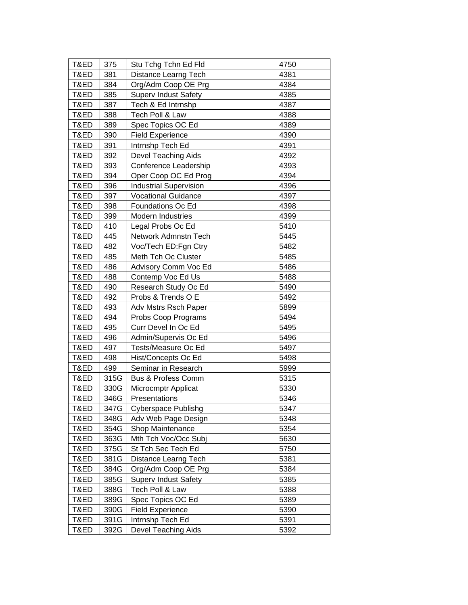| T&ED | 375  | Stu Tchg Tchn Ed Fld          | 4750 |
|------|------|-------------------------------|------|
| T&ED | 381  | Distance Learng Tech          | 4381 |
| T&ED | 384  | Org/Adm Coop OE Prg           | 4384 |
| T&ED | 385  | <b>Superv Indust Safety</b>   | 4385 |
| T&ED | 387  | Tech & Ed Intrnshp            | 4387 |
| T&ED | 388  | Tech Poll & Law               | 4388 |
| T&ED | 389  | Spec Topics OC Ed             | 4389 |
| T&ED | 390  | <b>Field Experience</b>       | 4390 |
| T&ED | 391  | Intrnshp Tech Ed              | 4391 |
| T&ED | 392  | Devel Teaching Aids           | 4392 |
| T&ED | 393  | Conference Leadership         | 4393 |
| T&ED | 394  | Oper Coop OC Ed Prog          | 4394 |
| T&ED | 396  | <b>Industrial Supervision</b> | 4396 |
| T&ED | 397  | <b>Vocational Guidance</b>    | 4397 |
| T&ED | 398  | Foundations Oc Ed             | 4398 |
| T&ED | 399  | Modern Industries             | 4399 |
| T&ED | 410  | Legal Probs Oc Ed             | 5410 |
| T&ED | 445  | Network Admnstn Tech          | 5445 |
| T&ED | 482  | Voc/Tech ED:Fgn Ctry          | 5482 |
| T&ED | 485  | Meth Tch Oc Cluster           | 5485 |
| T&ED | 486  | Advisory Comm Voc Ed          | 5486 |
| T&ED | 488  | Contemp Voc Ed Us             | 5488 |
| T&ED | 490  | Research Study Oc Ed          | 5490 |
| T&ED | 492  | Probs & Trends O E            | 5492 |
| T&ED | 493  | Adv Mstrs Rsch Paper          | 5899 |
| T&ED | 494  | Probs Coop Programs           | 5494 |
| T&ED | 495  | Curr Devel In Oc Ed           | 5495 |
| T&ED | 496  | Admin/Supervis Oc Ed          | 5496 |
| T&ED | 497  | Tests/Measure Oc Ed           | 5497 |
| T&ED | 498  | Hist/Concepts Oc Ed           | 5498 |
| T&ED | 499  | Seminar in Research           | 5999 |
| T&ED | 315G | Bus & Profess Comm            | 5315 |
| T&ED | 330G | Microcmptr Applicat           | 5330 |
| T&ED | 346G | <b>Presentations</b>          | 5346 |
| T&ED | 347G | <b>Cyberspace Publishg</b>    | 5347 |
| T&ED | 348G | Adv Web Page Design           | 5348 |
| T&ED | 354G | Shop Maintenance              | 5354 |
| T&ED | 363G | Mth Tch Voc/Occ Subj          | 5630 |
| T&ED | 375G | St Tch Sec Tech Ed            | 5750 |
| T&ED | 381G | Distance Learng Tech          | 5381 |
| T&ED | 384G | Org/Adm Coop OE Prg           | 5384 |
| T&ED | 385G | <b>Superv Indust Safety</b>   | 5385 |
| T&ED | 388G | Tech Poll & Law               | 5388 |
| T&ED | 389G | Spec Topics OC Ed             | 5389 |
| T&ED | 390G | <b>Field Experience</b>       | 5390 |
| T&ED | 391G | Intrnshp Tech Ed              | 5391 |
| T&ED | 392G | Devel Teaching Aids           | 5392 |
|      |      |                               |      |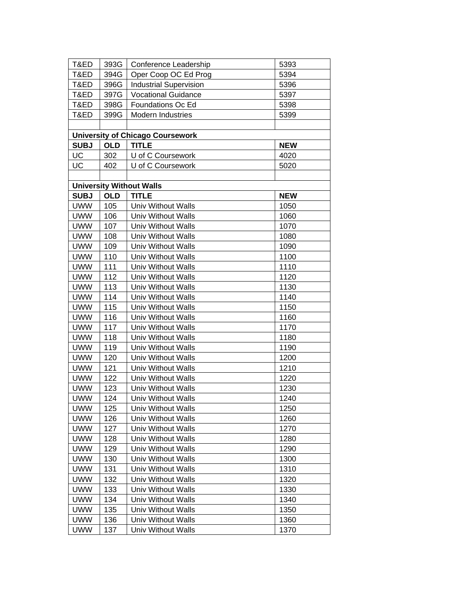| T&ED                            | 393G       | Conference Leadership                   | 5393       |  |
|---------------------------------|------------|-----------------------------------------|------------|--|
| T&ED                            | 394G       | Oper Coop OC Ed Prog                    | 5394       |  |
| T&ED                            | 396G       | <b>Industrial Supervision</b>           | 5396       |  |
| T&ED                            | 397G       | <b>Vocational Guidance</b>              | 5397       |  |
| T&ED                            | 398G       | Foundations Oc Ed                       | 5398       |  |
| T&ED                            | 399G       | Modern Industries                       | 5399       |  |
|                                 |            |                                         |            |  |
|                                 |            | <b>University of Chicago Coursework</b> |            |  |
| <b>SUBJ</b>                     | <b>OLD</b> | <b>TITLE</b>                            | <b>NEW</b> |  |
| UC                              | 302        | U of C Coursework                       | 4020       |  |
| <b>UC</b>                       | 402        | U of C Coursework                       | 5020       |  |
|                                 |            |                                         |            |  |
| <b>University Without Walls</b> |            |                                         |            |  |
| <b>SUBJ</b>                     | <b>OLD</b> | <b>TITLE</b>                            | <b>NEW</b> |  |
| <b>UWW</b>                      | 105        | Univ Without Walls                      | 1050       |  |
| <b>UWW</b>                      | 106        | <b>Univ Without Walls</b>               | 1060       |  |
| <b>UWW</b>                      | 107        | <b>Univ Without Walls</b>               | 1070       |  |
| <b>UWW</b>                      | 108        | <b>Univ Without Walls</b>               | 1080       |  |
| <b>UWW</b>                      | 109        | Univ Without Walls                      | 1090       |  |
| <b>UWW</b>                      | 110        | <b>Univ Without Walls</b>               | 1100       |  |
| <b>UWW</b>                      | 111        | Univ Without Walls                      | 1110       |  |
| <b>UWW</b>                      | 112        | <b>Univ Without Walls</b>               | 1120       |  |
| <b>UWW</b>                      | 113        | Univ Without Walls                      | 1130       |  |
| <b>UWW</b>                      | 114        | <b>Univ Without Walls</b>               | 1140       |  |
| <b>UWW</b>                      | 115        | <b>Univ Without Walls</b>               | 1150       |  |
| <b>UWW</b>                      | 116        | Univ Without Walls                      | 1160       |  |
| <b>UWW</b>                      | 117        | Univ Without Walls                      | 1170       |  |
| <b>UWW</b>                      | 118        | Univ Without Walls                      | 1180       |  |
| <b>UWW</b>                      | 119        | <b>Univ Without Walls</b>               | 1190       |  |
| <b>UWW</b>                      | 120        | <b>Univ Without Walls</b>               | 1200       |  |
| <b>UWW</b>                      | 121        | Univ Without Walls                      | 1210       |  |
| <b>UWW</b>                      | 122        | Univ Without Walls                      | 1220       |  |
| <b>UWW</b>                      | 123        | Univ Without Walls                      | 1230       |  |
| <b>UWW</b>                      | 124        | Univ Without Walls                      | 1240       |  |
| <b>UWW</b>                      | 125        | Univ Without Walls                      | 1250       |  |
| <b>UWW</b>                      | 126        | Univ Without Walls                      | 1260       |  |
| <b>UWW</b>                      | 127        | Univ Without Walls                      | 1270       |  |
| <b>UWW</b>                      | 128        | Univ Without Walls                      | 1280       |  |
| <b>UWW</b>                      | 129        | <b>Univ Without Walls</b>               | 1290       |  |
| <b>UWW</b>                      | 130        | Univ Without Walls                      | 1300       |  |
| <b>UWW</b>                      | 131        | Univ Without Walls                      | 1310       |  |
| <b>UWW</b>                      | 132        | Univ Without Walls                      | 1320       |  |
| <b>UWW</b>                      | 133        | <b>Univ Without Walls</b>               | 1330       |  |
| <b>UWW</b>                      | 134        | Univ Without Walls                      | 1340       |  |
| <b>UWW</b>                      | 135        | Univ Without Walls                      | 1350       |  |
| <b>UWW</b>                      | 136        | Univ Without Walls                      | 1360       |  |
| <b>UWW</b>                      | 137        | Univ Without Walls                      | 1370       |  |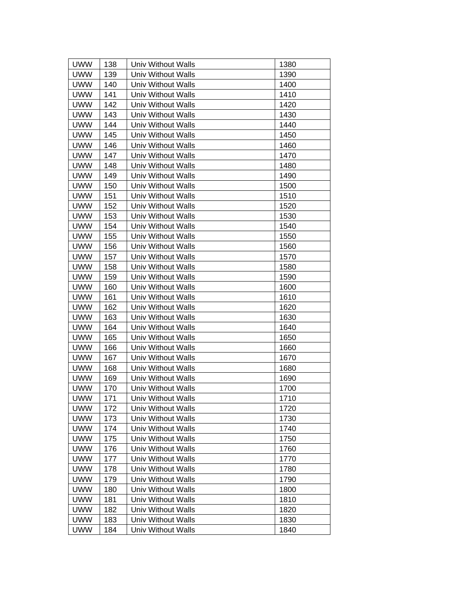| <b>UWW</b> | 138 | Univ Without Walls        | 1380 |
|------------|-----|---------------------------|------|
| <b>UWW</b> | 139 | Univ Without Walls        | 1390 |
| <b>UWW</b> | 140 | Univ Without Walls        | 1400 |
| <b>UWW</b> | 141 | Univ Without Walls        | 1410 |
| <b>UWW</b> | 142 | <b>Univ Without Walls</b> | 1420 |
| <b>UWW</b> | 143 | Univ Without Walls        | 1430 |
| <b>UWW</b> | 144 | Univ Without Walls        | 1440 |
| <b>UWW</b> | 145 | Univ Without Walls        | 1450 |
| <b>UWW</b> | 146 | Univ Without Walls        | 1460 |
| <b>UWW</b> | 147 | <b>Univ Without Walls</b> | 1470 |
| <b>UWW</b> | 148 | Univ Without Walls        | 1480 |
| <b>UWW</b> | 149 | Univ Without Walls        | 1490 |
| <b>UWW</b> | 150 | Univ Without Walls        | 1500 |
| <b>UWW</b> | 151 | Univ Without Walls        | 1510 |
| <b>UWW</b> | 152 | <b>Univ Without Walls</b> | 1520 |
| <b>UWW</b> | 153 | Univ Without Walls        | 1530 |
| <b>UWW</b> | 154 | <b>Univ Without Walls</b> | 1540 |
| <b>UWW</b> | 155 | Univ Without Walls        | 1550 |
| <b>UWW</b> | 156 | Univ Without Walls        | 1560 |
| <b>UWW</b> | 157 | <b>Univ Without Walls</b> | 1570 |
| <b>UWW</b> | 158 | Univ Without Walls        | 1580 |
| <b>UWW</b> | 159 | Univ Without Walls        | 1590 |
| <b>UWW</b> | 160 | Univ Without Walls        | 1600 |
| <b>UWW</b> | 161 | <b>Univ Without Walls</b> | 1610 |
| <b>UWW</b> | 162 | Univ Without Walls        | 1620 |
| <b>UWW</b> | 163 | Univ Without Walls        | 1630 |
| <b>UWW</b> | 164 | Univ Without Walls        | 1640 |
| <b>UWW</b> | 165 | Univ Without Walls        | 1650 |
| <b>UWW</b> | 166 | <b>Univ Without Walls</b> | 1660 |
| <b>UWW</b> | 167 | <b>Univ Without Walls</b> | 1670 |
| <b>UWW</b> | 168 | Univ Without Walls        | 1680 |
| <b>UWW</b> | 169 | Univ Without Walls        | 1690 |
| <b>UWW</b> | 170 | Univ Without Walls        | 1700 |
| <b>UWW</b> | 171 | Univ Without Walls        | 1710 |
| <b>UWW</b> | 172 | Univ Without Walls        | 1720 |
| <b>UWW</b> | 173 | Univ Without Walls        | 1730 |
| <b>UWW</b> | 174 | Univ Without Walls        | 1740 |
| <b>UWW</b> | 175 | Univ Without Walls        | 1750 |
| <b>UWW</b> | 176 | <b>Univ Without Walls</b> | 1760 |
| <b>UWW</b> | 177 | Univ Without Walls        | 1770 |
| <b>UWW</b> | 178 | Univ Without Walls        | 1780 |
| <b>UWW</b> | 179 | Univ Without Walls        | 1790 |
| <b>UWW</b> | 180 | Univ Without Walls        | 1800 |
| <b>UWW</b> | 181 | Univ Without Walls        | 1810 |
| <b>UWW</b> | 182 | Univ Without Walls        | 1820 |
| <b>UWW</b> | 183 | Univ Without Walls        | 1830 |
| <b>UWW</b> | 184 | <b>Univ Without Walls</b> | 1840 |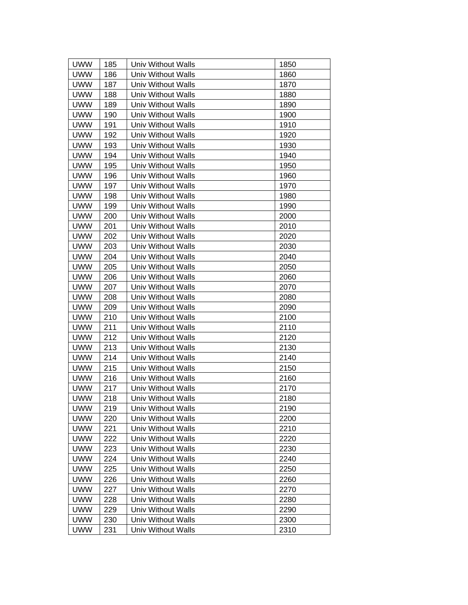| <b>UWW</b> | 185 | Univ Without Walls        | 1850 |
|------------|-----|---------------------------|------|
| <b>UWW</b> | 186 | Univ Without Walls        | 1860 |
| <b>UWW</b> | 187 | Univ Without Walls        | 1870 |
| <b>UWW</b> | 188 | Univ Without Walls        | 1880 |
| <b>UWW</b> | 189 | Univ Without Walls        | 1890 |
| <b>UWW</b> | 190 | <b>Univ Without Walls</b> | 1900 |
| <b>UWW</b> | 191 | Univ Without Walls        | 1910 |
| <b>UWW</b> | 192 | Univ Without Walls        | 1920 |
| <b>UWW</b> | 193 | Univ Without Walls        | 1930 |
| <b>UWW</b> | 194 | Univ Without Walls        | 1940 |
| <b>UWW</b> | 195 | Univ Without Walls        | 1950 |
| <b>UWW</b> | 196 | Univ Without Walls        | 1960 |
| <b>UWW</b> | 197 | Univ Without Walls        | 1970 |
| <b>UWW</b> | 198 | Univ Without Walls        | 1980 |
| <b>UWW</b> | 199 | Univ Without Walls        | 1990 |
| <b>UWW</b> | 200 | Univ Without Walls        | 2000 |
| <b>UWW</b> | 201 | Univ Without Walls        | 2010 |
| <b>UWW</b> | 202 | Univ Without Walls        | 2020 |
| <b>UWW</b> | 203 | Univ Without Walls        | 2030 |
| <b>UWW</b> | 204 | <b>Univ Without Walls</b> | 2040 |
| <b>UWW</b> | 205 | Univ Without Walls        | 2050 |
| <b>UWW</b> | 206 | Univ Without Walls        | 2060 |
| <b>UWW</b> | 207 | Univ Without Walls        | 2070 |
| <b>UWW</b> | 208 | Univ Without Walls        | 2080 |
| <b>UWW</b> | 209 | Univ Without Walls        | 2090 |
| <b>UWW</b> | 210 | Univ Without Walls        | 2100 |
| <b>UWW</b> | 211 | Univ Without Walls        | 2110 |
| <b>UWW</b> | 212 | Univ Without Walls        | 2120 |
| <b>UWW</b> | 213 | <b>Univ Without Walls</b> | 2130 |
| <b>UWW</b> | 214 | <b>Univ Without Walls</b> | 2140 |
| <b>UWW</b> | 215 | Univ Without Walls        | 2150 |
| <b>UWW</b> | 216 | Univ Without Walls        | 2160 |
| <b>UWW</b> | 217 | Univ Without Walls        | 2170 |
| <b>UWW</b> | 218 | Univ Without Walls        | 2180 |
| UWW        | 219 | Univ Without Walls        | 2190 |
| <b>UWW</b> | 220 | Univ Without Walls        | 2200 |
| <b>UWW</b> | 221 | Univ Without Walls        | 2210 |
| <b>UWW</b> | 222 | Univ Without Walls        | 2220 |
| <b>UWW</b> | 223 | <b>Univ Without Walls</b> | 2230 |
| <b>UWW</b> | 224 | Univ Without Walls        | 2240 |
| <b>UWW</b> | 225 | Univ Without Walls        | 2250 |
| <b>UWW</b> | 226 | Univ Without Walls        | 2260 |
| <b>UWW</b> | 227 | Univ Without Walls        | 2270 |
| <b>UWW</b> | 228 | Univ Without Walls        | 2280 |
| <b>UWW</b> | 229 | Univ Without Walls        | 2290 |
| <b>UWW</b> | 230 | Univ Without Walls        | 2300 |
| <b>UWW</b> | 231 | <b>Univ Without Walls</b> | 2310 |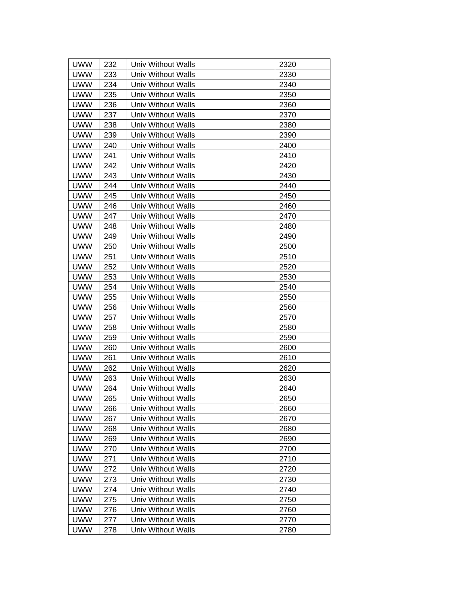| <b>UWW</b> | 232 | Univ Without Walls        | 2320 |
|------------|-----|---------------------------|------|
| <b>UWW</b> | 233 | Univ Without Walls        | 2330 |
| <b>UWW</b> | 234 | Univ Without Walls        | 2340 |
| <b>UWW</b> | 235 | Univ Without Walls        | 2350 |
| <b>UWW</b> | 236 | <b>Univ Without Walls</b> | 2360 |
| <b>UWW</b> | 237 | Univ Without Walls        | 2370 |
| <b>UWW</b> | 238 | Univ Without Walls        | 2380 |
| <b>UWW</b> | 239 | Univ Without Walls        | 2390 |
| <b>UWW</b> | 240 | Univ Without Walls        | 2400 |
| <b>UWW</b> | 241 | <b>Univ Without Walls</b> | 2410 |
| <b>UWW</b> | 242 | Univ Without Walls        | 2420 |
| <b>UWW</b> | 243 | Univ Without Walls        | 2430 |
| <b>UWW</b> | 244 | Univ Without Walls        | 2440 |
| <b>UWW</b> | 245 | Univ Without Walls        | 2450 |
| <b>UWW</b> | 246 | Univ Without Walls        | 2460 |
| <b>UWW</b> | 247 | Univ Without Walls        | 2470 |
| <b>UWW</b> | 248 | Univ Without Walls        | 2480 |
| <b>UWW</b> | 249 | Univ Without Walls        | 2490 |
| <b>UWW</b> | 250 | Univ Without Walls        | 2500 |
| <b>UWW</b> | 251 | Univ Without Walls        | 2510 |
| <b>UWW</b> | 252 | Univ Without Walls        | 2520 |
| <b>UWW</b> | 253 | <b>Univ Without Walls</b> | 2530 |
| <b>UWW</b> | 254 | Univ Without Walls        | 2540 |
| <b>UWW</b> | 255 | Univ Without Walls        | 2550 |
| <b>UWW</b> | 256 | Univ Without Walls        | 2560 |
| <b>UWW</b> | 257 | Univ Without Walls        | 2570 |
| <b>UWW</b> | 258 | Univ Without Walls        | 2580 |
| <b>UWW</b> | 259 | Univ Without Walls        | 2590 |
| <b>UWW</b> | 260 | <b>Univ Without Walls</b> | 2600 |
| <b>UWW</b> | 261 | <b>Univ Without Walls</b> | 2610 |
| <b>UWW</b> | 262 | Univ Without Walls        | 2620 |
| <b>UWW</b> | 263 | Univ Without Walls        | 2630 |
| <b>UWW</b> | 264 | Univ Without Walls        | 2640 |
| <b>UWW</b> | 265 | Univ Without Walls        | 2650 |
| <b>UWW</b> | 266 | Univ Without Walls        | 2660 |
| <b>UWW</b> | 267 | Univ Without Walls        | 2670 |
| <b>UWW</b> | 268 | Univ Without Walls        | 2680 |
| <b>UWW</b> | 269 | Univ Without Walls        | 2690 |
| <b>UWW</b> | 270 | Univ Without Walls        | 2700 |
| <b>UWW</b> | 271 | Univ Without Walls        | 2710 |
| <b>UWW</b> | 272 | Univ Without Walls        | 2720 |
| <b>UWW</b> | 273 | Univ Without Walls        | 2730 |
| <b>UWW</b> | 274 | Univ Without Walls        | 2740 |
| <b>UWW</b> | 275 | Univ Without Walls        | 2750 |
| <b>UWW</b> | 276 | Univ Without Walls        | 2760 |
| <b>UWW</b> | 277 | Univ Without Walls        | 2770 |
| <b>UWW</b> | 278 | <b>Univ Without Walls</b> | 2780 |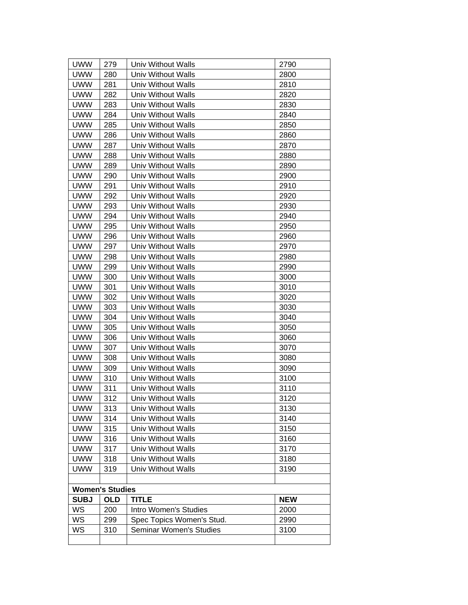| <b>UWW</b>  | 279                    | Univ Without Walls        | 2790       |
|-------------|------------------------|---------------------------|------------|
| <b>UWW</b>  | 280                    | Univ Without Walls        | 2800       |
| <b>UWW</b>  | 281                    | Univ Without Walls        | 2810       |
| <b>UWW</b>  | 282                    | Univ Without Walls        | 2820       |
| <b>UWW</b>  | 283                    | Univ Without Walls        | 2830       |
| <b>UWW</b>  | 284                    | Univ Without Walls        | 2840       |
| <b>UWW</b>  | 285                    | Univ Without Walls        | 2850       |
| <b>UWW</b>  | 286                    | Univ Without Walls        | 2860       |
| <b>UWW</b>  | 287                    | Univ Without Walls        | 2870       |
| <b>UWW</b>  | 288                    | <b>Univ Without Walls</b> | 2880       |
| <b>UWW</b>  | 289                    | Univ Without Walls        | 2890       |
| <b>UWW</b>  | 290                    | Univ Without Walls        | 2900       |
| <b>UWW</b>  | 291                    | Univ Without Walls        | 2910       |
| <b>UWW</b>  | 292                    | Univ Without Walls        | 2920       |
| <b>UWW</b>  | 293                    | Univ Without Walls        | 2930       |
| <b>UWW</b>  | 294                    | <b>Univ Without Walls</b> | 2940       |
| <b>UWW</b>  | 295                    | Univ Without Walls        | 2950       |
| <b>UWW</b>  | 296                    | Univ Without Walls        | 2960       |
| <b>UWW</b>  | 297                    | Univ Without Walls        | 2970       |
| <b>UWW</b>  | 298                    | <b>Univ Without Walls</b> | 2980       |
| <b>UWW</b>  | 299                    | Univ Without Walls        | 2990       |
| <b>UWW</b>  | 300                    | Univ Without Walls        | 3000       |
| <b>UWW</b>  | 301                    | Univ Without Walls        | 3010       |
| <b>UWW</b>  | 302                    | Univ Without Walls        | 3020       |
| <b>UWW</b>  | 303                    | Univ Without Walls        | 3030       |
| <b>UWW</b>  | 304                    | Univ Without Walls        | 3040       |
| <b>UWW</b>  | 305                    | Univ Without Walls        | 3050       |
| <b>UWW</b>  | 306                    | Univ Without Walls        | 3060       |
| <b>UWW</b>  | 307                    | Univ Without Walls        | 3070       |
| <b>UWW</b>  | 308                    | Univ Without Walls        | 3080       |
| <b>UWW</b>  | 309                    | Univ Without Walls        | 3090       |
| <b>UWW</b>  | 310                    | Univ Without Walls        | 3100       |
| <b>UWW</b>  | 311                    | Univ Without Walls        | 3110       |
| <b>UWW</b>  | 312                    | Univ Without Walls        | 3120       |
| <b>UWW</b>  | 313                    | Univ Without Walls        | 3130       |
| <b>UWW</b>  | 314                    | Univ Without Walls        | 3140       |
| <b>UWW</b>  | 315                    | Univ Without Walls        | 3150       |
| <b>UWW</b>  | 316                    | Univ Without Walls        | 3160       |
| <b>UWW</b>  | 317                    | Univ Without Walls        | 3170       |
| <b>UWW</b>  | 318                    | Univ Without Walls        | 3180       |
| <b>UWW</b>  | 319                    | Univ Without Walls        | 3190       |
|             |                        |                           |            |
|             | <b>Women's Studies</b> |                           |            |
| <b>SUBJ</b> | <b>OLD</b>             | <b>TITLE</b>              | <b>NEW</b> |
| WS          | 200                    | Intro Women's Studies     | 2000       |
| WS          | 299                    | Spec Topics Women's Stud. | 2990       |
| WS          | 310                    | Seminar Women's Studies   | 3100       |
|             |                        |                           |            |